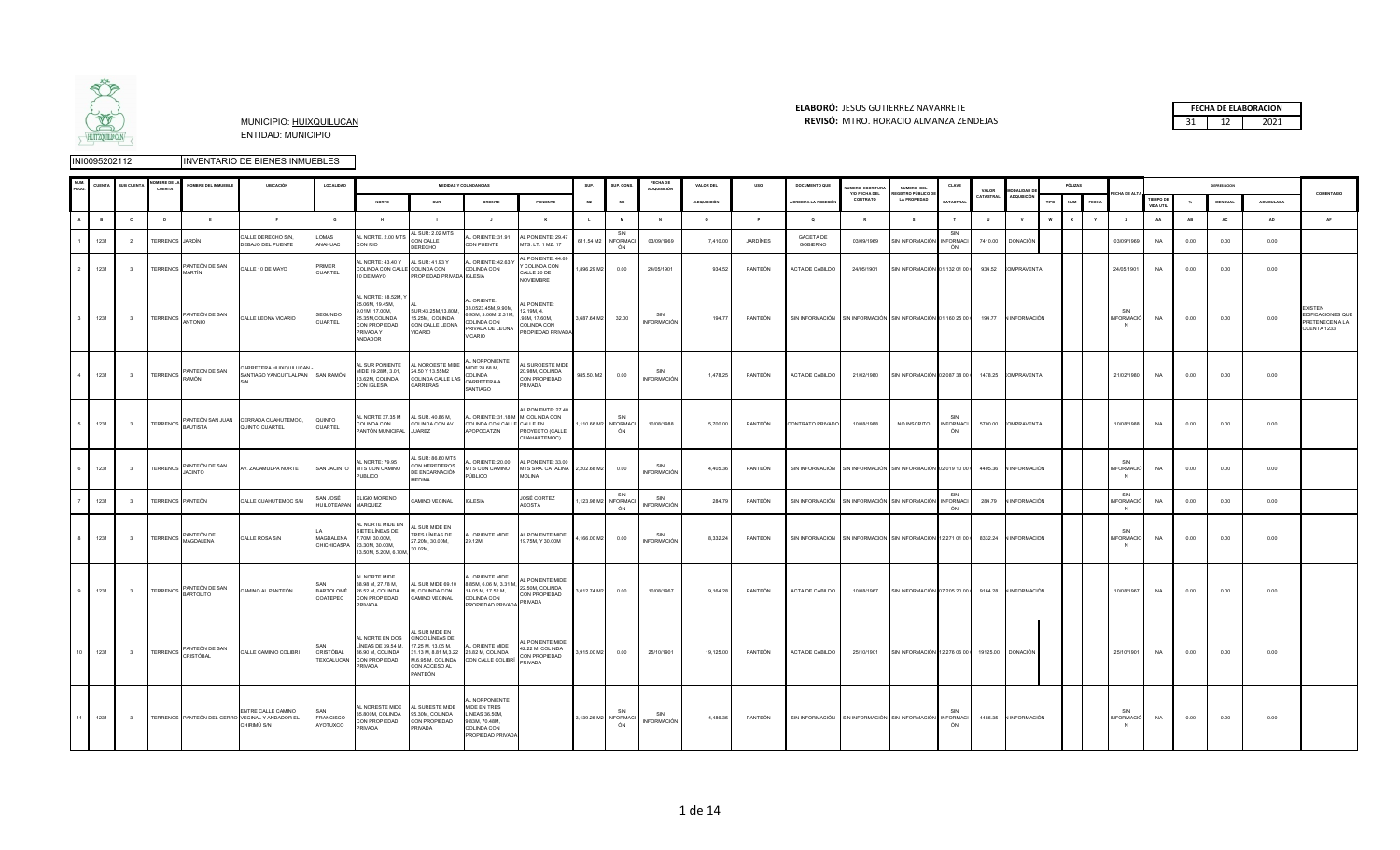

#### **ELABORÓ:** JESUS GUTIERREZ NAVARRETE **FECHA DE ELABORACION**  MUNICIPIO: HUIXQUILUCAN **REVISÓ:** 31 12 2021 MTRO. HORACIO ALMANZA ZENDEJAS

|  | <b>FECHA DE ELABORACION</b> |
|--|-----------------------------|
|  |                             |

| <b>CUENT</b> | <b>SUB CUENTA</b>        | <b>OMBRE DE</b><br>CUENTA | NOMBRE DEL INMUEBLE      | <b>UBICACIÓN</b>                                                                     | LOCALIDAD                       |                                                                                                                      |                                                                                                                                    | <b>MEDIDAS Y COLINDANCIAS</b>                                                                                   |                                                                                       | SUP.              | SUP. CONS                          | FECHA DE<br>ADOUISICIÓN   | <b>VALOR DEL</b>   | uso      | DOCUMENTO QUE                                                                    | <b>UMERO ESCRITURA</b><br>Y/O FECHA DEL | NUMERO DEL<br><b>GISTRO PÚBLICO D</b>                                                | CLAVE                         | VALOR        | MODALIDAD D           |      | PÓLIZAS                    |                       |                               |           | DEPRESIACION   |                  | COMENTARIO                                                     |
|--------------|--------------------------|---------------------------|--------------------------|--------------------------------------------------------------------------------------|---------------------------------|----------------------------------------------------------------------------------------------------------------------|------------------------------------------------------------------------------------------------------------------------------------|-----------------------------------------------------------------------------------------------------------------|---------------------------------------------------------------------------------------|-------------------|------------------------------------|---------------------------|--------------------|----------|----------------------------------------------------------------------------------|-----------------------------------------|--------------------------------------------------------------------------------------|-------------------------------|--------------|-----------------------|------|----------------------------|-----------------------|-------------------------------|-----------|----------------|------------------|----------------------------------------------------------------|
|              |                          |                           |                          |                                                                                      |                                 | <b>NORTE</b>                                                                                                         | SUR                                                                                                                                | ORIENTE                                                                                                         | PONIENTE                                                                              | <b>M2</b>         | <b>M2</b>                          |                           | <b>ADQUISICIÓN</b> |          | <b>ACREDITA LA POSESIÓ</b>                                                       | CONTRATO                                | LA PROPIEDAD                                                                         | CATASTRAI                     | CATASTRAL    | <b>ADQUISICIÓ</b>     | TIPO | <b>NUM</b><br><b>FECHA</b> |                       | <b>TIEMPO DE</b><br>VIDA UTIL | $\gamma$  | <b>MENSUAL</b> | <b>ACUMULADA</b> |                                                                |
| $\mathbf{R}$ | $\mathbf{c}$             | $\mathbf{D}$              | F                        | F                                                                                    | $\mathbf{G}$                    | H                                                                                                                    |                                                                                                                                    | <b>ALC</b>                                                                                                      | $\kappa$                                                                              | <b>COL</b>        | <b>M</b>                           | N                         | $\circ$            | P        | $\sim$                                                                           | $\mathbb{R}$                            | $\mathbf{s}$                                                                         |                               | $\mathbf{u}$ | $\mathbf{v}$          | w    | $\mathbf{v}$               | $\overline{z}$        | AA                            | <b>AR</b> | AC.            | <b>AD</b>        | <b>AF</b>                                                      |
| 1231         | $\overline{2}$           | <b>TERRENOS</b> JARDÍN    |                          | CALLE DERECHO S/N,<br>DEBAJO DEL PUENTE                                              | LOMAS<br>ANAHUAC                | AL NORTE. 2.00 MTS<br>CON RIO                                                                                        | AL SUR: 2.02 MTS<br>CON CALLE<br>DERECHO                                                                                           | AL ORIENTE: 31.91<br>CON PUENTE                                                                                 | AL PONIENTE: 29.47<br>MTS. LT. 1 MZ. 17                                               | 611.54 M2         | SIN<br><b>INFORMACI</b><br>ÓN      | 03/09/1969                | 7,410.00           | JARDÍNES | <b>GACETA DE</b><br><b>GOBIERNO</b>                                              | 03/09/1969                              | SIN INFORMACIÓN                                                                      | SIN<br><b>INFORMACI</b><br>ÓN | 7410.00      | <b>DONACIÓN</b>       |      |                            | 03/09/1969            | <b>NA</b>                     | 0.00      | 0.00           | 0.00             |                                                                |
| 1231         | $\overline{\mathbf{3}}$  | <b>TERRENOS</b>           | PANTEÓN DE SAN<br>MARTÍN | CALLE 10 DE MAYO                                                                     | PRIMER<br>CUARTEL               | L NORTE: 43.40 Y<br>COLINDA CON CALLE COLINDA CON<br>10 DE MAYO                                                      | AL SUR: 41.93 Y<br>PROPIEDAD PRIVADA IGLESIA                                                                                       | AL ORIENTE: 42.63 Y<br>COLINDA CON                                                                              | AL PONIENTE: 44.69<br>Y COLINDA CON<br>CALLE 20 DE<br><b>NOVIEMBRE</b>                | 1.896.29 M2       | 0.00                               | 24/05/1901                | 934.52             | PANTEÓN  | ACTA DE CABILDO                                                                  | 24/05/1901                              | SIN INFORMACIÓN 01 132 01 00 0                                                       |                               | 934.52       | <b>COMPRAVENTA</b>    |      |                            | 24/05/1901            | NA                            | 0.00      | 0.00           | 0.00             |                                                                |
| 1231         | $\overline{\mathbf{3}}$  |                           | TERRENOS PANTEÓN DE SAN  | CALLE LEONA VICARIO                                                                  | SEGUNDO<br>CUARTEL              | AL NORTE: 18.52M, Y<br>25.06M, 19.45M.<br>9.01M, 17.00M,<br>25.35M, COLINDA<br>CON PROPIEDAD<br>PRIVADA Y<br>ANDADOR | SUR:43.25M,13.80M,<br>15.25M, COLINDA<br>CON CALLE LEONA<br><b>VICARIO</b>                                                         | AL ORIENTE:<br>38.0523.45M, 9.90M,<br>6.95M, 3.06M, 2.31M,<br>COLINDA CON<br>PRIVADA DE LEONA<br><b>VICARIO</b> | <b>I PONIENTE:</b><br>12.19M, 4.<br>.95M, 17.60M,<br>COLINDA CON<br>PROPIEDAD PRIVADA | 3,687.64 M2 32.00 |                                    | SIN<br><b>INFORMACIÓN</b> | 194.77             | PANTEÓN  | SIN INFORMACIÓN SIN INFORMACIÓN SIN INFORMACIÓN 01 160 25 00 194.77 VINFORMACIÓN |                                         |                                                                                      |                               |              |                       |      |                            | <b>INFORMACIÓ</b>     | <b>NA</b>                     | 0.00      | 0.00           | 0.00             | EXISTEN<br>EDIFICACIONES QUE<br>PRETENECEN A LA<br>CUENTA 1233 |
| 1231         | $\overline{\phantom{a}}$ |                           | TERRENOS PANTEÓN DE SAN  | CARRETERA HUIXQUILUCAN -<br>SANTIAGO YANCUITLALPAN SAN RAMÓN                         |                                 | AL SUR PONIENTE<br>MIDE 19.28M, 3.01,<br>13.62M, COLINDA<br>CON IGLESIA                                              | L NOROESTE MIDE<br>24 50 Y 13 55M2<br>COLINDA CALLE LAS<br>CARRERAS                                                                | AL NORPONIENTE<br>MIDE 28.68 M,<br>COLINDA<br>CARRETERA A<br>SANTIAGO                                           | AL SUROESTE MIDE<br>20.98M, COLINDA<br>CON PROPIEDAD<br>PRIVADA                       | 985.50. M2        | 0.00                               | SIN<br><b>INFORMACIÓN</b> | 1,478.25           | PANTEÓN  | ACTA DE CABILDO                                                                  | 21/02/1980                              | SIN INFORMACIÓN 02 087 38 00   1478.25 COMPRAVENTA                                   |                               |              |                       |      |                            | 21/02/1980            | <b>NA</b>                     | 0.00      | 0.00           | 0.00             |                                                                |
| 1231         | $\overline{\mathbf{3}}$  |                           | BAUTISTA                 | TERRENOS PANTEÓN SAN JUAN CERRADA CUAHUTEMOC,<br>QUINTO CUARTEL                      | QUINTO<br>CUARTEL               | AL NORTE 37.35 M<br>COLINDA CON<br>PANTÓN MUNICIPAL JUAREZ                                                           | AL SUR. 40.86 M,<br>COLINDA CON AV.                                                                                                | AL ORIENTE: 31.18 M M, COLINDA CON<br>COLINDA CON CALLE CALLE EN<br>APOPOCATZIN                                 | <b>N. PONIFMTF: 27 40</b><br>PROYECTO (CALLE<br>CUAHAUTEMOC)                          |                   | SIN<br>1,110.66 M2 INFORMACI<br>ÓN | 10/08/1988                | 5,700.00           | PANTEÓN  | CONTRATO PRIVADO                                                                 | 10/08/1988                              | NO INSCRITO                                                                          | <b>INFORMACI</b><br>ON        | 5700.00      | <b>COMPRAVENTA</b>    |      |                            | 10/08/1988            | <b>NA</b>                     | 0.00      | 0.00           | 0.00             |                                                                |
| 1231         | $\overline{\mathbf{3}}$  |                           | TERRENOS PANTEÓN DE SAN  | AV. ZACAMULPA NORTE                                                                  | SAN JACINTO                     | AL NORTE: 79.95<br>MTS CON CAMINO<br>PUBLICO                                                                         | . SUR: 86.60 MTS<br>CON HEREDEROS<br>DE ENCARNACIÓN<br><b>MEDINA</b>                                                               | L ORIENTE: 20.00<br><b>ITS CON CAMINO</b><br>PÚBLICO                                                            | AL PONIENTE: 33.00<br>MTS SRA. CATALINA 2,202.68 M2<br><b>MOLINA</b>                  |                   | 0.00                               | SIN<br>INFORMACIÓN        | 4,405.36           | PANTEÓN  |                                                                                  |                                         | SIN INFORMACIÓN SIN INFORMACIÓN SIN INFORMACIÓN 02 019 10 00 0                       |                               | 4405.36      | <b>INFORMACIÓN</b>    |      |                            | SIN<br>NFORMACIÓ      | <b>NA</b>                     | 0.00      | 0.00           | 0.00             |                                                                |
| 1231         | $\overline{\mathbf{3}}$  |                           | TERRENOS PANTEÓN         | CALLE CUAHUTEMOC S/N                                                                 | SAN JOSÉ<br>HUILOTEAPAN MARQUEZ | ELIGIO MORENO                                                                                                        | CAMINO VECINAL                                                                                                                     | <b>IGLESIA</b>                                                                                                  | JOSÉ CORTEZ<br>ACOSTA                                                                 |                   | SIN<br>,123.98 M2 INFORMACI<br>ÓN  | SIN<br>INFORMACIÓN        | 284.79             | PANTEÓN  | SIN INFORMACIÓN SIN INFORMACIÓN SIN INFORMACIÓN                                  |                                         |                                                                                      | SIN<br><b>INFORMACI</b><br>ÓN | 284.79       | <b>INFORMACIÓN</b>    |      |                            | SIN<br>NFORMACIÓ<br>N | <b>NA</b>                     | 0.00      | 0.00           | 0.00             |                                                                |
| 1231         | $\overline{\mathbf{3}}$  |                           | TERRENOS PANTEÓN DE      | CALLE ROSA S/N                                                                       | <b>MAGDALENA</b><br>CHICHICASPA | <b>L NORTE MIDE EN</b><br>SIETE LÍNEAS DE<br>7.70M, 30.00M,<br>23.30M, 30.00M,<br>13.50M, 5.20M, 6.70M,              | AL SUR MIDE EN<br>TRES LÍNEAS DE<br>27.20M, 30.00M,<br>30.02M,                                                                     | AL ORIENTE MIDE<br>29.12M                                                                                       | AL PONIENTE MIDE<br>19.75M, Y 30.00M                                                  | 4,166.00 M2       | 0.00                               | SIN<br><b>INFORMACIÓN</b> | 8,332.24           | PANTEÓN  |                                                                                  |                                         | SIN INFORMACIÓN SIN INFORMACIÓN SIN INFORMACIÓN 12 271 01 00   8332.24 N INFORMACIÓN |                               |              |                       |      |                            | SIN<br>NFORMACIÓ      | NA                            | 0.00      | 0.00           | 0.00             |                                                                |
| 1231         | $\overline{\mathbf{3}}$  |                           | TERRENOS PANTEÓN DE SAN  | CAMINO AL PANTEÓN                                                                    | BARTOLOMÉ<br>COATEPEC           | L NORTE MIDE<br>38.98 M, 27.78 M,<br>26.52 M, COLINDA<br>CON PROPIEDAD<br>PRIVADA                                    | AL SUR MIDE 69.10<br>M, COLINDA CON<br>CAMINO VECINAL                                                                              | <b>N ORIENTE MIDE</b><br>8.85M, 6.06 M, 3.31 M,<br>14.05 M, 17.52 M,<br>COLINDA CON<br>PROPIEDAD PRIVADA        | AL PONIENTE MIDE<br>22.50M, COLINDA<br>CON PROPIEDAD<br>PRIVADA                       | 3,012.74 M2       | 0.00                               | 10/08/1967                | 9.164.28           | PANTEÓN  | ACTA DE CABILDO                                                                  | 10/08/1967                              | SIN INFORMACIÓN 07 205 20 00   9164.28   N INFORMACIÓN                               |                               |              |                       |      |                            | 10/08/1967            | <b>NA</b>                     | 0.00      | 0.00           | 0.00             |                                                                |
| 10 1231      | 3 <sup>1</sup>           |                           | TERRENOS PANTEÓN DE SAN  | CALLE CAMINIO COLIBRI                                                                | CRISTÓBAL                       | AL NORTE EN DOS<br>LÍNEAS DE 39.54 M,<br>86.90 M, COLINDA<br>TEXCALUCAN CON PROPIEDAD<br>PRIVADA                     | <b>I SUR MIDE EN</b><br>CINCO LÍNEAS DE<br>17.25 M, 13.05 M,<br>31.13 M, 8.81 M, 3.22 28.82 M, COLINDA<br>CON ACCESO AL<br>PANTEÓN | AL ORIENTE MIDE<br>M,6.95 M, COLINDA CON CALLE COLIBRÍ                                                          | AL PONIENTE MIDE<br>42.22 M, COLINDA<br>CON PROPIEDAD<br>PRIVADA                      | 3,915.00 M2 0.00  |                                    | 25/10/1901                | 19,125.00          | PANTEÓN  | ACTA DE CABILDO                                                                  | 25/10/1901                              | SIN INFORMACIÓN 12 276 06 00   19125.00 DONACIÓN                                     |                               |              |                       |      |                            | 25/10/1901            | NA                            | 0.00      | 0.00           | 0.00             |                                                                |
| 1231         | 3 <sup>1</sup>           |                           |                          | ENTRE CALLE CAMINO<br>TERRENOS PANTEÓN DEL CERRO VECINAL Y ANDADOR EL<br>CHIRIMÚ S/N | SAN<br>FRANCISCO<br>AYOTUXCO    | AL NORESTE MIDE<br>35.800M, COLINDA<br>CON PROPIEDAD<br>PRIVADA                                                      | AL SURESTE MIDE<br>95.30M, COLINDA<br>CON PROPIEDAD<br>PRIVADA                                                                     | L NORPONIENTE<br>MIDE EN TRES<br>LÍNEAS 36.50M,<br>9.83M, 70.48M,<br>COLINDA CON<br>PROPIEDAD PRIVADA           |                                                                                       |                   | SIN<br>3,139.26 M2 INFORMACI<br>ÓN | SIN<br>INFORMACIÓN        | 4.486.35           | PANTEÓN  | SIN INFORMACIÓN SIN INFORMACIÓN SIN INFORMACIÓN INFORMACI                        |                                         |                                                                                      | ÓN                            |              | 4486.35 N INFORMACIÓN |      |                            | <b>INFORMACIÓ</b>     | NA                            | 0.00      | 0.00           | 0.00             |                                                                |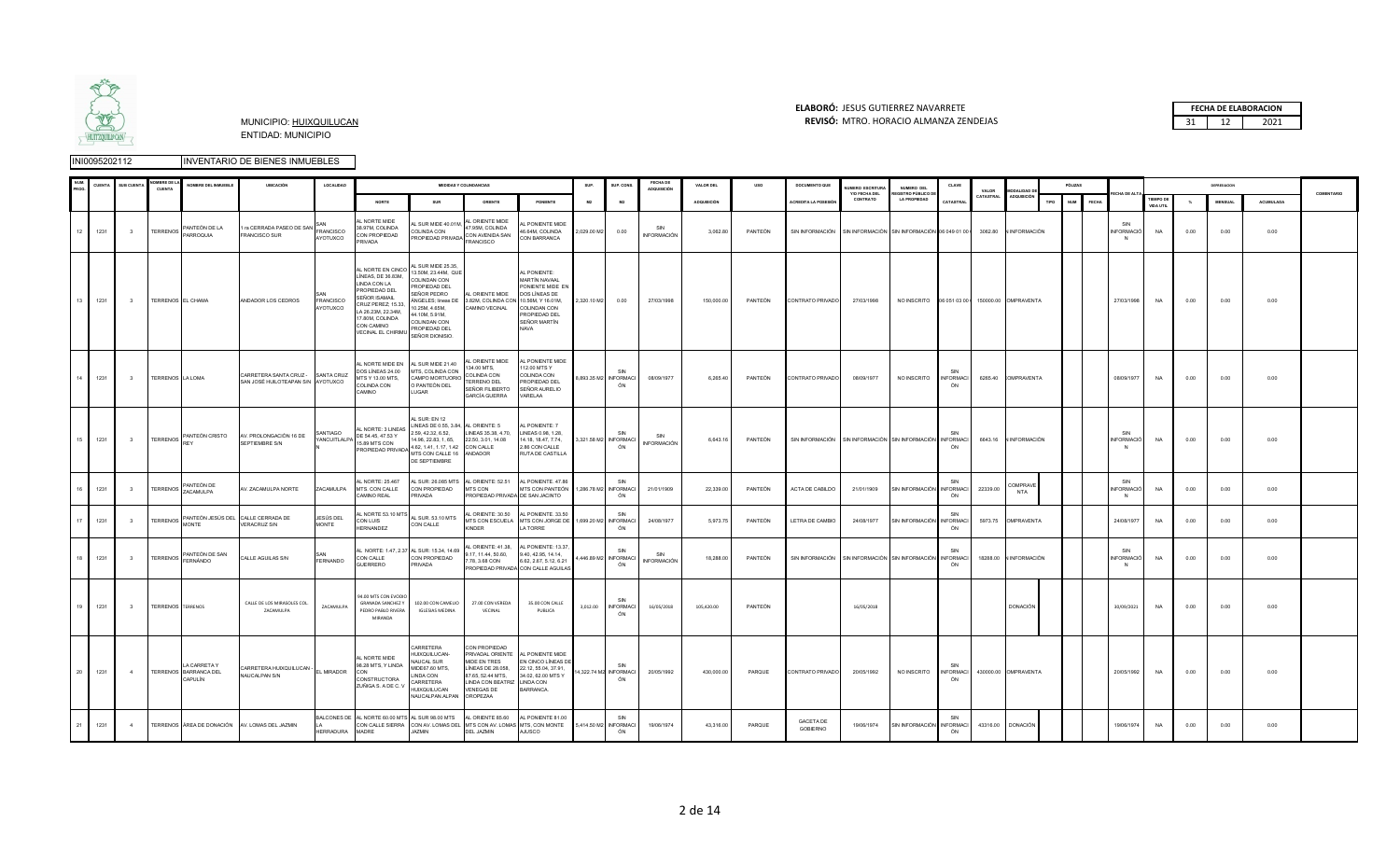

#### **ELABORÓ:** JESUS GUTIERREZ NAVARRETE **FECHA DE ELABORACION**  MUNICIPIO: HUIXQUILUCAN **REVISÓ:** 31 12 2021 MTRO. HORACIO ALMANZA ZENDEJAS

|    |      | <b>SUR CUENT</b>         | <b>CUENTA</b>            | NOMBRE DEL INMUEBLE                              | <b>UBICACIÓN</b>                                                       | LOCALIDAD                      |                                                                                                                                                                                                             |                                                                                                                                                                                     | <b>MEDIDAS Y COLINDANCIAS</b>                                                                                                                               |                                                                                                                                    | SUP                   | SUP, CONS                           | FECHA DE<br>ADQUISICIÓN   | VALOR DEL          | uso     | DOCUMENTO QUE                                                                        | <b>UMFRO ESCRITUR</b>     | NUMERO DEL                                                | CLAVE                         | VALOR     | <b>MODALIDAD D</b>     |      | PÓLIZAS                    |                              |                             |      | DEPRESIACION   |           |            |
|----|------|--------------------------|--------------------------|--------------------------------------------------|------------------------------------------------------------------------|--------------------------------|-------------------------------------------------------------------------------------------------------------------------------------------------------------------------------------------------------------|-------------------------------------------------------------------------------------------------------------------------------------------------------------------------------------|-------------------------------------------------------------------------------------------------------------------------------------------------------------|------------------------------------------------------------------------------------------------------------------------------------|-----------------------|-------------------------------------|---------------------------|--------------------|---------|--------------------------------------------------------------------------------------|---------------------------|-----------------------------------------------------------|-------------------------------|-----------|------------------------|------|----------------------------|------------------------------|-----------------------------|------|----------------|-----------|------------|
|    |      |                          |                          |                                                  |                                                                        |                                | <b>NORTE</b>                                                                                                                                                                                                | SUR                                                                                                                                                                                 | ORIENTE                                                                                                                                                     | PONIENTE                                                                                                                           | M2                    | M2                                  |                           | <b>ADQUISICIÓN</b> |         | ACREDITA LA POSESIÓ                                                                  | Y/O FECHA DEL<br>CONTRATO | <b>EGISTRO PÚBLICO D</b><br><b>LA PROPIEDAD</b>           | <b>CATASTR</b>                | CATASTRAL | ADQUISICIÓN            | TIPO | <b>NUM</b><br><b>FECHA</b> | CHA DE AL                    | <b>TEMPO D</b><br>VIDA UTIL |      | <b>MENSUAL</b> | ACUMULADA | COMENTARIO |
|    | 1231 | 3 <sup>1</sup>           | <b>TERRENOS</b>          | PANTEÓN DE LA<br>PARROQUIA                       | 1 ra CERRADA PASEO DE SAN FRANCISCO<br>FRANCISCO SUR                   | AYOTUXCO                       | AL NORTE MIDE<br>38.97M, COLINDA<br>CON PROPIEDAD<br>PRIVADA                                                                                                                                                | SUR MIDE 40.01M,<br>COLINDA CON<br>PROPIEDAD PRIVADA                                                                                                                                | AL ORIENTE MIDE<br>47.95M, COLINDA<br>CON AVENIDA SAN<br>FRANCISCO                                                                                          | AL PONIENTE MIDE<br>46.64M, COLINDA<br>CON BARRANCA                                                                                | 2,029.00 M2           | 0.00                                | SIN<br><b>INFORMACIÓN</b> | 3,062.80           | PANTEÓN | SIN INFORMACIÓN SIN INFORMACIÓN SIN INFORMACIÓN 06 049 01 00 1 3062.80 N INFORMACIÓN |                           |                                                           |                               |           |                        |      |                            | SIN<br>INFORMACIÓ<br>N       | <b>NA</b>                   | 0.00 | 0.00           | 0.00      |            |
| 13 | 1231 | 3 <sup>1</sup>           |                          | TERRENOS EL CHAMA                                | ANDADOR LOS CEDROS                                                     | <b>FRANCISCO</b><br>AYOTUXCO   | AL NORTE EN CINCO<br>LÍNEAS, DE 36.83M,<br>LINDA CON LA<br>PROPIEDAD DEL<br>SEÑOR ISAMAIL<br>CRUZ PEREZ: 15.33.<br>A 26.23M, 22.34M,<br>17.80M, COLINDA<br>CON CAMINO<br>VECINAL EL CHIRIMU SEÑOR DIONISIO. | AL SUR MIDE 25.35,<br>3.50M, 23.44M, QUE<br>COLINDAN CON<br>ROPIEDAD DEL<br>SEÑOR PEDRO<br>10.25M, 4.65M.<br>44.10M, 5.91M,<br>COLINDAN CON<br>PROPIEDAD DEL                        | AL ORIENTE MIDE<br>ÁNGELES; lineas DE 3.82M, COLINDA CON 10.56M, Y 16.01M,<br>CAMINO VECINAL                                                                | AL PONIENTE:<br>MARTÍN NAVAAL<br>PONIENTE MIDE EN<br>DOS LÍNEAS DE<br>COLINDAN CON<br>PROPIEDAD DEL<br>SEÑOR MARTÍN<br><b>NAVA</b> | 2,320.10 M2           | 0.00                                | 27/03/1998                | 150,000.00         | PANTEÓN | CONTRATO PRIVADO                                                                     | 27/03/1998                | NO INSCRITO 06 051 03 00   150000.00 OMPRAVENTA           |                               |           |                        |      |                            | 27/03/1998                   | <b>NA</b>                   | 0.00 | 0.00           | 0.00      |            |
|    | 1231 | $\overline{\mathbf{3}}$  | TERRENOS LA LOMA         |                                                  | CARRETERA SANTA CRUZ - SANTA CRUZ<br>SAN JOSÉ HUILOTEAPAN S/N AYOTUXCO |                                | AL NORTE MIDE EN<br>DOS LÍNEAS 24.00<br>MTS Y 13.00 MTS,<br>COLINDA CON<br>CAMINO                                                                                                                           | AL SUR MIDE 21.40<br>MTS, COLINDA CON<br>CAMPO MORTUORIO<br>O PANTEÓN DEL<br>LUGAR                                                                                                  | AL ORIENTE MIDE<br>134.00 MTS,<br>COLINDA CON<br>TERRENO DEL<br>SEÑOR FILIBERTO<br><b>GARCÍA GUERRA</b>                                                     | AL PONIENTE MIDE<br>112.00 MTS Y<br>COLINDA CON<br>PROPIEDAD DEL<br>SEÑOR AURELIO<br>VARELAA                                       |                       | 8,893.35 M2 INFORMACI<br>ÓN         | 08/09/1977                | 6,265.40           | PANTEÓN | CONTRATO PRIVADO                                                                     | 08/09/1977                | NO INSCRITO                                               | <b>INFORMACI</b><br>ÓN        |           | 6265.40 COMPRAVENTA    |      |                            | 08/09/1977                   | <b>NA</b>                   | 0.00 | 0.00           | 0.00      |            |
|    | 1231 | 3 <sup>1</sup>           |                          | TERRENOS PANTEÓN CRISTO                          | AV. PROLONGACIÓN 16 DE<br>SEPTIEMBRE S/N                               | SANTIAGO<br><b>ANCUITLALPA</b> | AL NORTE: 3 LINEAS<br>DE 54.45, 47.53 Y<br>15.89 MTS CON<br>PROPIEDAD PRIVADA                                                                                                                               | AL SUR: EN 12<br>LINEAS DE 0.55, 3.84, AL ORIENTE: 5<br>2.59, 42.32, 6.52,<br>14.96, 22.83, 1, 65,<br>4.62, 1.41, 1.17, 1.42 CON CALLE<br>MTS CON CALLE 16 ANDADOR<br>DE SEPTIEMBRE | LINEAS 35.38, 4.70,<br>22.50, 3.01, 14.08                                                                                                                   | L PONIENTE: 7<br>LINEAS 0.98, 1.28.<br>14.18, 18.47, 7.74,<br>2.86 CON CALLE<br>RUTA DE CASTILLA                                   | 3,321.58 M2 INFORMACI | SIN<br>ÓN                           | SIN<br><b>INFORMACIÓN</b> | 6,643.16           | PANTEÓN | SIN INFORMACIÓN SIN INFORMACIÓN SIN INFORMACIÓN INFORMACI                            |                           |                                                           | ÓN                            |           | 6643.16 VINFORMACIÓN   |      |                            | SIN<br>VFORMACIÓ             | <b>NA</b>                   | 0.00 | 0.00           | 0.00      |            |
|    | 1231 | 3 <sup>1</sup>           | <b>TERRENOS</b>          | PANTEÓN DE<br>ZACAMULPA                          | AV. ZACAMULPA NORTE                                                    | ZACAMULPA                      | AL NORTE: 25.467<br>MTS. CON CALLE<br>CAMINO REAL                                                                                                                                                           | L SUR: 26,085 MTS<br>CON PROPIEDAD<br><b>RIVADA</b>                                                                                                                                 | AL ORIENTE: 52.51<br>MTS CON<br>PROPIEDAD PRIVADA DE SAN JACINTO                                                                                            | AL PONIENTE, 47,86<br>MTS CON PANTEÓN 1,286.78 M2 INFORMACI                                                                        |                       | SIN<br>ON                           | 21/01/1909                | 22,339.00          | PANTEÓN | ACTA DE CABILDO                                                                      | 21/01/1909                | SIN INFORMACIÓN INFORMACI                                 |                               | 22339.00  | <b>COMPRAVE</b><br>NTA |      |                            | SIN<br>VFORMACIÓ             | <b>NA</b>                   | 0.00 | 0.00           | 0.00      |            |
| 17 | 1231 | $\overline{\phantom{a}}$ | <b>TERRENOS</b>          | <b>MONTE</b>                                     | PANTEÓN JESÚS DEL CALLE CERRADA DE<br>VERACRUZ S/N                     | JESÚS DEL<br>MONTE             | CON LUIS<br>HERNANDEZ                                                                                                                                                                                       | L NORTE 53.10 MTS AL SUR. 53.10 MTS<br>CON CALLE                                                                                                                                    | AL ORIENTE: 30.50<br><b>KINDER</b>                                                                                                                          | AL PONIENTE 33.50<br>MTS CON ESCUELA MTS CON JORGE DE 1,699.20 M2 INFORMACI<br><b>LA TORRE</b>                                     |                       | SIN<br>ÓN                           | 24/08/1977                | 5,973.75           | PANTEÓN | LETRA DE CAMBIO                                                                      | 24/08/1977                | SIN INFORMACIÓN INFORMACI                                 | SIN<br>ÓN                     |           | 5973.75 OMPRAVENTA     |      |                            | 24/08/1977                   | <b>NA</b>                   | 0.00 | 0.00           | 0.00      |            |
| 18 | 1231 | $\overline{\mathbf{3}}$  | <b>TERRENOS</b>          | PANTEÓN DE SAN<br>FERNÁNDO                       | CALLE AGUILAS S/N                                                      | FERNANDO                       | CON CALLE<br>GUERRERO                                                                                                                                                                                       | L NORTE: 1.47, 2.37 AL SUR: 15.34, 14.69<br>CON PROPIEDAD<br>PRIVADA                                                                                                                | L ORIENTE: 41.38,<br>9.17, 11.44, 50.60,<br>7.78, 3.68 CON                                                                                                  | AL PONIENTE: 13.37,<br>9.40, 42.95, 14.14,<br>6.62, 2.67, 5.12, 6.21<br>PROPIEDAD PRIVADA CON CALLE AGUILAS                        |                       | SIN<br>4,446.89 M2 INFORMACI<br>ÓN  | SIN<br><b>INFORMACIÓN</b> | 18,288.00          | PANTEÓN |                                                                                      |                           | SIN INFORMACIÓN SIN INFORMACIÓN SIN INFORMACIÓN INFORMACI | ÓN                            |           | 18288.00 N INFORMACIÓN |      |                            | SIN<br>NFORMACIÓ<br><b>N</b> | <b>NA</b>                   | 0.00 | 0.00           | 0.00      |            |
| 19 | 1231 | $\overline{\mathbf{3}}$  | <b>TERRENOS TERRENOS</b> |                                                  | CALLE DE LOS MIRASOLES COL.<br><b>ZACAMULPA</b>                        | ZACAMULPA                      | 94.00 MTS CON EVODIO<br><b>GRANADA SANCHEZ Y</b><br>PEDRO PABLO RIVERA<br>MIRANDA                                                                                                                           | 102.00 CON CAMELIO<br>IGLESIAS MEDINA                                                                                                                                               | 27.00 CON VEREDA<br>VECINAL                                                                                                                                 | 35.00 CON CALLE<br>PUBLICA                                                                                                         |                       | 3,012.00 INFORMACI<br>ÓN            | 16/05/2018                | 105,420.00         | PANTEÓN |                                                                                      | 16/05/2018                |                                                           |                               |           | <b>DONACIÓN</b>        |      |                            | 30/09/2021                   | <b>NA</b>                   | 0.00 | 0.00           | 0.00      |            |
| 20 | 1231 | 4                        |                          | LA CARRETA Y<br>TERRENOS BARRANCA DEL<br>CAPULÍN | CARRETERA HUIXQUILUCAN -<br>NAUCALPAN S/N                              | EL MIRADOR                     | AL NORTE MIDE<br>98.28 MTS, Y LINDA<br>CON<br>CONSTRUCTORA<br>ZUÑIGA S. A DE C. V                                                                                                                           | ARRETERA<br>IUIXQUILUCAN-<br>NAUCAL SUR<br>MIDE67.60 MTS,<br>LINDA CON<br>CARRETERA<br><b>HUIXQUILUCAN</b><br>NAUCALPAN.ALPAN                                                       | CON PROPIEDAD<br>PRIVADAL ORIENTE<br>MIDE EN TRES<br>LÍNEAS DE 28.058,<br>87.65, 52.44 MTS,<br>LINDA CON BEATRIZ LINDA CON<br><b>VENEGAS DE</b><br>OROPEZAA | AL PONIENTE MIDE<br>EN CINCO LÍNEAS DE<br>22.12, 55.04, 37.91,<br>34.02, 62.00 MTS Y<br>BARRANCA.                                  |                       | SIN<br>14,322.74 M2 INFORMACI<br>ÓN | 20/05/1992                | 430,000.00         | PARQUE  | CONTRATO PRIVADO                                                                     | 20/05/1992                | NO INSCRITO                                               | SIN<br><b>INFORMACI</b><br>ÓN |           | 430000.00 OMPRAVENTA   |      |                            | 20/05/1992                   | <b>NA</b>                   | 0.00 | 0.00           | 0.00      |            |
| 21 | 1231 | $\overline{a}$           |                          |                                                  | TERRENOS ÁREA DE DONACIÓN AV. LOMAS DEL JAZMIN                         | HERRADURA MADRE                | BALCONES DE AL NORTE 60.00 MTS AL SUR 98.00 MTS                                                                                                                                                             | CON CALLE SIERRA CON AV. LOMAS DEL MTS CON AV. LOMAS MTS, CON MONTE<br><b>JAZMIN</b>                                                                                                | AL ORIENTE 85.60 AL PONIENTE 81.00<br><b>DEL JAZMIN</b>                                                                                                     | <b>AJUSCO</b>                                                                                                                      |                       | SIN<br>5,414.50 M2 INFORMACI<br>ÓN  | 19/06/1974                | 43,316.00          | PARQUE  | GACETA DE<br>GOBIERNO                                                                | 19/06/1974                | SIN INFORMACIÓN INFORMACI                                 | SIN<br>ÓN                     |           | 43316.00 DONACIÓN      |      |                            | 19/06/1974                   | <b>NA</b>                   | 0.00 | 0.00           | 0.00      |            |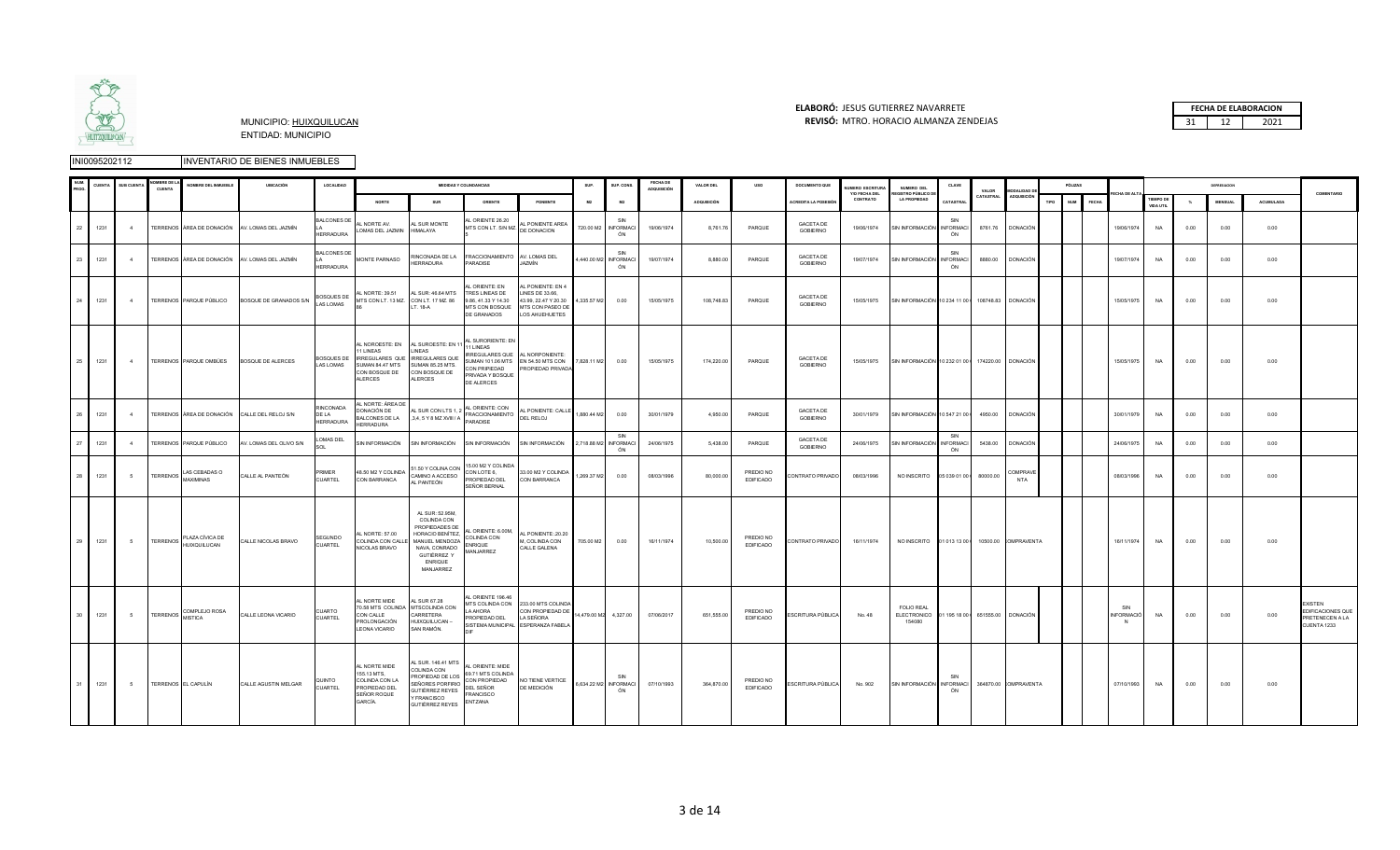

### **ELABORÓ:** JESUS GUTIERREZ NAVARRETE **FECHA DE ELABORACION**  MUNICIPIO: HUIXQUILUCAN **REVISÓ:** 31 12 2021 MTRO. HORACIO ALMANZA ZENDEJAS

|  | <b>FECHA DE ELABORACION</b> |
|--|-----------------------------|
|  | 1071                        |

|    | CUENT.  | SUB CUENT      | <b>MBREDE</b><br>CUENTA | NOMBRE DEL INMUEBLE        | <b>UBICACIÓN</b>                               | LOCALIDAD                              |                                                                                          |                                                                                                                                                       | <b>MEDIDAS Y COLINDANCIAS</b>                                                                                       |                                                                                                           | SUP.             | SUP, CON                           | FECHA DE<br>ADQUISICIÓN | VALOR DEL          | uso                           | DOCUMENTO QUE                       | <b>UMERO ESCRITUR</b>     | NUMERO DEL                                                          | CLAVE                         |                    |                                   |      | PÓLIZAS             |                          |                              |      | DEPRESIACION   |           |                                                                       |
|----|---------|----------------|-------------------------|----------------------------|------------------------------------------------|----------------------------------------|------------------------------------------------------------------------------------------|-------------------------------------------------------------------------------------------------------------------------------------------------------|---------------------------------------------------------------------------------------------------------------------|-----------------------------------------------------------------------------------------------------------|------------------|------------------------------------|-------------------------|--------------------|-------------------------------|-------------------------------------|---------------------------|---------------------------------------------------------------------|-------------------------------|--------------------|-----------------------------------|------|---------------------|--------------------------|------------------------------|------|----------------|-----------|-----------------------------------------------------------------------|
|    |         |                |                         |                            |                                                |                                        | <b>NORTE</b>                                                                             | SUR                                                                                                                                                   | ORIENTE                                                                                                             | PONIENTE                                                                                                  | M2               | M2                                 |                         | <b>ADQUISICIÓN</b> |                               | ACREDITA LA POSESIÓ                 | Y/O FECHA DEL<br>CONTRATO | EGISTRO PÚBLICO D<br><b>LA PROPIEDAD</b>                            | CATASTRAI                     | VALOR<br>CATASTRAL | MODALIDAD I<br><b>ADQUISICIÓ!</b> | TIPO | <b>NUM</b><br>FECHA |                          | <b>TIEMPO DE</b><br>VIDA UTE |      | <b>MENSUAL</b> | ACUMULADA | COMENTARIO                                                            |
|    | 22 1231 | 4              |                         |                            | TERRENOS ÁREA DE DONACIÓN AV. LOMAS DEL JAZMÍN | <b>BALCONES DE</b><br><b>HERRADURA</b> | L NORTE AV.<br>LOMAS DEL JAZMIN HIMALAYA                                                 | L SUR MONTE                                                                                                                                           | L ORIENTE 26.20<br>MTS CON LT. S/N MZ.                                                                              | AL PONIENTE AREA<br>DE DONACION                                                                           |                  | SIN<br>720.00 M2 INFORMACI<br>ÓN   | 19/06/1974              | 8,761.76           | PARQUE                        | <b>GACETA DE</b><br><b>GOBIERNO</b> | 19/06/1974                | SIN INFORMACIÓN INFORMACI                                           | SIN<br>ÓN                     |                    | 8761.76 DONACIÓN                  |      |                     | 19/06/1974               | NA                           | 0.00 | 0.00           | 0.00      |                                                                       |
| 23 | 1231    | $\overline{a}$ |                         | TERRENOS ÁREA DE DONACIÓN  | AV. LOMAS DEL JAZMÍN                           | <b>BALCONES DE</b><br><b>HERRADURA</b> | MONTE PARNASO                                                                            | HERRADURA                                                                                                                                             | RINCONADA DE LA FRACCIONAMIENTO AV. LOMAS DEL<br>PARADISE                                                           | JAZMÍN                                                                                                    |                  | SIN<br>4,440.00 M2 INFORMACI<br>ÓN | 19/07/1974              | 8,880.00           | PARQUE                        | <b>GACETA DE</b><br><b>GOBIERNO</b> | 19/07/1974                | SIN INFORMACIÓN INFORMACI                                           | SIN<br>ÓN                     | 8880.00            | <b>DONACIÓN</b>                   |      |                     | 19/07/1974               | <b>NA</b>                    | 0.00 | 0.00           | 0.00      |                                                                       |
|    | 24 1231 | $-4$           |                         | TERRENOS PARQUE PÚBLICO    | BOSQUE DE GRANADOS S/N                         | <b>BOSQUES DE</b><br>LAS LOMAS         | AL NORTE: 39.51<br>MTS CON LT. 13 MZ. CON LT. 17 MZ. 86                                  | AL SUR: 46.64 MTS<br>LT. 18-A                                                                                                                         | L ORIENTE: EN<br>TRES LINEAS DE<br>9.86, 41.33 Y 14.30<br>MTS CON BOSQUE<br>DE GRANADOS                             | L PONIENTE: EN 4<br>LINES DE 33.66,<br>43.99, 22.47 Y 20.30<br>MTS CON PASEO DE<br>LOS AHUEHUETES         | 4,335.57 M2      | 0.00                               | 15/05/1975              | 108,748.83         | PARQUE                        | <b>GACETA DE</b><br><b>GOBIERNO</b> | 15/05/1975                | SIN INFORMACIÓN 10 234 11 00   108748.83 DONACIÓN                   |                               |                    |                                   |      |                     | 15/05/1975               | NA                           | 0.00 | 0.00           | 0.00      |                                                                       |
| 25 | 1231    | 4              |                         |                            | TERRENOS PARQUE OMBÚES BOSQUE DE ALERCES       | <b>BOSQUES DE</b><br>LAS LOMAS         | 1 LINEAS<br>CON BOSQUE DE CON BOSQUE DE<br><b>ALERCES</b>                                | AL NOROESTE: EN AL SUROESTE: EN 11<br>LINEAS<br>IRREGULARES QUE IRREGULARES QUE<br>SUMAN 84.47 MTS SUMAN 85.25 MTS.<br><b>ALERCES</b>                 | AL SURORIENTE: EN<br>1 LINEAS<br>IRREGULARES QUE AL NORPONIENTE:<br>CON PRIPIEDAD<br>PRIVADA Y BOSQUE<br>DE ALERCES | SUMAN 101.06 MTS EN 54.50 MTS CON<br>PROPIEDAD PRIVADA                                                    | 7,828.11 M2 0.00 |                                    | 15/05/1975              | 174,220.00         | PARQUE                        | <b>GACETA DE</b><br><b>GOBIERNO</b> | 15/05/1975                | SIN INFORMACIÓN 10 232 01 00   174220.00 DONACIÓN                   |                               |                    |                                   |      |                     | 15/05/1975               | <b>NA</b>                    | 0.00 | 0.00           | 0.00      |                                                                       |
| 26 | 1231    | $\overline{a}$ |                         |                            | TERRENOS ÁREA DE DONACIÓN CALLE DEL RELOJ S/N  | RINCONADA<br>DE LA<br><b>HERRADURA</b> | AL NORTE: ÁREA DE<br>DONACIÓN DE<br>BALCONES DE LA<br>HERRADURA                          | AL SUR CON LTS 1, 2<br>3,4, 5 Y 8 MZ XVIII / A                                                                                                        | AL ORIENTE: CON<br>FRACCIONAMIENTO<br>PARADISE                                                                      | AL PONIENTE: CALLE<br>DEL RELOJ                                                                           | 1,880.44 M2 0.00 |                                    | 30/01/1979              | 4,950.00           | PARQUE                        | <b>GACETA DE</b><br>GOBIERNO        | 30/01/1979                | SIN INFORMACIÓN 10 547 21 00   4950.00 DONACIÓN                     |                               |                    |                                   |      |                     | 30/01/1979               | NA                           | 0.00 | 0.00           | 0.00      |                                                                       |
| 27 | 1231    | $\overline{a}$ |                         | TERRENOS PARQUE PÚBLICO    | AV. LOMAS DEL OLIVO S/N                        | LOMAS DEL                              | SIN INFORMACIÓN                                                                          | SIN INFORMACIÓN                                                                                                                                       | SIN INFORMACIÓN                                                                                                     | SIN INFORMACIÓN                                                                                           |                  | SIN<br>2,718.88 M2 INFORMACI<br>ON | 24/06/1975              | 5,438.00           | PARQUE                        | <b>GACETA DE</b><br><b>GOBIERNO</b> | 24/06/1975                | SIN INFORMACIÓN                                                     | SIN<br><b>INFORMACI</b><br>ÓN | 5438.00            | <b>DONACIÓN</b>                   |      |                     | 24/06/1975               | NA                           | 0.00 | 0.00           | 0.00      |                                                                       |
|    | 28 1231 | $\sim$         | <b>TERRENOS</b>         | LAS CEBADAS O<br>MAXIMINAS | CALLE AL PANTEÓN                               | PRIMER<br>CUARTEL                      | 48.50 M2 Y COLINDA<br>CON BARRANCA                                                       | 51.50 Y COLINA CON<br>CAMINO A ACCESO<br>AL PANTEÓN                                                                                                   | 15.00 M2 Y COLINDA<br>CON LOTE 6,<br>PROPIEDAD DEL<br>SEÑOR BERNAL                                                  | 33.00 M2 Y COLINDA<br>CON BARRANCA                                                                        | 1,269.37 M2      | 0.00                               | 08/03/1996              | 80,000.00          | PREDIO NO<br><b>EDIFICADO</b> | CONTRATO PRIVADO                    | 08/03/1996                |                                                                     |                               |                    | COMPRAVE<br>NTA                   |      |                     | 08/03/1996               | NA                           | 0.00 | 0.00           | 0.00      |                                                                       |
|    | 29 1231 | 5              |                         | TERRENOS PLAZA CÍVICA DE   | CALLE NICOLAS BRAVO                            | SEGUNDO<br><b>CUARTEL</b>              | AL NORTE: 57.00<br>COLINDA CON CALL<br>NICOLAS BRAVO                                     | AL SUR: 52.95M,<br>COLINDA CON<br>PROPIEDADES DE<br>HORACIO BENÍTEZ.<br>MANUEL MENDOZA<br>NAVA, CONRADO<br>GUTIÉRREZ Y<br><b>ENRIQUE</b><br>MANJARREZ | AL ORIENTE: 6.00M.<br>COLINDA CON<br><b>ENRIQUE</b><br>MANJARREZ                                                    | L PONIENTE: 20.20<br>M, COLINDA CON<br>CALLE GALENA                                                       | 705.00 M2 0.00   |                                    | 16/11/1974              | 10,500.00          | PREDIO NO<br><b>EDIFICADO</b> | CONTRATO PRIVADO                    | 16/11/1974                |                                                                     |                               |                    |                                   |      |                     | 16/11/1974               | <b>NA</b>                    | 0.00 | 0.00           | 0.00      |                                                                       |
|    | 30 1231 | $5^{\circ}$    |                         | TERRENOS COMPLEJO ROSA     | CALLE LEONA VICARIO                            | CUARTO<br><b>CUARTEL</b>               | AL NORTE MIDE<br>CON CALLE<br>PROLONGACIÓN<br>LEONA VICARIO                              | AL SUR 67.28<br>70.58 MTS COLINDA MTSCOLINDA CON<br>CARRETERA<br>HUIXQUILUCAN -<br>SAN RAMÓN.                                                         | AL ORIENTE 196.46<br>LA AHORA<br>PROPIEDAD DEL                                                                      | MTS COLINDA CON 233.00 MTS COLINDA<br>CON PROPIEDAD DE<br>LA SEÑORA<br>SISTEMA MUNICIPAL ESPERANZA FABELA |                  | 14,479.00 M2 4,327.00              | 07/06/2017              | 651,555.00         | PREDIO NO<br>EDIFICADO        | ESCRITURA PÚBLICA                   | No. 48                    | FOLIO REAL<br>ELECTRONICO 01 195 18 00 651555.00 DONACIÓN<br>154080 |                               |                    |                                   |      |                     | SIN<br><b>INFORMACIÓ</b> | NA                           | 0.00 | 0.00           | 0.00      | <b>EXISTEN</b><br>EDIFICACIONES QUE<br>PRETENECEN A LA<br>CUENTA 1233 |
|    | 1231    | 5 <sup>5</sup> |                         | TERRENOS EL CAPULÍN        | CALLE AGUSTIN MELGAR                           | QUINTO<br>CUARTEL                      | AL NORTE MIDE<br>155.13 MTS.<br>COLINDA CON LA<br>PROPIEDAD DEL<br>SEÑOR ROQUE<br>GARCÍA | AL SUR. 146.41 MTS<br>COLINDA CON<br>PROPIEDAD DE LOS<br>SEÑORES PORFIRIO<br><b>GUTIÉRREZ REYES</b><br>Y FRANCISCO<br>GUTIÉRREZ REYES                 | AL ORIENTE: MIDE<br>69.71 MTS COLINDA<br>CON PROPIEDAD<br>DEL SEÑOR<br>FRANCISCO<br>ENTZANA                         | NO TIENE VERTICE<br>DE MEDICIÓN                                                                           |                  | SIN<br>6,634.22 M2 INFORMACI<br>ÓN | 07/10/1993              | 364.870.00         | PREDIO NO<br><b>EDIFICADO</b> | ESCRITURA PÚBLICA                   | No. 902                   | SIN INFORMACIÓN INFORMACI                                           | ÓN                            |                    | 364870.00 COMPRAVENTA             |      |                     | 07/10/1993               | <b>NA</b>                    | 0.00 | 0.00           | 0.00      |                                                                       |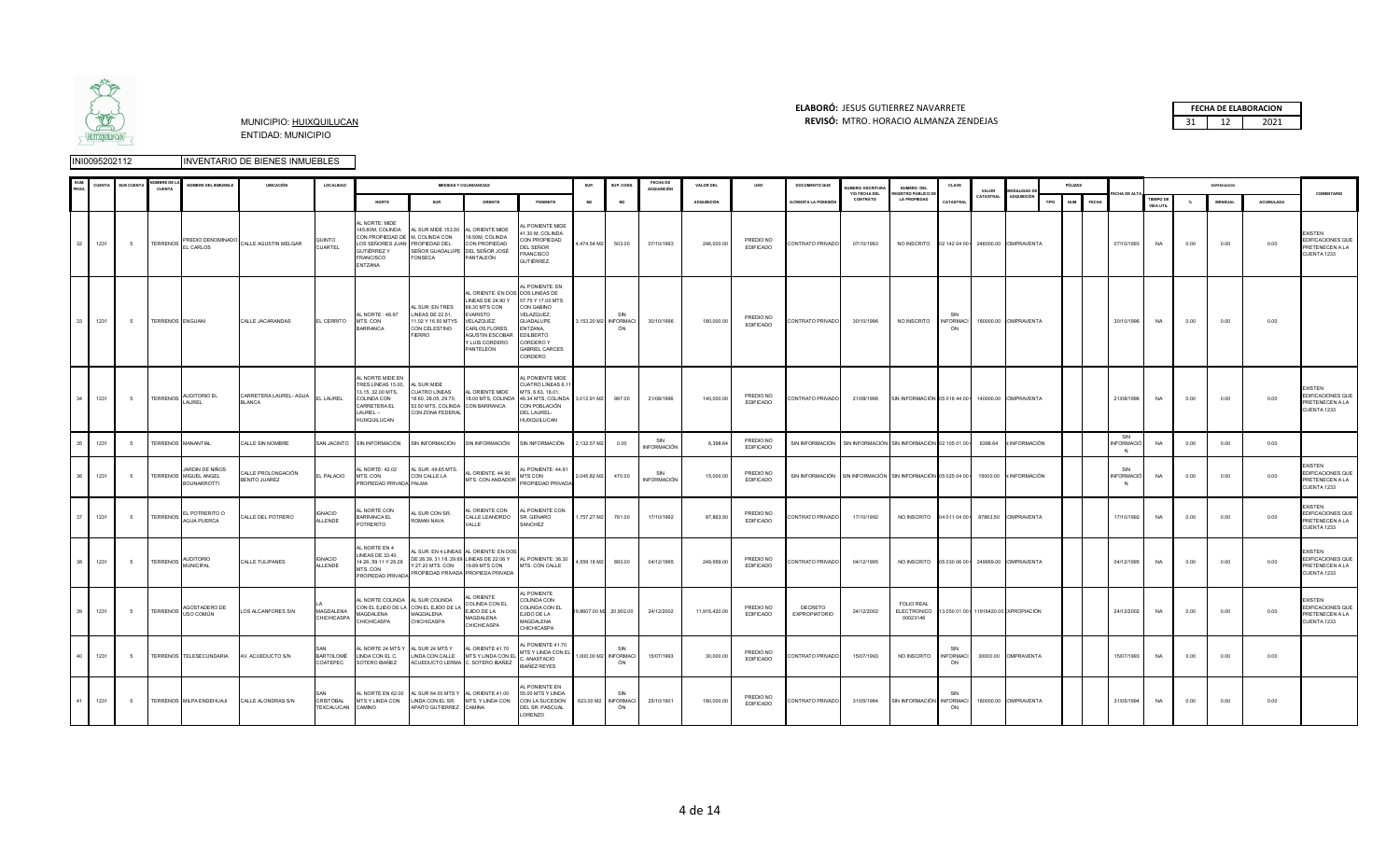

### **ELABORÓ:** JESUS GUTIERREZ NAVARRETE **FECHA DE ELABORACION**  MUNICIPIO: HUIXQUILUCAN **REVISÓ:** 31 12 2021 MTRO. HORACIO ALMANZA ZENDEJAS

|    | <b>UENT</b> | <b>SUB CUENTA</b> | <b>OMRRE DE</b><br><b>CUENTA</b> | NOMBRE DEL INMUEBLE                                            | <b>UBICACIÓN</b>                           | LOCALIDAD                       |                                                                                                                            |                                                                                                                       | <b>MEDIDAS Y COLINDANCIAS</b>                                                                                                                                        |                                                                                                                                                                       | SUP.                  | SUP, CONS                        | FECHA DE<br>ADQUISICIÓN   | VALOR DEL          | uso                           | <b>DOCUMENTO QUE</b>            | UMERO ESCRITURA                                                                       | NUMERO DEL<br><b>REGISTRO PÚBLICO DE</b>                                       | CLAVE                         | VALOR   | <b>MODALIDAD DE</b>   |      | PÓLIZAS          |              |                               |                                      |      |                |           | COMENTARIO                                                            |
|----|-------------|-------------------|----------------------------------|----------------------------------------------------------------|--------------------------------------------|---------------------------------|----------------------------------------------------------------------------------------------------------------------------|-----------------------------------------------------------------------------------------------------------------------|----------------------------------------------------------------------------------------------------------------------------------------------------------------------|-----------------------------------------------------------------------------------------------------------------------------------------------------------------------|-----------------------|----------------------------------|---------------------------|--------------------|-------------------------------|---------------------------------|---------------------------------------------------------------------------------------|--------------------------------------------------------------------------------|-------------------------------|---------|-----------------------|------|------------------|--------------|-------------------------------|--------------------------------------|------|----------------|-----------|-----------------------------------------------------------------------|
|    |             |                   |                                  |                                                                |                                            |                                 | NORTE                                                                                                                      | SUR                                                                                                                   | ORIENTE                                                                                                                                                              | PONIENTE                                                                                                                                                              | M2                    | M2                               |                           | <b>ADQUISICIÓN</b> |                               | ACREDITA LA POSESIÓN            | Y/O FECHA DEL<br>CONTRATO                                                             | <b>LA PROPIEDAD</b>                                                            | CATASTRA                      |         | CATASTRAL ADQUISICIÓN | TIPO | NUM <sub>1</sub> | <b>FECHA</b> | <b>ECHA DE ALT</b>            | <b>TIEMPO DE</b><br><b>VIDA UTIL</b> |      | <b>MENSUAL</b> | ACUMULADA |                                                                       |
| 32 | 1231        | 5 <sup>5</sup>    |                                  | TERRENOS PREDIO DENOMINADO                                     | CALLE AGUSTIN MELGAR                       | <b>QUINTO</b><br>CUARTEL        | AL NORTE: MIDE<br>CON PROPIEDAD DE M, COLINDA CON<br>LOS SEÑORES JUAN PROPIEDAD DEL<br>GUTIÉRREZ Y<br>FRANCISCO<br>ENTZANA | 145.80M, COLINDA AL SUR MIDE 153.50 AL ORIENTE MIDE<br>SEÑOR GUADALUPE DEL SEÑOR JOSÉ<br>FONSECA                      | 18.50M, COLINDA<br>CON PROPIEDAD<br>PANTALEÓN                                                                                                                        | <b>L PONIENTE MIDE</b><br>41.30 M, COLINDA<br>CON PROPIEDAD<br>DEL SEÑOR<br>FRANCISCO<br>GUTIÉRREZ.                                                                   | 4,474.54 M2 503.00    |                                  | 07/10/1993                | 246,000.00         | PREDIO NO<br><b>EDIFICADO</b> | CONTRATO PRIVADO                | 07/10/1993                                                                            | NO INSCRITO  02 142 04 00   246000.00 COMPRAVENTA                              |                               |         |                       |      |                  |              | 07/10/1993                    | <b>NA</b>                            | 0.00 | 0.00           | 0.00      | <b>XISTEN</b><br>EDIFICACIONES QUE<br>PRETENECEN A LA<br>CUENTA 1233  |
| 33 | 1231        | 5 <sup>5</sup>    | TERRENOS ENGUANI                 |                                                                | CALLE JACARANDAS                           | EL CERRITO                      | AL NORTE: 48.97<br>MTS. CON<br>BARRANCA                                                                                    | AL SUR: EN TRES<br>LINEAS DE 22.51.<br>11.02 Y 16.50 MTYS<br>CON CELESTINO<br><b>FIERRO</b>                           | AL ORIENTE: EN DOS DOS LINEAS DE<br>LINEAS DE 24.90 Y<br>88.30 MTS CON<br>EVARISTO<br>VELAZQUEZ,<br>CARLOS FLORES,<br>AGUSTIN ESCOBAR<br>Y LUIS CORDERO<br>PANTELEON | AL PONIENTE: EN<br>57.75 Y 17.00 MTS<br>CON GABINO<br>VELAZQUEZ,<br><b>GUADALUPE</b><br>ENTZANA,<br><b>EDILBERTO</b><br>CORDERO Y<br><b>GABRIEL CARCES</b><br>CORDERO | 3,153.20 M2 INFORMACI | SIN<br>ÓN                        | 30/10/1996                | 180,000.00         | PREDIO NO<br><b>EDIFICADO</b> | CONTRATO PRIVADO                | 30/10/1996                                                                            | NO INSCRITO                                                                    | SIN<br><b>INFORMACI</b><br>ÓN |         | 180000.00 COMPRAVENTA |      |                  |              | 30/10/1996                    | <b>NA</b>                            | 0.00 | 0.00           | 0.00      |                                                                       |
| 34 | 1231        | 5 <sup>5</sup>    |                                  | TERRENOS AUDITORIO EL<br>LAUREL                                | CARRETERA LAUREL- AGUA<br><b>BLANCA</b>    | EL LAUREL                       | AL NORTE MIDE EN<br>TRES LÍNEAS 15.00,<br>13.15, 32.00 MTS,<br>COLINDA CON<br>CARRETERA EL<br>LAUREL-<br>HUIXQUILUCAN      | AL SUR MIDE<br><b>CUATRO LÍNEAS</b><br>18.60, 28.05, 29.70,<br>53.50 MTS, COLINDA CON BARRANCA<br>CON ZONA FEDERAL    | AL ORIENTE MIDE                                                                                                                                                      | AL PONIENTE MIDE<br>UATRO LÍNEAS 6.1<br>MTS, 6.63, 18.01,<br>18.00 MTS, COLINDA 46.34 MTS, COLINDA 3,012.91 M2 997.00<br>CON POBLACIÓN<br>DEL LAUREL-<br>HUIXQUILUCAN |                       |                                  | 21/08/1996                | 140,000.00         | PREDIO NO<br>EDIFICADO        | CONTRATO PRIVADO                | 21/08/1996                                                                            | SIN INFORMACIÓN 05 016 44 00   140000.00 COMPRAVENTA                           |                               |         |                       |      |                  |              | 21/08/1996                    | <b>NA</b>                            | 0.00 | 0.00           | 0.00      | <b>FXISTEN</b><br>EDIFICACIONES QUE<br>PRETENECEN A LA<br>CUENTA 1233 |
|    | 1231        | -5                |                                  | TERRENOS MANANTIAL                                             | ALLE SIN NOMBRE                            |                                 | SAN JACINTO SIN INFORMACIÓN                                                                                                | SIN INFORMACIÓN                                                                                                       | SIN INFORMACIÓN                                                                                                                                                      | SIN INFORMACIÓN                                                                                                                                                       | 2,132.57 M2           | 0.00                             | SIN<br>INFORMACIÓN        | 6,398.6            | PREDIO NO<br><b>EDIFICADO</b> |                                 | SIN INFORMACIÓN SIN INFORMACIÓN SIN INFORMACIÓN 02 105 01 00 I                        |                                                                                |                               | 6398.64 | <b>INFORMACIÓN</b>    |      |                  |              | SIN<br>VFORMACIÓ<br>N         | <b>NA</b>                            | 0.00 | 0.00           | 0.00      |                                                                       |
|    | 1231        | 5                 |                                  | JARDIN DE NIÑOS<br>TERRENOS MIGUEL ANGEL<br><b>BOUNARROTTI</b> | CALLE PROLONGACIÓN<br><b>BENITO JUAREZ</b> | EL PALACIO                      | AL NORTE: 42.02<br>MTS. CON<br>PROPIEDAD PRIVADA PALMA                                                                     | AL SUR: 49.65 MTS.<br>CON CALLE LA                                                                                    | AL ORIENTE. 44.90                                                                                                                                                    | AL PONIENTE: 44.91<br>MTS CON<br>MTS. CON ANDADOR PROPIEDAD PRIVADA                                                                                                   | 2,045.82 M2 470.00    |                                  | SIN<br><b>INFORMACIÓN</b> | 15,000.00          | PREDIO NO<br><b>EDIFICADO</b> |                                 | SIN INFORMACIÓN SIN INFORMACIÓN SIN INFORMACIÓN 05 025 04 00   15000.00 N INFORMACIÓN |                                                                                |                               |         |                       |      |                  |              | SIN<br><b>INFORMACIÓ</b><br>N | NA                                   | 0.00 | 0.00           | 0.00      | <b>EXISTEN</b><br>EDIFICACIONES QUE<br>PRETENECEN A LA<br>CUENTA 1233 |
|    | 1231        | -5                |                                  | EL POTRERITO O<br>TERRENOS AGUA PUERCA                         | CALLE DEL POTRERO                          | <b>GNACIO</b><br>ALLENDE        | AL NORTE CON<br>BARRANCA EL<br>POTRERITO                                                                                   | AL SUR CON SR.<br>ROMAN NAVA                                                                                          | AL ORIENTE CON<br>CALLE LEANDRDO<br>VALLE                                                                                                                            | AL PONIENTE CON<br>SR. GENARO<br>SANCHEZ                                                                                                                              | 1,757.27 M2           | 761.00                           | 17/10/1992                | 87,863.50          | PREDIO NO<br><b>EDIFICADO</b> | CONTRATO PRIVADO                | 17/10/1992                                                                            | NO INSCRITO 04 011 04 00   87863.50 COMPRAVENTA                                |                               |         |                       |      |                  |              | 17/10/1992                    | <b>NA</b>                            | 0.00 | 0.00           | 0.00      | <b>EXISTEN</b><br>EDIFICACIONES QUE<br>PRETENECEN A LA<br>CUENTA 1233 |
| 38 | 1231        | 5                 |                                  | TERRENOS MUNICIPAL                                             | CALLE TULIPANES                            | <b>GNACIO</b><br>ALLENDE        | L NORTE EN 4<br>LINEAS DE 33.40,<br>14.26, 59.11 Y 26.28                                                                   | AL SUR: EN 4 LINEAS AL ORIENTE: EN DOS<br>PROPIEDAD PRIVADA PROPIEDAD PRIVADA PROPIEDA PRIVADA                        | DE 26.39, 31.18, 29.69 LINEAS DE 22.06 Y AL PONIENTE: 36.30<br>Y 27.20 MTS. CON 19.89 MTS CON MTS. CON CALLE                                                         |                                                                                                                                                                       | 4,559.18 M2           | 893.00                           | 04/12/1995                | 249,959.00         | PREDIO NO<br><b>EDIFICADO</b> | CONTRATO PRIVADO                | 04/12/1995                                                                            |                                                                                |                               |         |                       |      |                  |              | 04/12/1995                    | <b>NA</b>                            | 0.00 | 0.00           | 0.00      | <b>EXISTEN</b><br>EDIFICACIONES QUE<br>PRETENECEN A LA<br>CUENTA 1233 |
| 39 | 1231        | 5 <sup>5</sup>    | <b>TERRENOS</b>                  | AGOSTADERO DE<br>USO COMÚN                                     | LOS ALCANFORES S/N                         | <b>MAGDALENA</b><br>CHICHICASPA | AL NORTE COLINDA AL SUR COLINDA<br>MAGDALENA<br>CHICHICASPA                                                                | CON EL EJIDO DE LA CON EL EJIDO DE LA<br>MAGDALENA<br>CHICHICASPA                                                     | AL ORIENTE<br>COLINDA CON EL<br>EJIDO DE LA<br>MAGDALENA<br>CHICHICASPA                                                                                              | AL PONIENTE<br>COLINDA CON<br>COLINDA CON EL<br>EJIDO DE LA<br>MAGDALENA<br>CHICHICASPA                                                                               |                       | 19,8607.00 M2 20,902.00          | 24/12/2002                | 11,916,420.00      | PREDIO NO<br><b>EDIFICADO</b> | DECRETO<br><b>EXPROPIATORIO</b> | 24/12/2002                                                                            | FOI IO REAL<br>ELECTRONICO 13 050 01 00   11916420.00 EXPROPIACIÓN<br>00023146 |                               |         |                       |      |                  |              | 24/12/2002                    | <b>NA</b>                            | 0.00 | 0.00           | 0.00      | <b>EXISTEN</b><br>EDIFICACIONES QUE<br>PRETENECEN A LA<br>CUENTA 1233 |
|    | 1231        | 5                 |                                  | TERRENOS TELESECUNDARIA                                        | AV. ACUEDUCTO S/N                          | <b>BARTOLOMÉ</b><br>COATEPEC    | L NORTE 24 MTS \<br>LINDA CON EL C.<br>SOTERO IBAÑEZ                                                                       | AL SUR 24 MTS Y<br>LINDA CON CALLE                                                                                    | AL ORIENTE 41.70<br>MTS Y LINDA CON EL<br>ACUEDUCTO LERMA C. SOTERO IBAÑEZ                                                                                           | L PONIENTE 41.70<br>MTS Y LINDA CON EL<br>C. ANASTACIO<br><b>IBAÑEZ REYES</b>                                                                                         | 1,000.00 M2 INFORMACI | SIN<br>ÓN                        | 15/07/1993                | 30,000.00          | PREDIO NO<br><b>EDIFICADO</b> | CONTRATO PRIVADO                | 15/07/1993                                                                            | NO INSCRITO                                                                    | SIN<br><b>INFORMACI</b><br>ÓN |         | 30000.00 OMPRAVENTA   |      |                  |              | 15/07/1993                    | <b>NA</b>                            | 0.00 | 0.00           | 0.00      |                                                                       |
| 41 | 1231        | 5 <sup>5</sup>    |                                  | TERRENOS MILPA ENDEHUAJI                                       | CALLE ALONDRAS S/N                         | CRISTÓBAL<br>TEXCALUCAN         | MTS Y LINDA CON<br>CAMINO                                                                                                  | AL NORTE EN 62.00 AL SUR 64.00 MTS Y AL ORIENTE 41.00<br>LINDA CON EL SR. MTS. Y LINDA CON<br>APAITO GUTIERREZ CAMINA |                                                                                                                                                                      | L PONIENTE EN<br>55.00 MTS Y LINDA<br>CON LA SUCESION<br>DEL SR. PASCUAL<br>LORENZO                                                                                   |                       | SIN<br>623.00 M2 INFORMACI<br>ÓN | 25/10/1901                | 180,000.00         | PREDIO NO<br><b>EDIFICADO</b> | CONTRATO PRIVADO                | 31/05/1994                                                                            | SIN INFORMACIÓN INFORMACI                                                      | SIN<br>ÓN                     |         | 180000.00 COMPRAVENTA |      |                  |              | 31/05/1994                    | <b>NA</b>                            | 0.00 | 0.00           | 0.00      |                                                                       |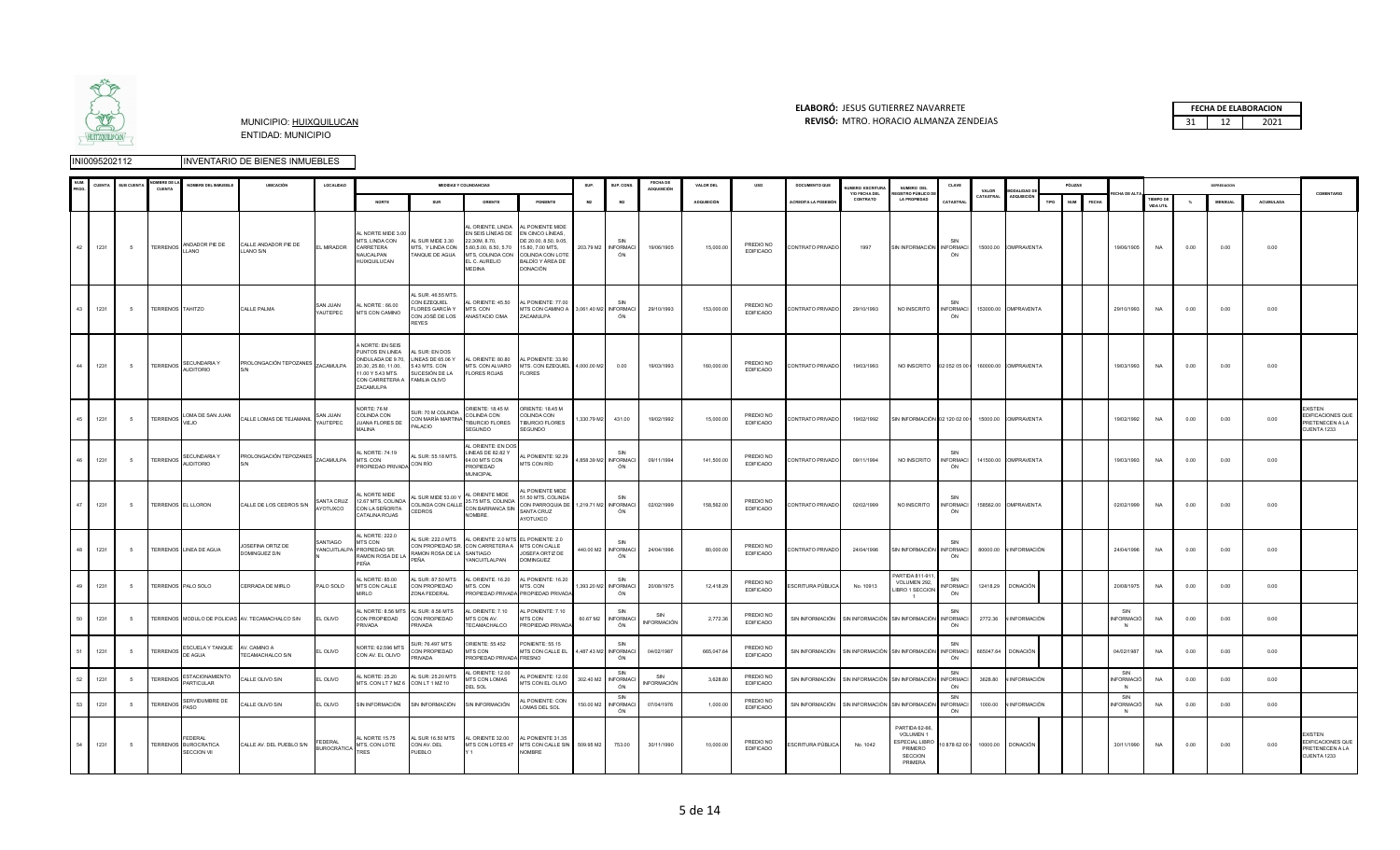

#### **ELABORÓ:** JESUS GUTIERREZ NAVARRETE **FECHA DE ELABORACION**  MUNICIPIO: HUIXQUILUCAN **REVISÓ:** 31 12 2021 MTRO. HORACIO ALMANZA ZENDEJAS

|              | CUENT | <b>SUB CUENT</b> | <b>MBREDE</b><br>CUENTA | NOMBRE DEL INMUEBLE                            | <b>UBICACIÓN</b>                                 | LOCALIDAD                     |                                                                                                                                                              |                                                                                           | <b>MEDIDAS Y COLINDANCIAS</b>                                                                                              |                                                                                                                                                            | SUP.      | SUP. CONS                          | FECHA DE<br><b>ADQUISICIÓN</b> | VALOR DEL          |                               | <b>DOCUMENTO QUE</b>                                      | <b>ILIMERO ESCRITURA</b><br>Y/O FECHA DEL | NUMERO DEL<br>FGISTRO PÚBLICO D                                                       | CLAVE                         | VALOR     | <b>MODALIDAD D</b>               |      | PÓLIZAS    |                 |                   |                        |      | DEPRESIACION  |           | COMENTARIO                                                            |
|--------------|-------|------------------|-------------------------|------------------------------------------------|--------------------------------------------------|-------------------------------|--------------------------------------------------------------------------------------------------------------------------------------------------------------|-------------------------------------------------------------------------------------------|----------------------------------------------------------------------------------------------------------------------------|------------------------------------------------------------------------------------------------------------------------------------------------------------|-----------|------------------------------------|--------------------------------|--------------------|-------------------------------|-----------------------------------------------------------|-------------------------------------------|---------------------------------------------------------------------------------------|-------------------------------|-----------|----------------------------------|------|------------|-----------------|-------------------|------------------------|------|---------------|-----------|-----------------------------------------------------------------------|
|              |       |                  |                         |                                                |                                                  |                               | <b>NORTE</b>                                                                                                                                                 | <b>SUR</b>                                                                                | ORIENTE                                                                                                                    | PONIENTE                                                                                                                                                   | M2        | M2                                 |                                | <b>ADQUISICIÓN</b> |                               | ACREDITA LA POSESIÓ                                       | CONTRATO                                  | <b>LA PROPIEDAD</b>                                                                   | CATASTRAL                     | CATASTRAL | <b>ADQUISICIÓN</b>               | TIPO | <b>NUM</b> | <b>FECHA</b>    |                   | TIEMPO DE<br>VIDA UTIL |      | <b>MENSUA</b> | ACUMULADA |                                                                       |
| 42           | 1231  | 5                |                         | TERRENOS ANDADOR PIE DE                        | CALLE ANDADOR PIE DE<br>LLANO S/N                | EL MIRADOR                    | AL NORTE MIDE 3.00<br>MTS. LINDA CON<br>CARRETERA<br>NAUCALPAN<br>HUIXQUILUCAN                                                                               | AL SUR MIDE 3.30<br>MTS, Y LINDA CON<br>TANQUE DE AGUA                                    | AL ORIENTE, LINDA<br>EN SEIS LÍNEAS DE<br>22.30M 8.70<br>5.60,5.00, 8.50, 5.70<br>EL C. AURELIO<br>MEDINA                  | AL PONIENTE MIDE<br>EN CINCO LÍNEAS,<br>DE 20.00 8.50 9.05<br>15.80, 7.00 MTS,<br>MTS, COLINDA CON COLINDA CON LOTE<br>BALDÍO Y ÁREA DE<br><b>DONACIÓN</b> |           | SIN<br>203.79 M2 INFORMACI<br>ÓN   | 19/06/1905                     | 15,000.00          | PREDIO NO<br><b>EDIFICADO</b> | CONTRATO PRIVADO                                          | 1997                                      | SIN INFORMACIÓN INFORMACI                                                             | ÓN                            |           | 15000.00 COMPRAVENTA             |      |            |                 | 19/06/1905        | NA                     | 0.00 | 0.00          | 0.00      |                                                                       |
| 43           | 1231  | $\sqrt{5}$       | TERRENOS TAHITZO        |                                                | CALLE PALMA                                      | SAN JUAN<br>YAUTEPEC          | 00.88 TRON IA<br>MTS CON CAMINO                                                                                                                              | <b>SUR 4655 MTS</b><br>CON EZEQUIEL<br>FLORES GARCÍA Y<br>CON JOSÉ DE LOS<br><b>REYES</b> | AL ORIENTE: 45.50<br>MTS. CON<br>ANASTACIO CIMA                                                                            | AL PONIENTE: 77.00<br>MTS CON CAMINO A 3,061.40 M2 INFORMACI<br>ZACAMULPA                                                                                  |           | SIN<br>ÓN                          | 29/10/1993                     | 153,000.0          | PREDIO NO<br>EDIFICADO        | CONTRATO PRIVADO                                          | 29/10/1993                                | NO INSCRITO                                                                           | SIN<br><b>INFORMACI</b><br>ÓN |           | 153000.00 OMPRAVENTA             |      |            |                 | 29/10/1993        | <b>NA</b>              | 0.00 | 0.00          | 0.00      |                                                                       |
| 44           | 1231  | 5                |                         | TERRENOS SECUNDARIA Y<br><b>AUDITORIO</b>      | PROLONGACIÓN TEPOZANES ZACAMULPA                 |                               | <b>NORTE: EN SEIS</b><br>PUNTOS EN LINEA<br>ONDULADA DE 9.70, LINEAS DE 65.06 Y<br>20.30, 25.80, 11.00,<br>11.00 Y 5.43 MTS.<br>CON CARRETERA A<br>ZACAMULPA | AL SUR: EN DOS<br>5.43 MTS. CON<br>SUCESIÓN DE LA<br>FAMILIA OLIVO                        | AL ORIENTE: 80.80<br><b>FLORES ROJAS</b>                                                                                   | AL PONIENTE: 33.90<br>MTS. CON ALVARO MTS. CON EZEQUIEL 4,000.00 M2 0.00<br><b>FLORES</b>                                                                  |           |                                    | 19/03/1993                     | 160,000.00         | PREDIO NO<br><b>EDIFICADO</b> | CONTRATO PRIVADO                                          | 19/03/1993                                | NO INSCRITO  02 052 05 00  160000.00 COMPRAVENTA                                      |                               |           |                                  |      |            |                 | 19/03/1993        | NA                     | 0.00 | 0.00          | 0.00      |                                                                       |
| 45           | 1231  | 5                |                         | TERRENOS LOMA DE SAN JUAN                      | CALLE LOMAS DE TEJAMANIL                         | SAN JUAN<br>YAUTEPEC          | NORTE: 76 M<br>COLINDA CON<br>JUANA FLORES DE<br>MALINA                                                                                                      | SUR: 70 M COLINDA<br>CON MARÍA MARTINA<br>PALACIO                                         | ORIENTE: 18.45 M<br>COLINDA CON<br>TIBURCIO FLORES<br>SEGUNDO                                                              | ORIENTE: 18.45 M<br>COLINDA CON<br>TIBURCIO FLORES<br><b>SEGUNDO</b>                                                                                       |           | 1,330.79 M2 431.00                 | 19/02/1992                     | 15,000.00          | PREDIO NO<br><b>EDIFICADO</b> | CONTRATO PRIVADO                                          | 19/02/1992                                | SIN INFORMACIÓN 02 120 02 00   15000.00 COMPRAVENTA                                   |                               |           |                                  |      |            |                 | 19/02/1992        | NA                     | 0.00 | 0.00          | 0.00      | <b>XISTEN</b><br>EDIFICACIONES QUE<br>PRETENECEN A LA<br>CUENTA 1233  |
|              | 1231  | 5                |                         | TERRENOS SECUNDARIA Y                          | PROLONGACIÓN TEPOZANES ZACAMULPA                 |                               | L NORTE: 74.19<br>MTS. CON<br>PROPIEDAD PRIVADA                                                                                                              | AL SUR: 55.18 MTS.<br>CON RÍO                                                             | AL ORIENTE: EN DO<br>LINEAS DE 82.82 Y<br>64.00 MTS CON<br>PROPIEDAD<br><b>MUNICIPAL</b>                                   | L PONIENTE: 92.29<br>MTS CON RÍO                                                                                                                           |           | 4,858.39 M2 INFORMACI<br>ÓN        | 09/11/1994                     | 141,500.00         | PREDIO NO<br><b>EDIFICADO</b> | CONTRATO PRIVADO                                          | 09/11/1994                                | NO INSCRITO                                                                           | <b>INFORMACI</b><br>ÓN        |           | 141500.00 COMPRAVENTA            |      |            |                 | 19/03/1993        | <b>NA</b>              | 0.00 | 0.00          | 0.00      |                                                                       |
| 47           | 1231  | - 5              |                         | TERRENOS EL LLORON                             | CALLE DE LOS CEDROS S/N                          | SANTA CRUZ<br>AYOTUXCO        | L NORTE MIDE<br>12.67 MTS, COLINDA<br>CON LA SEÑORITA<br>CATALINA ROJAS                                                                                      | L SUR MIDE 53.00 Y<br>CEDROS                                                              | AL ORIENTE MIDE<br>35.75 MTS, COLINDA<br>COLINDA CON CALLE CON BARRANCA SIN<br>NOMBRE.                                     | <b>L PONIENTE MIDE</b><br>1.50 MTS, COLINDA<br>CON PARROQUIA DE 1,219.71 M2 INFORMACI<br>SANTA CRUZ<br>AYOTUXCO                                            |           | SIN<br>ÓN                          | 02/02/1999                     | 158,562.0          | PREDIO NO<br><b>EDIFICADO</b> | CONTRATO PRIVADO                                          | 02/02/1999                                | NO INSCRITO                                                                           | <b>INFORMACI</b><br>ÓN        |           | 158562.00 OMPRAVENTA             |      |            |                 | 02/02/1999        | <b>NA</b>              | 0.00 | 0.00          | 0.00      |                                                                       |
| 48           | 1231  | - 5              |                         | TERRENOS LINEA DE AGUA                         | JOSEFINA ORTIZ DE<br>DOMINGUEZ D/N               | SANTIAGO                      | AL NORTE: 222.0<br>MTS CON<br>YANCUITLALPA PROPIEDAD SR.<br>RAMON ROSA DE LA<br>PFÑA                                                                         | RAMON ROSA DE LA SANTIAGO<br>PEÑA                                                         | AL SUR: 222.0 MTS AL ORIENTE: 2.0 MTS EL PONIENTE: 2.0<br>CON PROPIEDAD SR. CON CARRETERA A MTS CON CALLE<br>YANCUITLALPAN | JOSEFA ORTIZ DE<br><b>DOMINGUEZ</b>                                                                                                                        | 440.00 M2 | <b>INFORMACI</b><br>ÓN             | 24/04/1996                     | 80,000.0           | PREDIO NO<br>EDIFICADO        | CONTRATO PRIVADO                                          | 24/04/1996                                | SIN INFORMACIÓN INFORMACI                                                             | ÓN                            |           | 80000.00 N INFORMACIÓN           |      |            |                 | 24/04/1996        | <b>NA</b>              | 0.00 | 0.00          | 0.00      |                                                                       |
|              | 1231  | - 5              |                         | TERRENOS PALO SOLO                             | CERRADA DE MIRLO                                 | PALO SOLO                     | L NORTE: 85.00<br>MTS CON CALLE<br><b>MIRLO</b>                                                                                                              | L SUR: 87.50 MTS<br>CON PROPIEDAD<br>ZONA FEDERAL                                         | AL ORIENTE. 16.20<br>MTS. CON                                                                                              | AL PONIENTE: 16.20<br>MTS. CON<br>PROPIEDAD PRIVADA PROPIEDAD PRIVADA                                                                                      |           | SIN<br>1,393.20 M2 INFORMACI<br>ÓN | 20/08/1975                     | 12,418.29          | PREDIO NO<br><b>EDIFICADO</b> | ESCRITURA PÚBLICA                                         | No. 10913                                 | PARTIDA 811-911<br>VOLUMEN 292,<br>LIBRO 1 SECCION<br>$\overline{1}$                  | NFORMACI<br>ÓN                |           | 12418.29 DONACIÓN                |      |            |                 | 20/08/1975        | NA                     | 0.00 | 0.00          | 0.00      |                                                                       |
| $50^{\circ}$ | 1231  | - 5              |                         |                                                | TERRENOS MODULO DE POLICIAS AV. TECAMACHALCO S/N | EL OLIVO                      | CON PROPIEDAD<br>PRIVADA                                                                                                                                     | L NORTE: 8.56 MTS AL SUR: 8.56 MTS<br>CON PROPIEDAD<br>PRIVADA                            | AL ORIENTE: 7.10<br>MTS CON AV.<br>TECAMACHALCO                                                                            | AL PONIENTE: 7.10<br>MTS CON<br>PROPIEDAD PRIVADA                                                                                                          |           | SIN<br>60.67 M2 INFORMACI<br>ÓN    | SIN<br>INFORMACIÓN             | 2,772.36           | PREDIO NO<br><b>EDIFICADO</b> | SIN INFORMACIÓN SIN INFORMACIÓN SIN INFORMACIÓN INFORMACI |                                           |                                                                                       | ÓN                            |           | 2772.36 N INFORMACIÓN            |      |            | SIN<br><b>N</b> | <b>INFORMACIÓ</b> | <b>NA</b>              | 0.00 | 0.00          | 0.00      |                                                                       |
|              | 1231  | $\sqrt{5}$       | TERRENOS DE AGUA        | ESCUELA Y TANQUE AV. CAMINO A                  | TECAMACHALCO S/N                                 | EL OLIVO                      | NORTE: 62.596 MTS<br>CON AV. EL OLIVO                                                                                                                        | SUR: 76.497 MTS<br>CON PROPIEDAD<br>PRIVADA                                               | ORIENTE: 55.452<br>MTS CON<br>PROPIEDAD PRIVADA FRESNO                                                                     | PONIENTE: 55.15<br>MTS CON CALLE EL 4,487.43 M2 INFORMACI                                                                                                  |           | SIN<br>ÓN                          | 04/02/1987                     | 665,047.64         | PREDIO NO<br><b>EDIFICADO</b> | SIN INFORMACIÓN SIN INFORMACIÓN SIN INFORMACIÓN INFORMACI |                                           |                                                                                       | SIN<br>ÓN                     |           | 665047.64 DONACIÓN               |      |            | 04/02/1987      |                   | <b>NA</b>              | 0.00 | 0.00          | 0.00      |                                                                       |
|              | 1231  | 5                | <b>TERRENOS</b>         | ESTACIONAMIENTO<br>PARTICULAR                  | CALLE OLIVO S/N                                  | EL OLIVO                      | L NORTE: 25.20<br>MTS. CON LT 7 MZ 6 CON LT 1 MZ 10                                                                                                          | AL SUR: 25.20 MTS                                                                         | AL ORIENTE: 12.00<br>MTS CON LOMAS<br>EL SOL                                                                               | AL PONIENTE: 12.00<br>MTS CON EL OLIVO                                                                                                                     | 302.40 M2 | SIN<br><b>INFORMAC</b><br>ÓN       | SIN<br><b>INFORMACIÓN</b>      | 3,628.80           | PREDIO NO<br>EDIFICADO        | SIN INFORMACIÓN                                           |                                           | SIN INFORMACIÓN SIN INFORMACIÓN                                                       | SIN<br><b>INFORMAC</b><br>ÓN  | 3628.80   | <b>INFORMACIÓN</b>               |      |            | N               | SIN<br>NFORMACK   | <b>NA</b>              | 0.00 | 0.00          | 0.00      |                                                                       |
|              | 1231  | 5                | <b>TERRENOS</b>         | SERVIDUMBRE DE<br>PASO                         | CALLE OLIVO S/N                                  | EL OLIVO                      | SIN INFORMACIÓN                                                                                                                                              | SIN INFORMACIÓN                                                                           | SIN INFORMACIÓN                                                                                                            | <b>L PONIENTE: CON</b><br>LOMAS DEL SOL                                                                                                                    | 150.00 M2 | SIN<br><b>INFORMACI</b><br>ON      | 07/04/1976                     | 1,000.00           | PREDIO NO<br><b>EDIFICADO</b> | SIN INFORMACIÓN                                           |                                           | SIN INFORMACIÓN SIN INFORMACIÓN                                                       | SIN<br><b>INFORMACI</b><br>ÓN | 1000.00   | <b>INFORMACIÓN</b>               |      |            | SIN<br><b>N</b> | NFORMACIÓ         | <b>NA</b>              | 0.00 | 0.00          | 0.00      |                                                                       |
|              | 1231  | 5                |                         | FFDFRAI<br>TERRENOS BUROCRATICA<br>SECCION VII | CALLE AV. DEL PUEBLO S/N                         | FEDERAL<br><b>BUROCRÁTICA</b> | AL NORTE 15.75<br>MTS, CON LOTE<br>TRES                                                                                                                      | AL SUR 16.50 MTS<br>CON AV. DEL<br>PUEBLO                                                 | AL ORIENTE 32.00                                                                                                           | AL PONIENTE 31.35<br>MTS CON LOTES 47 MTS CON CALLE SIN 509.95 M2 753.00<br>NOMBRE                                                                         |           |                                    | 30/11/1990                     | 10,000.0           | PREDIO NO<br>EDIFICADO        | ESCRITURA PÚBLICA                                         | No. 1042                                  | PARTIDA 62-66.<br>VOLUMEN 1<br>ESPECIAL LIBRO<br>PRIMERO<br><b>SECCION</b><br>PRIMERA |                               |           | 10 878 62 00   10000.00 DONACIÓN |      |            |                 | 30/11/1990        | <b>NA</b>              | 0.00 | 0.00          | 0.00      | <b>EXISTEN</b><br>EDIFICACIONES QUE<br>PRETENECEN A LA<br>CUENTA 1233 |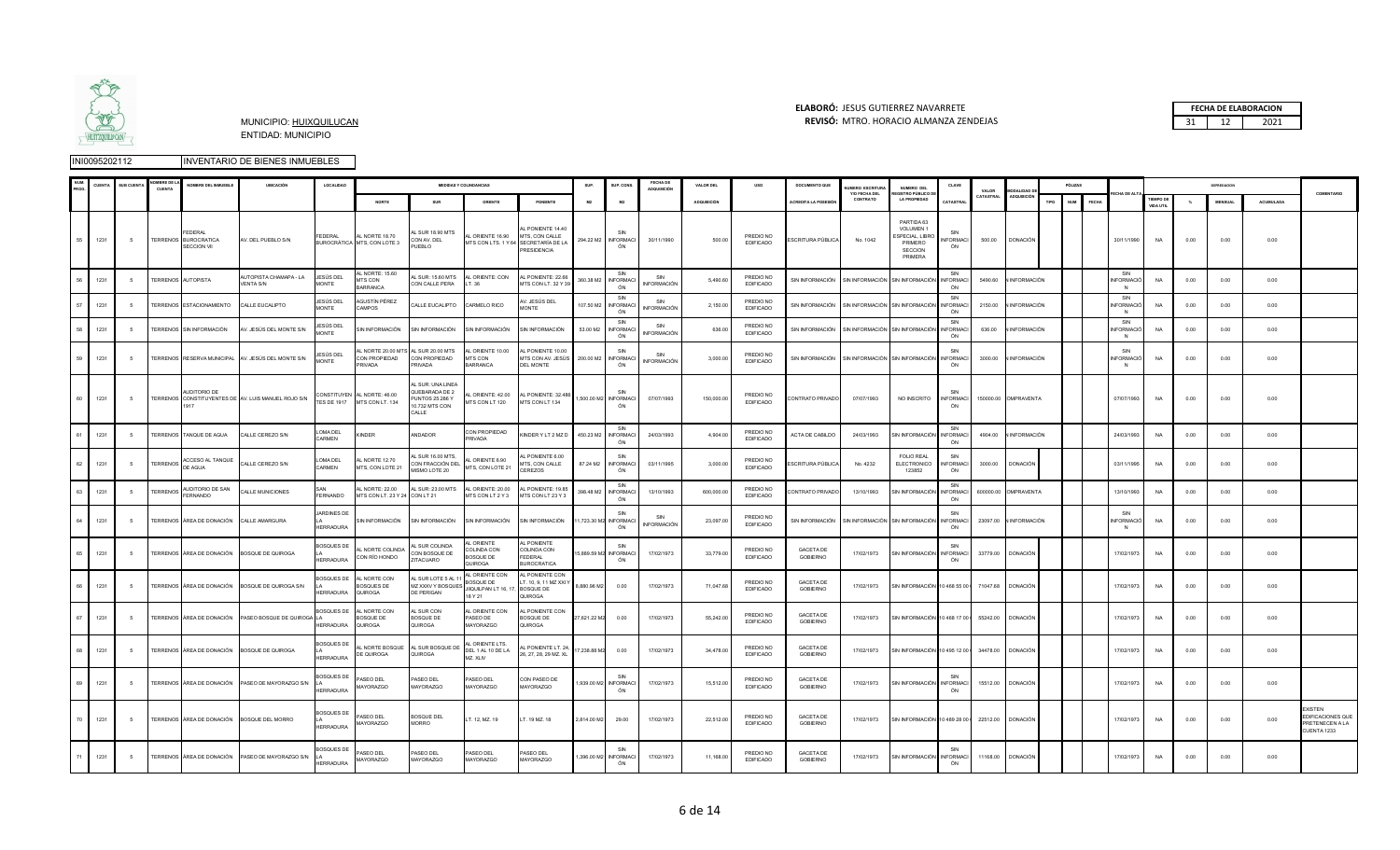

### **ELABORÓ:** JESUS GUTIERREZ NAVARRETE **FECHA DE ELABORACION**  MUNICIPIO: HUIXQUILUCAN **REVISÓ:** 31 12 2021 MTRO. HORACIO ALMANZA ZENDEJAS

|    |      | <b>SUB CUENT</b> | CUENTA          | NOMBRE DEL INMUEBLE                                                | <b>UBICACIÓN</b>                                    | LOCALIDAD                             |                                                 |                                                                                    | <b>MEDIDAS Y COLINDANCIAS</b>                                   |                                                                    | SUP.         | SUP. CONS                          | <b>FECHA DE</b><br><b>ADQUISICIÓN</b> | <b>VALOR DEL</b>   | uso                           | <b>DOCUMENTO QUE</b>                                      | <b>UMERO ESCRITURA</b><br>Y/O FECHA DEL | NUMERO DEL<br><b>GISTRO PÚBLICO D</b>                                             | CLAVE                         | VALOR     | MODALIDAD I            |      | PÓLIZAS                    |                                  |                               |      |                |                  | COMENTARIO                                                    |
|----|------|------------------|-----------------|--------------------------------------------------------------------|-----------------------------------------------------|---------------------------------------|-------------------------------------------------|------------------------------------------------------------------------------------|-----------------------------------------------------------------|--------------------------------------------------------------------|--------------|------------------------------------|---------------------------------------|--------------------|-------------------------------|-----------------------------------------------------------|-----------------------------------------|-----------------------------------------------------------------------------------|-------------------------------|-----------|------------------------|------|----------------------------|----------------------------------|-------------------------------|------|----------------|------------------|---------------------------------------------------------------|
|    |      |                  |                 |                                                                    |                                                     |                                       | NORTE                                           | SUR                                                                                | ORIENTE                                                         | PONIENTE                                                           | M2           | M <sub>2</sub>                     |                                       | <b>ADOUISICIÓN</b> |                               | <b>ACREDITA LA POSESIÓ</b>                                | CONTRATO                                | <b>LA PROPIEDAD</b>                                                               | CATASTRA                      | CATASTRAL | ADQUISICIÓ!            | TIPO | <b>NUM</b><br><b>FECHA</b> |                                  | <b>TIEMPO DI</b><br>VIDA UTIL | N    | <b>MENSUAL</b> | <b>ACUMULADA</b> |                                                               |
| 55 | 1231 | - 5              |                 | <b>FDFRAL</b><br><b>TERRENOS BUROCRATICA</b><br><b>SECCION VII</b> | AV. DEL PUEBLO S/N                                  | <b>FDERAL</b>                         | AL NORTE 18.70<br>BUROCRÁTICA MTS, CON LOTE 3   | SUR 18.90 MTS<br>CON AV. DEL<br>PUEBLO                                             | AL ORIENTE 16.90<br>MTS CON LTS. 1 Y 64 SECRETARÍA DE LA        | L PONIENTE 14.40<br>MTS, CON CALLE<br>PRESIDENCIA                  |              | SIN<br>294.22 M2 INFORMACI<br>ÓN   | 30/11/1990                            | 500.00             | PREDIO NO<br><b>EDIFICADO</b> | ESCRITURA PÚBLICA                                         | No. 1042                                | PARTIDA 63<br>VOLUMEN 1<br>SPECIAL, LIBRO<br>PRIMERO<br><b>SECCION</b><br>PRIMERA | SIN<br><b>INFORMACI</b><br>ÓN | 500.00    | <b>DONACIÓN</b>        |      |                            | 30/11/1990                       | <b>NA</b>                     | 0.00 | 0.00           | 0.00             |                                                               |
| 56 | 1231 | -5               |                 | TERRENOS AUTOPISTA                                                 | <b>IUTOPISTA CHAMAPA - LA</b><br><b>VENTA S/N</b>   | IESÚS DEL<br>MONTE                    | L NORTE: 15.60<br><b>ITS CON</b><br>ARRANCA     | L SUR: 15.60 MTS<br>CON CALLE PERA                                                 | AL ORIENTE: CON<br>LT. 36                                       | AL PONIENTE: 22.66<br>MTS CON LT. 32 Y 39                          | 360.38 M2    | <b>INFORMAC</b><br>ÓN              | SIN<br><b>INFORMACIÓN</b>             | 5490.6             | PREDIO NO<br><b>EDIFICADO</b> | SIN INFORMACIÓN                                           | SIN INFORMACIÓN                         | SIN INFORMACIÓN                                                                   | <b>INFORMAC</b><br>ÓN         | 5490.60   | <b>JINFORMACIÓN</b>    |      |                            | SIN<br>NFORMACIÓ<br>$\mathbb{N}$ | <b>NA</b>                     | 0.00 | 0.00           | 0.00             |                                                               |
| 57 | 1231 |                  |                 | TERRENOS ESTACIONAMIENTO                                           | CALLE EUCALIPTO                                     | IESÚS DEL<br>MONTE                    | AGUSTÍN PÉREZ<br>CAMPOS                         | CALLE EUCALIPTO                                                                    | CARMELO RICO                                                    | AV. JESÚS DEL<br>MONTE                                             | 107.50 M2    | SIN<br><b>INFORMAC</b><br>ÓN       | SIN<br><b>INFORMACIÓN</b>             | 2,150.00           | PREDIO NO<br>EDIFICADO        | SIN INFORMACIÓN                                           |                                         | SIN INFORMACIÓN SIN INFORMACIÓN                                                   | SIN<br><b>INFORMAC</b><br>ÓN  | 2150.00   | I INFORMACIÓN          |      |                            | SIN<br>NFORMACIÓ<br>N            | <b>NA</b>                     | 0.00 | 0.00           | 0.00             |                                                               |
| 58 | 1231 |                  |                 | FERRENOS SIN INFORMACIÓN                                           | V. JESÚS DEL MONTE S/N                              | IESÚS DEL<br><b>IONTE</b>             | IN INFORMACIÓN                                  | IN INFORMACIÓN                                                                     | SIN INFORMACIÓN                                                 | <b>SIN INFORMACIÓN</b>                                             | 53.00 M2     | SIN<br>NFORMAC<br>ÓN               | SIN<br>NFORMACIÓN                     | 636.0              | PREDIO NO<br><b>EDIFICADO</b> | SIN INFORMACIÓN                                           |                                         | SIN INFORMACIÓN SIN INFORMACIÓN                                                   | SIN<br><b>INFORMACI</b><br>ÓN | 636.00    | <b>INFORMACIÓN</b>     |      |                            | SIN<br>NFORMACIÓ<br><b>N</b>     | NA                            | 0.00 | 0.00           | 0.00             |                                                               |
| 59 | 1231 | - 5              |                 |                                                                    | TERRENOS RESERVA MUNICIPAL AV. JESÚS DEL MONTE S/N  | IESÚS DEL<br><b>JONTE</b>             | CON PROPIEDAD<br><b>RIVADA</b>                  | L NORTE 20.00 MTS AL SUR 20.00 MTS<br>CON PROPIEDAD<br><b>RIVADA</b>               | AL ORIENTE 10.00<br>MTS CON<br><b>BARRANCA</b>                  | AL PONIENTE 10.00<br>MTS CON AV. JESÚS<br><b>DEL MONTE</b>         |              | SIN<br>200.00 M2 INFORMAC<br>ÓN    | SIN<br>INFORMACIÓN                    | 3,000.00           | PREDIO NO<br><b>EDIFICADO</b> | SIN INFORMACIÓN SIN INFORMACIÓN SIN INFORMACIÓN INFORMACI |                                         |                                                                                   | SIN<br>ÓN                     |           | 3000.00 N INFORMACIÓN  |      |                            | SIN<br><b>INFORMACIÓ</b><br>N    | NA                            | 0.00 | 0.00           | 0.00             |                                                               |
| 60 | 1231 | 5                |                 | AUDITORIO DE                                                       | TERRENOS CONSTITUYENTES DE AV. LUIS MANUEL ROJO S/N | CONSTITUYEN<br><b>TES DE 1917</b>     | AL NORTE: 46.00<br>MTS CON LT. 134              | SUR UNA UNFA<br>UEBARADA DE 2<br><b>PUNTOS 25.286 Y</b><br>10.732 MTS CON<br>CALLE | AL ORIENTE: 42.00<br>MTS CON LT 120                             | AL PONIENTE: 32.486<br>MTS CON LT 134                              |              | SIN<br>1,500.00 M2 INFORMAC<br>ÓN  | 07/07/1993                            | 150,000.00         | PREDIO NO<br>EDIFICADO        | CONTRATO PRIVADO                                          | 07/07/1993                              | NO INSCRITO                                                                       | SIN<br><b>INFORMACI</b><br>ÓN |           | 150000.00 OMPRAVENTA   |      |                            | 07/07/1993                       | NA                            | 0.00 | 0.00           | 0.00             |                                                               |
| 61 | 1231 |                  |                 | TERRENOS TANQUE DE AGUA                                            | CALLE CEREZO S/N                                    | OMA DEL<br>CARMEN                     | <b>KINDER</b>                                   | ANDADOR                                                                            | CON PROPIEDAD<br>PRIVADA                                        | <b>KINDER Y LT 2 MZ D</b>                                          | 450.23 M2    | SIN<br><b>INFORMAC</b><br>ÓN       | 24/03/1993                            | 4,904.00           | PREDIO NO<br><b>EDIFICADO</b> | ACTA DE CABILDO                                           | 24/03/1993                              | SIN INFORMACIÓN                                                                   | SIN<br><b>INFORMACI</b><br>ÓN | 4904.00   | <b>INFORMACIÓN</b>     |      |                            | 24/03/1993                       | NA                            | 0.00 | 0.00           | 0.00             |                                                               |
| 62 | 1231 | -5               |                 | TERRENOS ACCESO AL TANQUE<br>DE AGUA                               | CALLE CEREZO S/N                                    | OMA DEL<br>CARMEN                     | L NORTE 12.70<br>MTS, CON LOTE 21               | SUR 16.00 MTS.<br>CON FRACCIÓN DEL<br>MISMO LOTE 20                                | AL ORIENTE 6.90<br>MTS, CON LOTE 21                             | PONIENTE 6.00<br><b>MTS, CON CALLE</b><br>CEREZOS                  | 87.24 M2     | SIN<br><b>INFORMAC</b><br>ON       | 03/11/1995                            | 3,000.00           | PREDIO NO<br><b>EDIFICADO</b> | SCRITURA PÚBLICA                                          | No. 4232                                | FOI IO REAL<br>ELECTRONICO<br>123852                                              | SIN<br><b>INFORMACI</b><br>ÓN | 3000.00   | <b>DONACIÓN</b>        |      |                            | 03/11/1995                       | NA                            | 0.00 | 0.00           | 0.00             |                                                               |
| 63 | 1231 | -5               | <b>TERRENOS</b> | AUDITORIO DE SAN<br>FERNANDO                                       | CALLE MUNICIONES                                    | FERNANDO                              | L NORTE: 22.00<br>MTS CON LT. 23 Y 24 CON LT 21 | <b>AL SUR: 23.00 MTS</b>                                                           | AL ORIENTE: 20.00<br><b>ATS CON LT 2 Y 3</b>                    | AL PONIENTE: 1985<br>MTS CON LT 23 Y 3                             | 398.48 M2    | SIN<br><b>INFORMAC</b><br>ÓN       | 13/10/1993                            | 600,000.00         | PREDIO NO<br><b>EDIFICADO</b> | CONTRATO PRIVADO                                          | 13/10/1993                              | SIN INFORMACIÓN                                                                   | SIN<br><b>INFORMACI</b><br>ÓN |           | 600000.00 OMPRAVENTA   |      |                            | 13/10/1993                       | NA                            | 0.00 | 0.00           | 0.00             |                                                               |
| 64 | 1231 | -5               |                 | TERRENOS ÁREA DE DONACIÓN                                          | CALLE AMARGURA                                      | ARDINES DE<br><b>IERRADURA</b>        | SIN INFORMACIÓN                                 | SIN INFORMACIÓN                                                                    | SIN INFORMACIÓN                                                 | SIN INFORMACIÓN                                                    |              | SIN<br>11,723.30 M2 INFORMAC<br>ÓN | SIN<br><b>INFORMACIÓN</b>             | 23.097.00          | PREDIO NO<br>EDIFICADO        | SIN INFORMACIÓN                                           |                                         | SIN INFORMACIÓN SIN INFORMACIÓN INFORMACI                                         | SIN<br>ÓN                     |           | 23097.00 N INFORMACIÓN |      |                            | SIN<br>NFORMACIÓ<br>N            | NA                            | 0.00 | 0.00           | 0.00             |                                                               |
| 65 | 1231 | -5               |                 |                                                                    | TERRENOS ÁREA DE DONACIÓN BOSQUE DE QUIROGA         | <b>BOSQUES DE</b><br><b>IERRADURA</b> | L NORTE COLINDA<br>CON RÍO HONDO                | SUR COLINDA<br>CON BOSQUE DE<br>TACUARO                                            | AL ORIENTE<br><b>COLINDA CON</b><br><b>BOSQUE DE</b><br>QUIROGA | AI PONIENTE<br>COLINDA CON<br><b>FEDERAL</b><br><b>BUROCRATICA</b> |              | SIN<br>5,889.59 M2 INFORMAC<br>ÓN  | 17/02/1973                            | 33,779.00          | PREDIO NO<br>EDIFICADO        | <b>GACETA DE</b><br>GOBIERNO                              | 17/02/1973                              | SIN INFORMACIÓN                                                                   | <b>INFORMACI</b><br>ÓN        | 33779.00  | <b>DONACIÓN</b>        |      |                            | 17/02/1973                       | <b>NA</b>                     | 0.00 | 0.00           | 0.00             |                                                               |
| 66 | 1231 | -5               |                 |                                                                    | TERRENOS ÁREA DE DONACIÓN BOSQUE DE QUIROGA S/N     | <b>SOSQUES DE</b><br><b>IERRADURA</b> | AL NORTE CON<br>BOSQUES DE<br>QUIROGA           | L SUR LOTE 5 A<br>MZ XXXV Y BOSQUES<br>DE PERIGAN                                  | AL ORIENTE CON<br>BOSQUE DE<br>JIIQUILPAN LT 16, 17<br>18 Y 21  | AL PONIENTE CON<br>T. 10. 9. 11 MZ XXI Y<br>BOSOUE DE<br>QUIROGA   | 8.880.96 M2  | 0.00                               | 17/02/1973                            | 71,047.68          | PREDIO NO<br><b>EDIFICADO</b> | <b>GACETA DE</b><br><b>GOBIERNO</b>                       | 17/02/1973                              | SIN INFORMACIÓN 10 468 55 00 1                                                    |                               | 71047.68  | <b>DONACIÓN</b>        |      |                            | 17/02/1973                       | <b>NA</b>                     | 0.00 | 0.00           | 0.00             |                                                               |
| 67 | 1231 | $\sqrt{5}$       |                 |                                                                    | TERRENOS ÁREA DE DONACIÓN PASEO BOSQUE DE QUIROGA   | BOSQUES DE<br><b>HERRADURA</b>        | AL NORTE CON<br><b>BOSQUE DE</b><br>QUIROGA     | AL SUR CON<br><b>BOSQUE DE</b><br>QUIROGA                                          | AL ORIENTE CON<br>PASEO DE<br>MAYORAZGO                         | AL PONIENTE CON<br>BOSQUE DE<br>QUIROGA                            | 27,621.22 M2 | 0.00                               | 17/02/1973                            | 55,242.00          | PREDIO NO<br><b>EDIFICADO</b> | <b>GACETA DE</b><br><b>GOBIERNO</b>                       | 17/02/1973                              | SIN INFORMACIÓN 10 468 17 00   55242.00                                           |                               |           | <b>DONACIÓN</b>        |      |                            | 17/02/1973                       | <b>NA</b>                     | 0.00 | 0.00           | 0.00             |                                                               |
| 68 | 1231 | $\sqrt{5}$       |                 |                                                                    | TERRENOS ÁREA DE DONACIÓN BOSQUE DE QUIROGA         | <b>BOSQUES DE</b><br><b>IFRRADURA</b> | DE QUIROGA                                      | AL NORTE BOSQUE AL SUR BOSQUE DE<br>QUIROGA                                        | AL ORIENTE LTS.<br>DEL 1 AL 10 DE LA<br>MZ. XLIV                | AL PONIENTE LT. 24,<br>26, 27, 28, 29 MZ. XL                       | 7,238.88 M2  | 0.00                               | 17/02/1973                            | 34,478.00          | PREDIO NO<br><b>EDIFICADO</b> | GACETA DE<br><b>GOBIERNO</b>                              | 17/02/1973                              | SIN INFORMACIÓN 10 495 12 00   34478.00                                           |                               |           | <b>DONACIÓN</b>        |      |                            | 17/02/1973                       | NA                            | 0.00 | 0.00           | 0.00             |                                                               |
| 69 | 1231 | - 5              |                 |                                                                    | TERRENOS ÁREA DE DONACIÓN PASEO DE MAYORAZGO S/N    | <b>BOSQUES DE</b><br>HERRADURA        | PASEO DEL<br>MAYORAZGO                          | PASEO DEL<br>MAYORAZGO                                                             | PASEO DEL<br>MAYORAZGO                                          | CON PASEO DE<br>MAYORAZGO                                          |              | 1.939.00 M2 INFORMAC<br>ÓN         | 17/02/1973                            | 15.512.00          | PREDIO NO<br>EDIFICADO        | <b>GACETA DE</b><br>GOBIERNO                              | 17/02/1973                              | SIN INFORMACIÓN INFORMACI                                                         | ÓN                            |           | 15512.00 DONACIÓN      |      |                            | 17/02/1973                       | <b>NA</b>                     | 0.00 | 0.00           | 0.00             |                                                               |
| 70 | 1231 | -5               |                 |                                                                    | TERRENOS ÁREA DE DONACIÓN BOSQUE DEL MORRO          | BOSQUES DE<br>HERRADURA               | PASEO DEL<br>MAYORAZGO                          | BOSQUE DEL<br><b>MORRO</b>                                                         | LT. 12, MZ. 19                                                  | T. 19 MZ. 18                                                       | 2,814.00 M2  | 29.00                              | 17/02/1973                            | 22,512.00          | PREDIO NO<br><b>EDIFICADO</b> | <b>GACETA DE</b><br><b>GOBIERNO</b>                       | 17/02/1973                              | SIN INFORMACIÓN 10 489 28 00 1                                                    |                               | 22512.00  | <b>DONACIÓN</b>        |      |                            | 17/02/1973                       | NA                            | 0.00 | 0.00           | 0.00             | YISTEN<br>EDIFICACIONES QUE<br>PRETENECEN A LA<br>CUENTA 1233 |
| 71 | 1231 | - 5              |                 |                                                                    | TERRENOS ÁREA DE DONACIÓN PASEO DE MAYORAZGO S/N    | <b>BOSQUES DE</b><br><b>HERRADURA</b> | ASEO DEL<br><b>MAYORAZGO</b>                    | ASEO DEL<br>MAYORAZGO                                                              | PASEO DEL<br>MAYORAZGO                                          | ASEO DEL<br><b>AYORAZGO</b>                                        |              | SIN<br>1,396.00 M2 INFORMAC<br>ÓN  | 17/02/1973                            | 11,168.00          | PREDIO NO<br><b>EDIFICADO</b> | GACETA DE<br><b>GOBIERNO</b>                              | 17/02/1973                              | SIN INFORMACIÓN                                                                   | SIN<br><b>INFORMACI</b><br>ÓN | 11168.00  | <b>DONACIÓN</b>        |      |                            | 17/02/1973                       | NA                            | 0.00 | 0.00           | 0.00             |                                                               |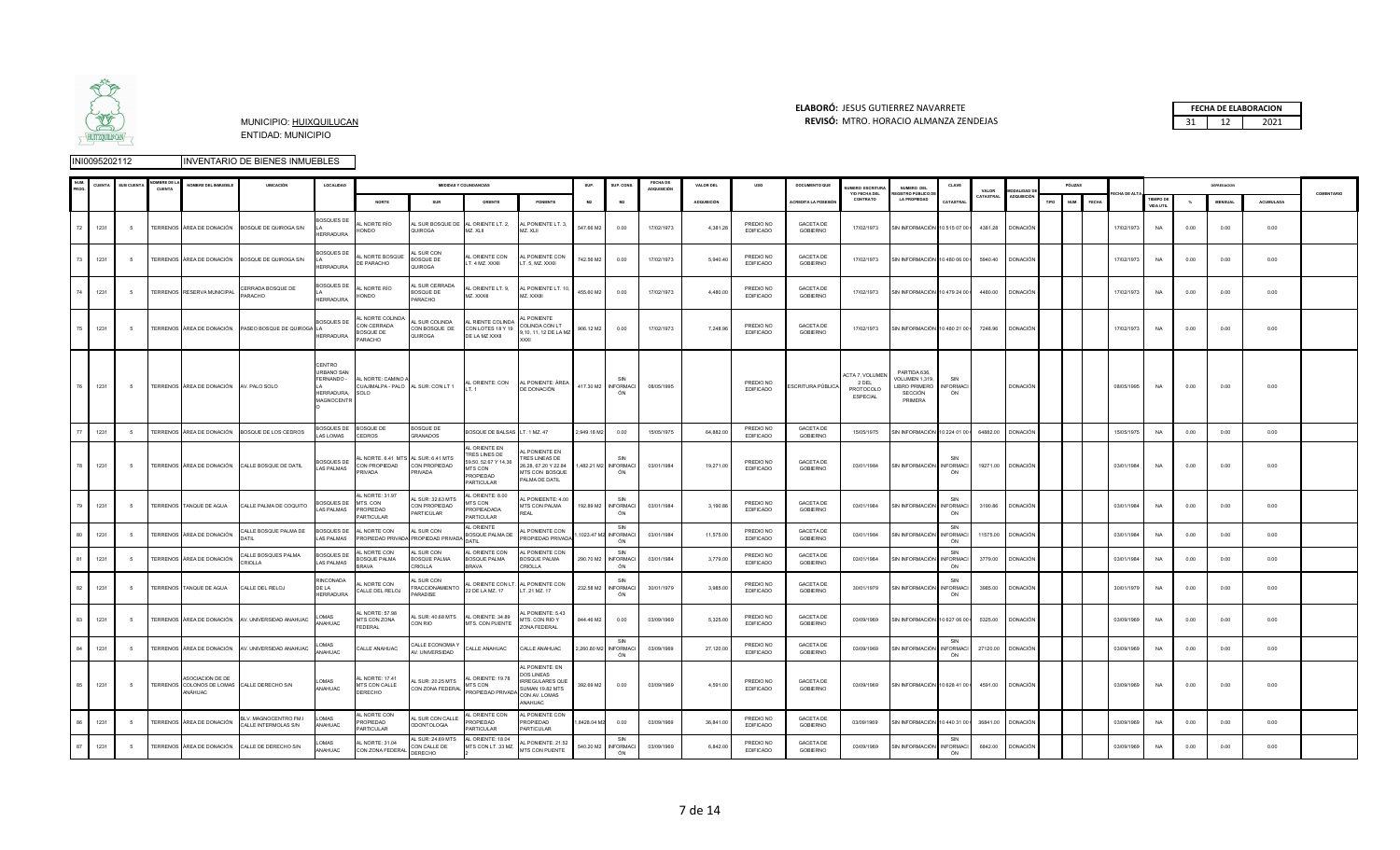

### **ELABORÓ:** JESUS GUTIERREZ NAVARRETE **FECHA DE ELABORACION**  MUNICIPIO: HUIXQUILUCAN **REVISÓ:** 31 12 2021 MTRO. HORACIO ALMANZA ZENDEJAS

|  | <b>FECHA DE ELABORACION</b> |
|--|-----------------------------|
|  | 1071                        |

|             | CUENT | <b>SUB CUENT</b> | OMBRE DE L<br>CUENTA | NOMBRE DEL INMUEBLE                                                        | <b>UBICACIÓN</b>                                     | LOCALIDAD                                                      |                                                                   |                                                 | <b>MEDIDAS Y COLINDANCIAS</b>                                                                |                                                                                                                            | SUP.        | SUP. CONS                          | FECHA DE<br>ADQUISICIÓN | <b>VALOR DEL</b>   | uso                           | DOCUMENTO QUE                       | UMERO ESCRITURA<br>Y/O FECHA DEL                        | NUMERO DEL<br>GISTRO PÚBLICO DI                                            | CLAVE                         | VALOR     | ODALIDAD          |      | PÓLIZAS                   |                   |                                      |          |               |           | COMENTARIO |
|-------------|-------|------------------|----------------------|----------------------------------------------------------------------------|------------------------------------------------------|----------------------------------------------------------------|-------------------------------------------------------------------|-------------------------------------------------|----------------------------------------------------------------------------------------------|----------------------------------------------------------------------------------------------------------------------------|-------------|------------------------------------|-------------------------|--------------------|-------------------------------|-------------------------------------|---------------------------------------------------------|----------------------------------------------------------------------------|-------------------------------|-----------|-------------------|------|---------------------------|-------------------|--------------------------------------|----------|---------------|-----------|------------|
|             |       |                  |                      |                                                                            |                                                      |                                                                | NORTE                                                             | <b>SUR</b>                                      | ORIENTE                                                                                      | PONIENTE                                                                                                                   | M2          | <b>M2</b>                          |                         | <b>ADQUISICIÓN</b> |                               | <b>ACREDITA LA POSESI</b>           | CONTRATO                                                | <b>LA PROPIEDAD</b>                                                        | CATASTRA                      | CATASTRAL | ADQUISICIÓ        | TIPO | NUM <sub>1</sub><br>FECHA |                   | <b>TIEMPO DE</b><br><b>VIDA UTIL</b> | $\gamma$ | <b>MENSUA</b> | ACUMULADA |            |
| 72 <b>I</b> | 1231  | - 5              |                      |                                                                            | TERRENOS ÁREA DE DONACIÓN BOSQUE DE QUIROGA S/N      | OSQUES DE<br><b>IERRADURA</b>                                  | L NORTE RÍO<br>HONDO                                              | AL SUR BOSQUE DE<br>QUIROGA                     | AL ORIENTE LT. 2,<br>MZ. XLII                                                                | AL PONIENTE LT. 3,<br>MZ. XLII                                                                                             | 547.66 M2   | 0.00                               | 17/02/1973              | 4,381.28           | PREDIO NO<br><b>EDIFICADO</b> | <b>GACETA DE</b><br><b>GOBIERNO</b> | 17/02/1973                                              | SIN INFORMACIÓN 10 515 07 00 0                                             |                               |           | 4381.28 DONACIÓN  |      |                           | 17/02/1973        | <b>NA</b>                            | 0.00     | 0.00          | 0.00      |            |
| 73          | 1231  | -5               |                      |                                                                            | TERRENOS ÁREA DE DONACIÓN BOSQUE DE QUIROGA S/N      | <b>BOSQUES DE</b><br><b>HERRADURA</b>                          | AL NORTE BOSQUE<br>DE PARACHO                                     | L SUR CON<br>BOSQUE DE<br>QUIROGA               | <b>L ORIENTE CON</b><br>LT. 4 MZ. XXXII                                                      | AL PONIENTE CON<br>LT. 5, MZ. XXXII                                                                                        | 742.56 M2   | 0.00                               | 17/02/1973              | 5,940.40           | PREDIO NO<br>EDIFICADO        | <b>GACETA DE</b><br><b>GOBIERNO</b> | 17/02/1973                                              | SIN INFORMACIÓN 10 480 06 00 0                                             |                               |           | 5940.40 DONACIÓN  |      |                           | 17/02/1973        | <b>NA</b>                            | 0.00     | 0.00          | 0.00      |            |
|             | 1231  |                  |                      | TERRENOS RESERVA MUNICIPAL                                                 | CERRADA BOSQUE DE<br>PARACHO                         | BOSQUES DE<br><b>HERRADURA</b>                                 | L NORTE RÍO<br>HONDO                                              | L SUR CERRADA<br>OSQUE DE<br>PARACHO            | AL ORIENTE LT. 9,<br>MZ. XXXIII                                                              | AL PONIENTE LT. 1<br>MZ. XXXIII                                                                                            | 455.60 M2   | 0.00                               | 17/02/1973              | 4,480.00           | PREDIO NO<br><b>EDIFICADO</b> | GACETA DE<br>GOBIERNO               | 17/02/1973                                              | SIN INFORMACIÓN 10 479 24 00 0                                             |                               | 4480.00   | <b>DONACIÓN</b>   |      |                           | 17/02/1973        | <b>NA</b>                            | 0.00     | 0.00          | 0.00      |            |
| 75          | 1231  | - 5              |                      |                                                                            | TERRENOS ÁREA DE DONACIÓN PASEO BOSQUE DE QUIROGA LA | <b>BOSQUES DE</b><br><b>IERRADURA</b>                          | L NORTE COLINDA<br>CON CERRADA<br><b>BOSQUE DE</b><br>PARACHO     | AL SUR COLINDA<br>CON BOSQUE DE<br>QUIROGA      | <b>RIENTE COLINDA</b><br>CON LOTES 18 Y 19<br>DE LA MZ XXXII                                 | L PONIENTE<br>COLINDA CON LT<br>9,10, 11, 12 DE LA MZ<br><b>XXXI</b>                                                       | 906.12 M2   | 0.00                               | 17/02/1973              | 7,248.96           | PREDIO NO<br>EDIFICADO        | <b>GACETA DE</b><br>GOBIERNO        | 17/02/1973                                              | SIN INFORMACIÓN 10 480 21 00   7248.96 DONACIÓN                            |                               |           |                   |      |                           | 17/02/1973        | <b>NA</b>                            | 0.00     | 0.00          | 0.00      |            |
|             | 1231  | - 5              |                      | TERRENOS ÁREA DE DONACIÓN AV. PALO SOLO                                    |                                                      | CENTRO<br>URBANO SAN<br>FERNANDO -<br>HERRADURA,<br>MAGNOCENTR | AL NORTE: CAMINO A<br>CUAJIMALPA - PALO AL SUR: CON LT 1<br>SOLO. |                                                 | LT.1                                                                                         | AL ORIENTE: CON AL PONIENTE: ÁREA<br>DE DONACIÓN                                                                           |             | 417.30 M2 INFORMACI<br>ON          | 08/05/1995              |                    | PREDIO NO<br><b>EDIFICADO</b> | ESCRITURA PÚBLICA                   | <b>ACTA 7, VOLUME</b><br>2 DEL<br>PROTOCOLO<br>ESPECIAL | PARTIDA 636.<br>VOLUMEN 1,319<br><b>IBRO PRIMERO</b><br>SECCIÓN<br>PRIMERA | SIN<br>NFORMACI<br>ÓN         |           | <b>DONACIÓN</b>   |      |                           | 08/05/1995        | <b>NA</b>                            | 0.00     | 0.00          | 0.00      |            |
| 77          | 1231  | -5               |                      |                                                                            | TERRENOS ÁREA DE DONACIÓN BOSQUE DE LOS CEDROS       | <b>BOSQUES DE</b><br>AS LOMAS                                  | BOSQUE DE<br>CEDROS                                               | <b>BOSQUE DE</b><br>GRANADOS                    | BOSQUE DE BALSAS LT. 1 MZ. 47                                                                |                                                                                                                            | 2.949.18 M2 | 0.00                               | 15/05/1975              | 64,882.0           | PREDIO NO<br><b>EDIFICADO</b> | <b>GACETA DE</b><br>GOBIERNO        | 15/05/1975                                              | SIN INFORMACIÓN 10 224 01 00 I                                             |                               | 64882.00  | <b>DONACIÓN</b>   |      |                           | 15/05/1975        | NA                                   | 0.00     | 0.00          | 0.00      |            |
| 78          | 1231  | - 5              |                      |                                                                            | TERRENOS ÁREA DE DONACIÓN CALLE BOSQUE DE DATIL      | <b>BOSQUES DE</b><br>AS PALMAS                                 | L NORTE. 6.41 MTS AL SUR: 6.41 MTS<br>CON PROPIEDAD<br>PRIVADA    | CON PROPIEDAD<br>PRIVADA                        | AI ORIENTE EN<br>TRES LINES DE<br>59.50, 52.67 Y 14.36<br>MTS CON<br>PROPIEDAD<br>PARTICULAR | AL PONIENTE EN<br>TRES LINEAS DE<br>26.28, 67.20 Y 22.84<br>MTS CON BOSQUE<br>PALMA DE DATIL                               |             | 1,482.21 M2 INFORMACI<br>ÓN        | 03/01/1984              | 19,271.00          | PREDIO NO<br>EDIFICADO        | <b>GACETA DE</b><br>GOBIERNO        | 03/01/1984                                              | SIN INFORMACIÓN INFORMACI                                                  | ÓN                            |           | 19271.00 DONACIÓN |      |                           | 03/01/1984        | <b>NA</b>                            | 0.00     | 0.00          | 0.00      |            |
| 79          | 1231  | - 5              |                      | TERRENOS TANQUE DE AGUA                                                    | CALLE PALMA DE COQUITO                               | <b>COSOLIES DE</b><br>AS PALMAS                                | AL NORTE: 31.97<br>MTS. CON<br><b>PROPIEDAD</b><br>PARTICULAR     | L SUR: 32.63 MTS<br>CON PROPIEDAD<br>PARTICULAR | AL ORIENTE: 8.00<br>MTS CON<br>PROPIEADADA<br>PARTICULAR                                     | L PONIEENTE: 4.00<br>MTS CON PALMA                                                                                         |             | SIN<br>192.89 M2 INFORMACI<br>ÓN   | 03/01/1984              | 3,190.86           | PREDIO NO<br><b>EDIFICADO</b> | GACETA DE<br>GOBIERNO               | 03/01/1984                                              | SIN INFORMACIÓN                                                            | <b>INFORMACI</b><br>ÓN        |           | 3190.86 DONACIÓN  |      |                           | 03/01/1984        | <b>NA</b>                            | 0.00     | 0.00          | 0.00      |            |
|             | 1231  |                  |                      | TERRENOS ÁREA DE DONACIÓN                                                  | CALLE BOSQUE PALMA DE<br><b>ATIL</b>                 | <b>BOSQUES DE</b><br>AS PALMAS                                 | AL NORTE CON<br><b>PROPIEDAD PRIVAL</b>                           | <b>L SUR CON</b><br>PROPIEDAD PRIVAD.           | AL ORIENTE<br>BOSQUE PALMA DE<br><b>DATIL</b>                                                | AL PONIENTE CON<br>PROPIEDAD PRIVAD/                                                                                       | 1023.47 M   | SIN<br><b>INFORMAC</b><br>ON       | 03/01/1984              | 11,575.00          | PREDIO NO<br>EDIFICADO        | <b>GACETA DE</b><br>GOBIERNO        | 03/01/1984                                              | SIN INFORMACIÓN                                                            | SIN<br><b>INFORMAC</b><br>ÓN  | 11575.00  | <b>DONACIÓN</b>   |      |                           | 03/01/1984        | <b>NA</b>                            | 0.00     | 0.00          | 0.00      |            |
|             | 1231  | -5               |                      | TERRENOS ÁREA DE DONACIÓN                                                  | CALLE BOSQUES PALMA<br>RIOLLA                        | <b>BOSQUES DE</b><br>AS PALMAS                                 | <b>L NORTE CON</b><br>BOSQUE PALMA<br><b>RAVA</b>                 | AL SUR CON<br>BOSQUE PALMA<br><b>RIOLLA</b>     | AL ORIENTE CON<br>BOSQUE PALMA<br>RAVA                                                       | AL PONIENTE CON<br>BOSQUE PALMA<br>CRIOLLA                                                                                 | 290.70 M2   | SIN<br><b>INFORMAC</b><br>ÓN       | 03/01/1984              | 3,779.00           | PREDIO NO<br>EDIFICADO        | <b>GACETA DI</b><br><b>GOBIERNO</b> | 03/01/1984                                              | SIN INFORMACIÓN                                                            | <b>INFORMACI</b><br>ÓN        | 3779.00   | <b>DONACIÓN</b>   |      |                           | 03/01/1984        | <b>NA</b>                            | 0.00     | 0.00          | 0.00      |            |
| 82          | 1231  | - 5              |                      | TERRENOS TANQUE DE AGUA                                                    | CALLE DEL RELOJ                                      | RINCONADA<br>DE LA<br>HERRADURA                                | AL NORTE CON<br>CALLE DEL RELOJ                                   | L SUR CON<br><b>RACCIONAMIENTO</b><br>PARADISE  | L ORIENTE CON LT.<br>22 DE LA MZ. 17                                                         | AL PONIENTE CON<br>LT. 21 MZ. 17                                                                                           |             | SIN<br>232.58 M2 INFORMACI<br>ÓN   | 30/01/1979              | 3,985.00           | PREDIO NO<br><b>EDIFICADO</b> | <b>GACETA DE</b><br><b>GOBIERNO</b> | 30/01/1979                                              | SIN INFORMACIÓN                                                            | SIN<br><b>INFORMACI</b><br>ÓN | 3985.00   | <b>DONACIÓN</b>   |      |                           | 30/01/1979        | <b>NA</b>                            | 0.00     | 0.00          | 0.00      |            |
| 83.         | 1231  | -5               |                      |                                                                            | TERRENOS ÁREA DE DONACIÓN AV. UNIVERSIDAD ANAHUAC    | <b>DMAS</b><br>ANAHUAC                                         | L NORTE: 57.98<br>MTS CON ZONA<br>FEDERAL                         | L SUR: 40.68 MTS<br>CON RIO                     | AL ORIENTE: 34.89<br>MTS. CON PUENTE                                                         | L PONIENTE: 5.43<br>MTS. CON RIO Y<br>ZONA FEDERAL                                                                         | 844.46 M2   | 0.00                               | 03/09/1969              | 5,325.00           | PREDIO NO<br><b>EDIFICADO</b> | <b>GACETA DE</b><br>GOBIERNO        | 03/09/1969                                              | SIN INFORMACIÓN 10 627 06 00 0                                             |                               | 5325.00   | <b>DONACIÓN</b>   |      |                           | 03/09/1969        | NA                                   | 0.00     | 0.00          | 0.00      |            |
|             | 1231  | -5               |                      |                                                                            | TERRENOS ÁREA DE DONACIÓN AV. UNIVERSIDAD ANAHUAC    | <b>DMAS</b><br>WAHUAC                                          | CALLE ANAHUAC                                                     | ALLE ECONOMIA Y<br>AV. UNIVERSIDAD              | CALLE ANAHUAC                                                                                | CALLE ANAHUAC                                                                                                              |             | SIN<br>2,260.80 M2 INFORMACI<br>ÓN | 03/09/1969              | 27,120.00          | PREDIO NO<br><b>EDIFICADO</b> | GACETA DE<br>GOBIERNO               | 03/09/1969                                              | SIN INFORMACIÓN                                                            | SIN<br><b>INFORMACI</b><br>ÓN | 27120.00  | <b>DONACIÓN</b>   |      |                           | 03/09/1969        | NA                                   | 0.00     | 0.00          | 0.00      |            |
| 85          | 1231  | - 5              |                      | ASOCIACION DE DE<br>TERRENOS COLONOS DE LOMAS CALLE DERECHO S/N<br>ANÁHUAC |                                                      | LOMAS<br>ANAHUAC                                               | L NORTE: 17.41<br>MTS CON CALLE<br>DERECHO                        | AL SUR: 20.25 MTS<br>CON ZONA FEDERAL           | ORIENTE: 19.78<br>MTS CON<br>PROPIEDAD PRIVADA                                               | AL PONIENTE: EN<br><b>DOS LINEAS</b><br><b>IRREGULARES QUE</b><br><b>SUMAN 19.82 MTS</b><br>CON AV. LOMAS<br><b>NAHUAC</b> | 392.69 M2   | 0.00                               | 03/09/1969              | 4,591.0            | PREDIO NO<br><b>EDIFICADO</b> | <b>GACETA DE</b><br>GOBIERNO        | 03/09/1969                                              | SIN INFORMACIÓN 10 628 41 00 1                                             |                               |           | 4591.00 DONACIÓN  |      |                           | 03/09/1969        | NA                                   | 0.00     | 0.00          | 0.00      |            |
|             | 1231  |                  |                      | TERRENOS ÁREA DE DONACIÓN                                                  | BLV. MAGNOCENTRO FM.I<br>CALLE INTERMOLAS S/N        | OMAS<br>ANAHUAC                                                | AL NORTE CON<br><b>ROPIEDAD</b><br>ARTICULAR                      | L SUR CON CALLE<br>ODONTOLOGIA                  | AL ORIENTE CON<br>PROPIEDAD<br>ARTICULAR                                                     | AL PONIENTE CON<br>PROPIEDAD<br>PARTICULAR                                                                                 | 8428.04 N   | 0.00                               | 03/09/1969              | 36,841.00          | PREDIO NO<br>EDIFICADO        | <b>GACETA DE</b><br>GOBIERNO        | 03/09/1969                                              | SIN INFORMACIÓN                                                            | 10 440 31 00                  | 36841.00  | <b>DONACIÓN</b>   |      |                           | 03/09/1969        | NA                                   | 0.00     | 0.00          | 0.00      |            |
|             | 1231  | 5                |                      |                                                                            | TERRENOS ÁREA DE DONACIÓN CALLE DE DERECHO S/N       | <b>DMAS</b><br>NAHUAC                                          | L NORTE: 31.04<br>CON ZONA FEDERAL                                | L SUR: 24.69 MTS<br>CON CALLE DE<br>DERECHO     | AL ORIENTE: 18.04<br>MTS CON LT. 33 MZ.                                                      | AL PONIENTE: 21.52<br>MTS CON PUENTE                                                                                       | 540.20 M2   | SIN<br><b>INFORMACI</b><br>ÓN      | 03/09/1969              | 6,842.0            | PREDIO NO<br>EDIFICADO        | <b>GACETA DE</b><br><b>GOBIERNO</b> | 03/09/1969                                              | SIN INFORMACIÓN                                                            | SIN<br><b>INFORMACI</b><br>ÓN | 6842.00   | <b>DONACIÓN</b>   |      |                           | <b>03/09/1969</b> | <b>NA</b>                            | 0.00     | 0.00          | 0.00      |            |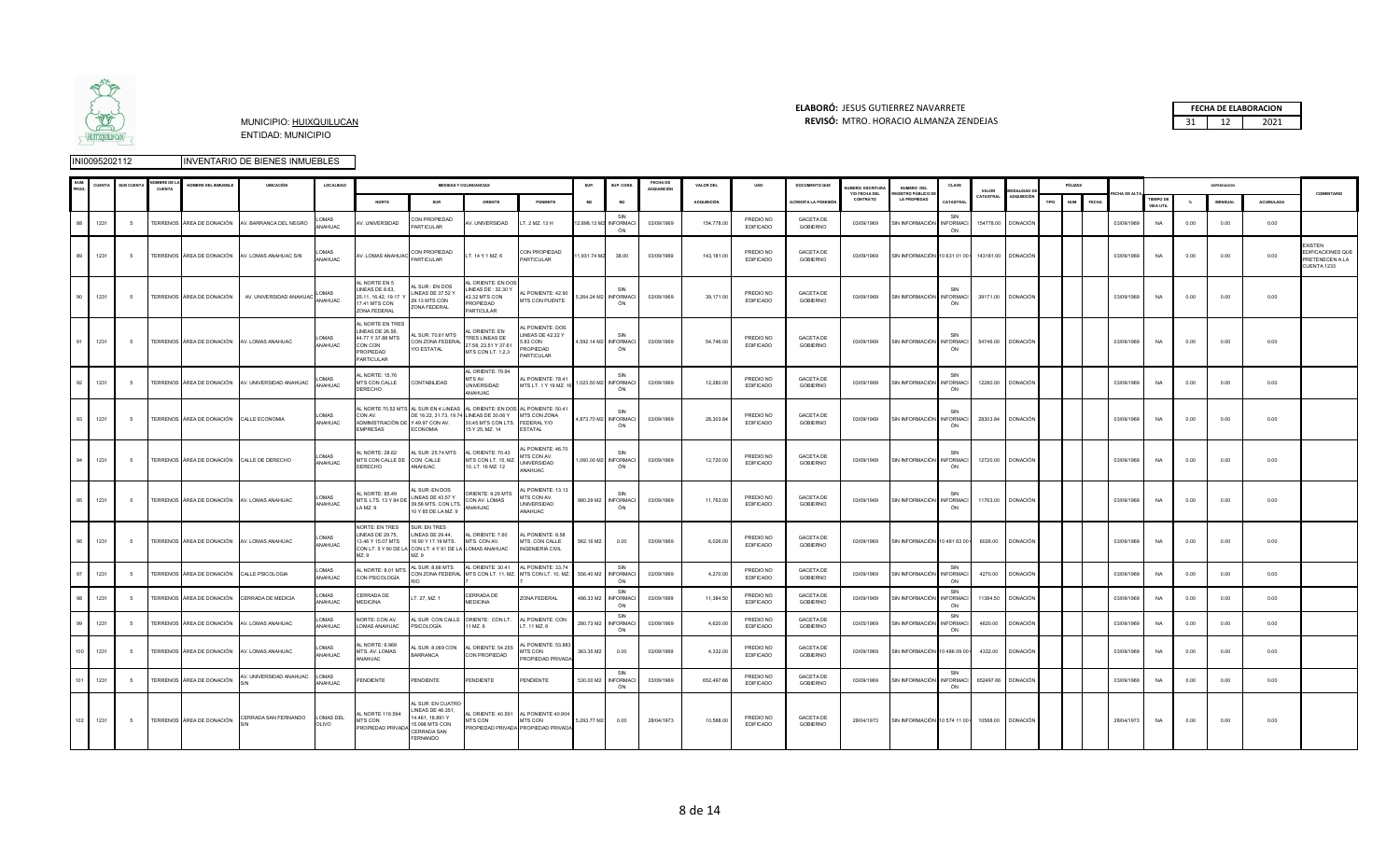

### **ELABORÓ:** JESUS GUTIERREZ NAVARRETE **FECHA DE ELABORACION**  MUNICIPIO: HUIXQUILUCAN **REVISÓ:** 31 12 2021 MTRO. HORACIO ALMANZA ZENDEJAS

|     | <b>CUENT</b> | SUB CUENT | <b>BREDE</b><br><b>CUENT/</b> | NOMBRE DEL INMUEBLE                         | UBICACIÓN                                         | LOCALIDAD                 |                                                                                                |                                                                                                                           | <b>MEDIDAS Y COLINDANCIAS</b>                                                                                                                                                |                                                                                                | SUP.             | SUP. CONS                          | <b>FECHA DE</b><br>ADQUISICIÓN | VALOR DEL          | uso                           | <b>DOCUMENTO QUE</b>                | <b>UMFRO ESCRITUR</b><br>Y/O FECHA DEL | NUMERO DEL<br>FGISTRO PÚBLICO D                   | CLAVE                         | VALOR     | MODALIDAD I        |      | PÓLIZAS                    |            |                               |                  | DEPRESIACION |           | COMENTARIO                                                           |
|-----|--------------|-----------|-------------------------------|---------------------------------------------|---------------------------------------------------|---------------------------|------------------------------------------------------------------------------------------------|---------------------------------------------------------------------------------------------------------------------------|------------------------------------------------------------------------------------------------------------------------------------------------------------------------------|------------------------------------------------------------------------------------------------|------------------|------------------------------------|--------------------------------|--------------------|-------------------------------|-------------------------------------|----------------------------------------|---------------------------------------------------|-------------------------------|-----------|--------------------|------|----------------------------|------------|-------------------------------|------------------|--------------|-----------|----------------------------------------------------------------------|
|     |              |           |                               |                                             |                                                   |                           | <b>NORTE</b>                                                                                   | SUR                                                                                                                       | ORIENTE                                                                                                                                                                      | PONIENTE                                                                                       | M2               | M2                                 |                                | <b>ADQUISICIÓN</b> |                               | <b>CREDITA LA POSESIÓ</b>           | CONTRATO                               | <b>LA PROPIEDAD</b>                               | CATASTRA                      | CATASTRAL | ADQUISICIÓ         | TIPO | <b>NUM</b><br><b>FECHA</b> | CHA DE AL  | <b>TIEMPO DI</b><br>VIDA UTIL | $\gamma_{\rm o}$ | MENSUAL      | ACUMULADA |                                                                      |
|     | 1231         |           |                               |                                             | TERRENOS ÁREA DE DONACIÓN AV. BARRANCA DEL NEGRO  | OMAS<br>ANAHUAC           | V. UNIVERSIDAD                                                                                 | CON PROPIEDAD<br>PARTICULAR                                                                                               | V. UNIVERSIDAD                                                                                                                                                               | LT. 2 MZ. 13 H                                                                                 |                  | SIN<br>2,898.13 M2 INFORMACI<br>ÓN | 03/09/1969                     | 154,778.00         | PREDIO NO<br><b>EDIFICADO</b> | GACETA DE<br>GOBIERNO               | 03/09/1969                             | SIN INFORMACIÓN                                   | SIN<br><b>INFORMACI</b><br>ÓN |           | 154778.00 DONACIÓN |      |                            | 03/09/1969 | <b>NA</b>                     | 0.00             | 0.00         | 0.00      |                                                                      |
|     | 1231         | $-5$      |                               |                                             | TERRENOS ÁREA DE DONACIÓN AV. LOMAS ANAHUAC S/N   | .OMAS<br>WAHUAC           | AV. LOMAS ANAHUAC                                                                              | CON PROPIEDAD<br>PARTICULAR                                                                                               | LT. 14 Y 1 MZ. 6                                                                                                                                                             | CON PROPIEDAD<br><b>ARTICULAR</b>                                                              | 1,931.74 M2      | 38.00                              | 03/09/1969                     | 143,181.00         | PREDIO NO<br>EDIFICADO        | <b>GACETA DE</b><br><b>GOBIERNO</b> | 03/09/1969                             | SIN INFORMACIÓN 10 631 01 00   143181.00 DONACIÓN |                               |           |                    |      |                            | 03/09/1969 | <b>NA</b>                     | 0.00             | 0.00         | 0.00      | <b>YISTEN</b><br>EDIFICACIONES QUE<br>PRETENECEN A LA<br>CUENTA 1233 |
| 90  | 1231         | - 5       |                               | TERRENOS ÁREA DE DONACIÓN                   | AV. UNIVERSIDAD ANAHUAC                           | OMAS<br>ANAHUAC           | AL NORTE EN 5<br>LINEAS DE 8.63,<br>25.11, 16.42, 19.17<br>17.41 MTS CON<br>ZONA FEDERAL       | L SUR : EN DOS<br>LINEAS DE 37.52 Y<br>29.13 MTS CON<br>ZONA FEDERAL                                                      | AL ORIENTE: EN DO<br>INEAS DE: 32.30 Y<br>42.32 MTS CON<br>PROPIEDAD<br>ARTICULAR                                                                                            | AL PONIENTE: 42.90<br>MTS CON PUENTE                                                           |                  | SIN<br>5,264.24 M2 INFORMACI<br>ÓN | 03/09/1969                     | 39,171.00          | PREDIO NO<br>EDIFICADO        | <b>GACETA DE</b><br><b>GOBIERNO</b> | 03/09/1969                             | SIN INFORMACIÓN INFORMACI                         | SIN<br>ÓN                     |           | 39171.00 DONACIÓN  |      |                            | 03/09/1969 | <b>NA</b>                     | 0.00             | 0.00         | 0.00      |                                                                      |
|     | 1231         | - 5       |                               | TERRENOS ÁREA DE DONACIÓN AV. LOMAS ANAHUAC |                                                   | OMAS<br>ANAHUAC           | AL NORTE EN TRES<br>LINEAS DE 26.56,<br>44.77 Y 37.88 MTS<br>CON CON<br>ROPIEDAD<br>PARTICULAR | L SUR: 70.61 MTS<br>CON ZONA FEDERAL<br>Y/O ESTATAL                                                                       | L ORIENTE: EN<br>TRES LINEAS DE<br>27.58, 23.51 Y 37.61<br>MTS CON LT. 1,2,3                                                                                                 | L PONIENTE: DOS<br>LINEAS DE 42.32 Y<br>5.83 CON<br>PROPIEDAD<br>PARTICULAR                    |                  | SIN<br>4,592.14 M2 INFORMACI<br>ÓN | 03/09/1969                     | 54 746 00          | PREDIO NO<br>EDIFICADO        | <b>GACETA DE</b><br><b>GOBIERNO</b> | 03/09/1969                             | SIN INFORMACIÓN INFORMACI                         | SIN<br>ÓN                     |           | 54746.00 DONACIÓN  |      |                            | 03/09/1969 | <b>NA</b>                     | 0.00             | 0.00         | 0.00      |                                                                      |
| 92  | 1231         | - 5       |                               |                                             | TERRENOS ÁREA DE DONACIÓN AV. UNIVERSIDAD ANAHUAC | MAS<br><b>NAHUAC</b>      | L NORTE: 15.76<br>MTS CON CALLE<br>DERECHO                                                     | CONTABILIDAD                                                                                                              | AL ORIENTE: 79.94<br>ITS AV.<br>UNIVERSIDAD<br>ANAHUAC                                                                                                                       | L PONIENTE: 78.41<br>MTS LT. 1 Y 19 MZ. 1                                                      |                  | SIN<br>1,023.50 M2 INFORMACI<br>ÓN | 03/09/1969                     | 12,280.00          | PREDIO NO<br><b>EDIFICADO</b> | <b>GACETA DE</b><br>GOBIERNO        | 03/09/1969                             | SIN INFORMACIÓN INFORMACI                         | SIN<br>ÓN                     |           | 12280.00 DONACIÓN  |      |                            | 03/09/1969 | <b>NA</b>                     | 0.00             | 0.00         | 0.00      |                                                                      |
| 93  | 1231         | - 5       |                               | TERRENOS ÁREA DE DONACIÓN                   | CALLE ECONOMIA                                    | LOMAS<br>ANAHUAC          | CON AV.<br>ADMINISTRACIÓN DE Y 49.97 CON AV.<br>EMPRESAS                                       | <b>ECONOMIA</b>                                                                                                           | AL NORTE 70.52 MTS AL SUR EN 4 LINEAS AL ORIENTE: EN DOS AL PONIENTE: 50.41<br>DE 16.22, 31.73, 19.74 LINEAS DE 30.06 Y<br>30.45 MTS CON LTS. FEDERAL Y/O<br>15 Y 25, MZ. 14 | MTS CON ZONA<br><b>FSTATAL</b>                                                                 |                  | SIN<br>4,873.70 M2 INFORMACI<br>ÓN | 03/09/1969                     | 28,303.84          | PREDIO NO<br><b>EDIFICADO</b> | <b>GACETA DE</b><br>GOBIERNO        | 03/09/1969                             | SIN INFORMACIÓN INFORMACI                         | ÓN                            | 28303.84  | <b>DONACIÓN</b>    |      |                            | 03/09/1969 | <b>NA</b>                     | 0.00             | 0.00         | 0.00      |                                                                      |
|     | 1231         | - 5       |                               | TERRENOS ÁREA DE DONACIÓN CALLE DE DERECHO  |                                                   | LOMAS<br>ANAHUAC          | L NORTE: 28.62<br>MTS CON CALLE DE<br>DERECHO                                                  | AL SUR: 25.74 MTS<br>CON CALLE<br>ANAHUAC                                                                                 | AL ORIENTE: 70.43<br>MTS CON LT. 15, MZ.<br>10, LT. 16 MZ. 12                                                                                                                | AL PONIENTE: 46.70<br>MTS CON AV.<br>UNIVERSIDAD<br>ANAHUAC                                    |                  | SIN<br>1,060.00 M2 INFORMACI<br>ÓN | 03/09/1969                     | 12,720.00          | PREDIO NO<br>EDIFICADO        | <b>GACETA DE</b><br><b>GOBIERNO</b> | 03/09/1969                             | SIN INFORMACIÓN                                   | <b>INFORMACI</b><br>ÓN        | 12720.00  | <b>DONACIÓN</b>    |      |                            | 03/09/1969 | NA                            | 0.00             | 0.00         | 0.00      |                                                                      |
|     | 1231         | -5        |                               | TERRENOS ÁREA DE DONACIÓN AV. LOMAS ANAHUAC |                                                   | <b>LOMAS</b><br>ANAHUAC   | AL NORTE: 85.49<br>MTS. LTS. 13 Y 84 DE<br>LAMZ. 9                                             | L SUR: EN DOS<br>LINEAS DE 43.57 Y<br>39.58 MTS. CON LTS.<br>10 Y 85 DE LA MZ. 9                                          | ORIENTE: 9.29 MTS<br>CON AV. LOMAS<br>ANAHUAC                                                                                                                                | <b>I PONIENTE: 13.13</b><br>MTS CON AV.<br><b>UNIVERSIDAD</b><br>ANAHUAC                       |                  | SIN<br>980.29 M2 INFORMACI<br>ÓN   | 03/09/1969                     | 11,763.00          | PREDIO NO<br><b>EDIFICADO</b> | <b>GACETA DE</b><br>GOBIERNO        | 03/09/1969                             | SIN INFORMACIÓN INFORMACI                         | ÓN                            |           | 11763.00 DONACIÓN  |      |                            | 03/09/1969 | <b>NA</b>                     | 0.00             | 0.00         | 0.00      |                                                                      |
| 96  | 1231         | $\sim$    |                               | TERRENOS ÁREA DE DONACIÓN AV. LOMAS ANAHUAC |                                                   | OMAS<br>ANAHUAC           | NORTE: EN TRES<br>LINEAS DE 29.75,<br>13.46 Y 15.07 MTS<br>M7 9                                | SUR: EN TRES<br>LINEAS DE 29.44,<br>16.90 Y 17.19 MTS.<br>CON LT. 5 Y 90 DE LA CON LT. 4 Y 91 DE LA LOMAS ANAHUAC<br>MZ 9 | AL ORIENTE: 7.60<br>MTS. CON AV.                                                                                                                                             | AL PONIENTE: 8.58<br>MTS, CON CALLE<br><b>INGENIERIA CIVIL</b>                                 | 562.16 M2        | 0.00                               | 03/09/1969                     | 6.026.00           | PREDIO NO<br><b>EDIFICADO</b> | GACETA DE<br><b>GOBIERNO</b>        | 03/09/1969                             | SIN INFORMACIÓN 10 481 63 00   6026.00 DONACIÓN   |                               |           |                    |      |                            | 03/09/1969 | <b>NA</b>                     | 0.00             | 0.00         | 0.00      |                                                                      |
|     | 1231         |           |                               | TERRENOS ÁREA DE DONACIÓN CALLE PSICOLOGIA  |                                                   | <b>LOMAS</b><br>ANAHUAC   | AL NORTE: 8.01 MTS<br>CON PSICOLOGÍA                                                           | AL SUR: 8.66 MTS                                                                                                          | AL ORIENTE: 30.41 AL PONIENTE: 33.74<br>CON ZONA FEDERAL MTS CON LT. 11, MZ. MTS CON LT. 10, MZ.                                                                             |                                                                                                |                  | SIN<br>556.40 M2 INFORMACI<br>ÓN   | 03/09/1969                     | 4,270.00           | PREDIO NO<br><b>EDIFICADO</b> | <b>GACETA DE</b><br><b>GOBIERNO</b> | 03/09/1969                             | SIN INFORMACIÓN INFORMACI                         | SIN<br>ÓN                     | 4270.00   | <b>DONACIÓN</b>    |      |                            | 03/09/1969 | <b>NA</b>                     | 0.00             | 0.00         | 0.00      |                                                                      |
|     | 1231         | -5        |                               | TERRENOS ÁREA DE DONACIÓN                   | CERRADA DE MEDICIA                                | OMAS.<br>ANAHUAC          | CERRADA DE<br>MEDICINA                                                                         | T. 27, MZ. 1                                                                                                              | CERRADA DE<br><b>IEDICINA</b>                                                                                                                                                | ZONA FEDERAL                                                                                   | 486.33 M2        | SIN<br><b>INFORMAC</b><br>ÓN       | 03/09/1969                     | 11,384.5           | PREDIO NO<br><b>EDIFICADO</b> | <b>GACETA DE</b><br><b>GOBIERNO</b> | 03/09/1969                             | SIN INFORMACIÓN                                   | SIN<br>NFORMACI<br>ÓN         | 11384.50  | DONACIÓN           |      |                            | 03/09/1969 | <b>NA</b>                     | 0.00             | 0.00         | 0.00      |                                                                      |
|     | 1231         | -5        |                               | TERRENOS ÁREA DE DONACIÓN                   | AV. LOMAS ANAHUAC                                 | OMAS<br>ANAHUAC           | NORTE: CON AV.<br>LOMAS ANAHUAC                                                                | PSICOLOGÍA                                                                                                                | AL SUR CON CALLE ORIENTE: CON LT.<br>11 MZ. 6                                                                                                                                | AL PONIENTE: CON<br>T. 11 MZ. 6                                                                | 280.73 M2        | SIN<br><b>INFORMAC</b><br>ÓN       | 03/09/1969                     | 4,620.0            | PREDIO NO<br><b>EDIFICADO</b> | <b>GACETA DE</b><br>GOBIERNO        | 03/05/1969                             | SIN INFORMACIÓN                                   | <b>INFORMAC</b><br>ÓN         | 4620.00   | <b>DONACIÓN</b>    |      |                            | 03/09/1969 | <b>NA</b>                     | 0.00             | 0.00         | 0.00      |                                                                      |
| 100 | 1231         | -5        |                               | TERRENOS ÁREA DE DONACIÓN AV. LOMAS ANAHUAC |                                                   | LOMAS<br>ANAHUAC          | L NORTE: 6.969<br>MTS. AV. LOMAS<br>ANAHUAC                                                    | L SUR: 8.069 CON<br>BARRANCA                                                                                              | AL ORIENTE: 54.255<br>CON PROPIEDAD                                                                                                                                          | L PONIENTE: 53.88<br>MTS CON<br>PROPIEDAD PRIVADA                                              | 363.35 M2        | 0.00                               | 03/09/1969                     | 4,332.00           | PREDIO NO<br>EDIFICADO        | GACETA DE<br><b>GOBIERNO</b>        | 03/09/1969                             | SIN INFORMACIÓN 10 486 09 00 0                    |                               | 4332.00   | <b>DONACIÓN</b>    |      |                            | 03/09/1969 | <b>NA</b>                     | 0.00             | 0.00         | 0.00      |                                                                      |
|     | 1231         | -5        |                               | TERRENOS ÁREA DE DONACIÓN                   | AV. UNIVERSIDAD ANAHUAC                           | <b>LOMAS</b><br>ANAHUAC   | PENDIENTE                                                                                      | PENDIENTE                                                                                                                 | PENDIENTE                                                                                                                                                                    | PENDIENTE                                                                                      | 530.00 M2        | SIN<br><b>INFORMACI</b><br>ÓN      | 03/09/1969                     | 652,497.66         | PREDIO NO<br><b>EDIFICADO</b> | GACETA DE<br>GOBIERNO               | 03/09/1969                             | SIN INFORMACIÓN INFORMACI                         | SIN<br>ÓN                     | 652497.66 | <b>DONACIÓN</b>    |      |                            | 03/09/1969 | <b>NA</b>                     | 0.00             | 0.00         | 0.00      |                                                                      |
|     | 102 1231     | 5         |                               | TERRENOS ÁREA DE DONACIÓN                   | CERRADA SAN FERNANDO                              | <b>LOMAS DEL</b><br>OLIVO | L NORTE 116.594<br>MTS CON<br>PROPIEDAD PRIVADA                                                | AL SUR: EN CUATRO<br>LINEAS DE 46.351,<br>14.461, 18.891 Y<br>15.098 MTS CON<br>CERRADA SAN<br>FERNANDO                   | MTS CON                                                                                                                                                                      | AL ORIENTE: 40.591 AL PONIENTE 40.904<br><b>MTS CON</b><br>PROPIEDAD PRIVADA PROPIEDAD PRIVADA | 5,293.77 M2 0.00 |                                    | 28/04/1973                     | 10,588.00          | PREDIO NO<br>EDIFICADO        | GACETA DE<br>GOBIERNO               | 28/04/1973                             | SIN INFORMACIÓN 10 574 11 00 ( 10588.00 DONACIÓN  |                               |           |                    |      |                            | 28/04/1973 | <b>NA</b>                     | 0.00             | 0.00         | 0.00      |                                                                      |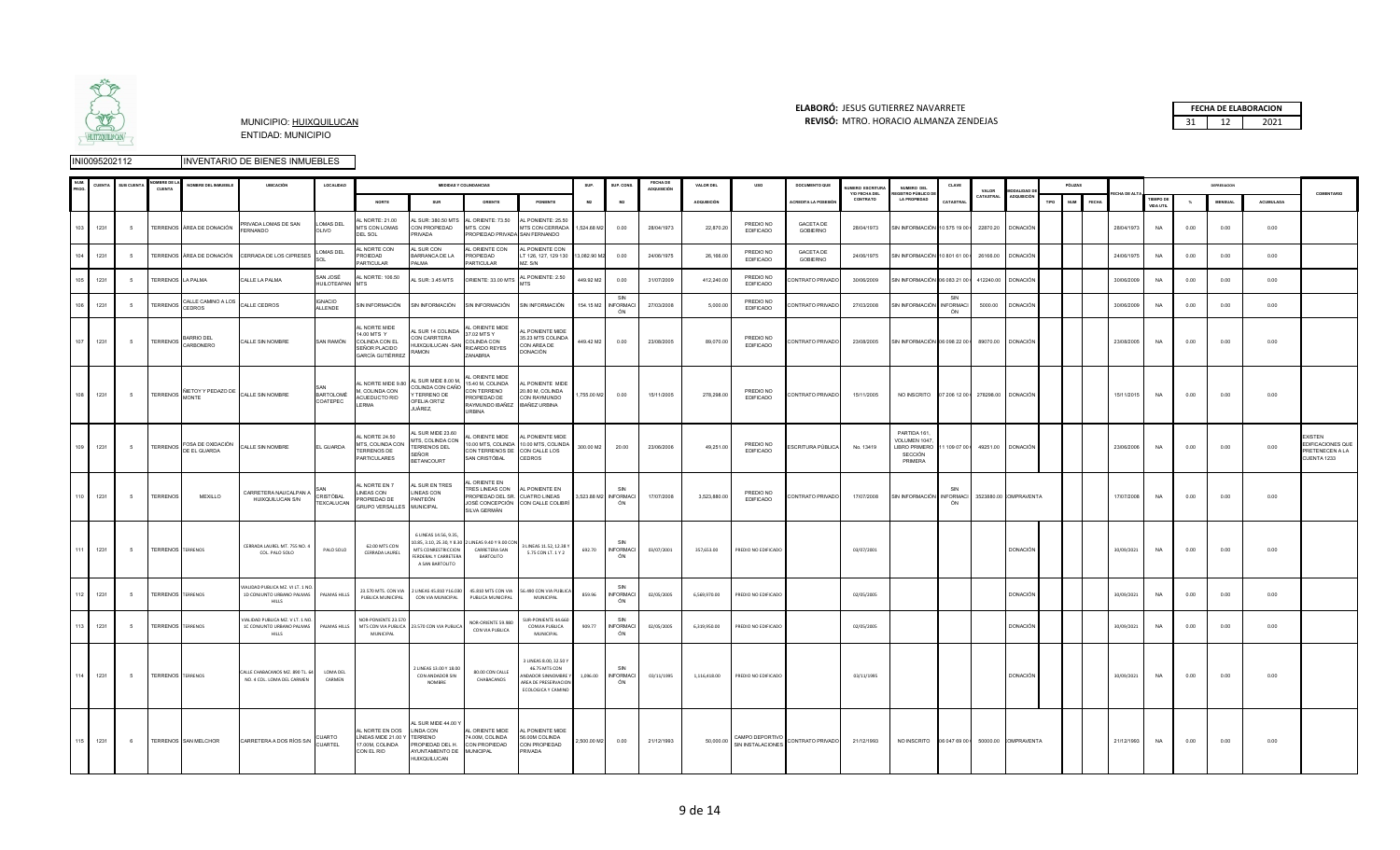

### **ELABORÓ:** JESUS GUTIERREZ NAVARRETE **FECHA DE ELABORACION**  MUNICIPIO: HUIXQUILUCAN **REVISÓ:** 31 12 2021 MTRO. HORACIO ALMANZA ZENDEJAS

|  | <b>FECHA DE ELABORACION</b> |
|--|-----------------------------|
|  | 1071                        |

|     | <b>LIENT</b> | <b>SUB CUENTA</b> | <b>MBREDE</b><br>CUENTA  | NOMBRE DEL INMUEBLE                 | UBICACIÓN                                                                           | LOCALIDAD                    |                                                                                   |                                                                                                                    | <b>MEDIDAS Y COLINDANCIAS</b>                                                                                        |                                                                                                         | SUP.        | SUP. CONS                          | FECHA DE<br>ADQUISICIÓN | VALOR DEL          | uso                                  | <b>DOCUMENTO QUE</b>         | UMERO ESCRITURA<br>Y/O FECHA DEL | NUMERO DEL<br>GISTRO PÚBLICO I                                     | CLAVE                         | VALOR     | <b>MODALIDAD</b>       |                    | PÓLIZAS |            |                       |      | DEPRESIACION   |           | COMENTARIO                                                          |
|-----|--------------|-------------------|--------------------------|-------------------------------------|-------------------------------------------------------------------------------------|------------------------------|-----------------------------------------------------------------------------------|--------------------------------------------------------------------------------------------------------------------|----------------------------------------------------------------------------------------------------------------------|---------------------------------------------------------------------------------------------------------|-------------|------------------------------------|-------------------------|--------------------|--------------------------------------|------------------------------|----------------------------------|--------------------------------------------------------------------|-------------------------------|-----------|------------------------|--------------------|---------|------------|-----------------------|------|----------------|-----------|---------------------------------------------------------------------|
|     |              |                   |                          |                                     |                                                                                     |                              | <b>NORTE</b>                                                                      | SUR                                                                                                                | ORIENTE                                                                                                              | PONIENTE                                                                                                | M2          | M2                                 |                         | <b>ADQUISICIÓN</b> |                                      | <b>ACREDITA LA POSESIÓ</b>   | CONTRATO                         | <b>LA PROPIEDAD</b>                                                | CATASTRAI                     | CATASTRAL | <b>ADQUISICIÓ</b>      | TIPO<br><b>NUM</b> | FECH.   |            | TIEMPO D<br>VIDA UTIL |      | <b>MENSUAL</b> | ACUMULADA |                                                                     |
|     | 1231<br>103  | -5                |                          | TERRENOS ÁREA DE DONACIÓN           | <b>RIVADA LOMAS DE SAN</b><br><b>FRNANDO</b>                                        | OMAS DEL<br>OLIVO            | NORTE: 21.00<br>MTS CON LOMAS<br>DEL SOL                                          | L SUR: 380.50 MTS<br>CON PROPIEDAD<br>RIVADA                                                                       | AL ORIENTE: 73.50<br>MTS, CON<br>ROPIEDAD PRIVADA SAN FERNANDO                                                       | AL PONIENTE: 25.50<br>MTS CON CERRADA 1,524.68 M2                                                       |             | 0.00                               | 28/04/1973              | 22,870.20          | PREDIO NO<br><b>EDIFICADO</b>        | <b>GACETA DE</b><br>GOBIERNO | 28/04/1973                       | SIN INFORMACIÓN 10 575 19 00   22870.20 DONACIÓN                   |                               |           |                        |                    |         | 28/04/1973 | <b>NA</b>             | 0.00 | 0.00           | 0.00      |                                                                     |
|     | 1231         |                   |                          |                                     | TERRENOS ÁREA DE DONACIÓN CERRADA DE LOS CIPRESES                                   | OMAS DEL                     | L NORTE CON<br><b>ROIEDAD</b><br>PARTICULAR                                       | AL SUR CON<br>ARRANCA DE LA<br>PALMA                                                                               | AL ORIENTE CON<br>PROPIEDAD<br><b>ARTICULAR</b>                                                                      | AL PONIENTE CON<br>T 126, 127, 129 130<br>MZ. S/N                                                       | 3,082.90 N  | 0.00                               | 24/06/1975              | 26,166.00          | PREDIO NO<br><b>EDIFICADO</b>        | <b>GACETA DE</b><br>GOBIERNO | 24/06/1975                       | SIN INFORMACIÓN 10 801 61 00                                       |                               | 26166.00  | <b>DONACIÓN</b>        |                    |         | 24/06/1975 | <b>NA</b>             | 0.00 | 0.00           | 0.00      |                                                                     |
|     | 1231         | -5                | <b>TERRENOS</b>          | LA PALMA                            | CALLE LA PALMA                                                                      | SAN JOSÉ<br>HUILOTEAPAN      | L NORTE: 106.50<br><b>ZTM</b>                                                     | L SUR: 3.45 MTS                                                                                                    | ORIENTE: 33.00 MTS                                                                                                   | L PONIENTE: 2.50                                                                                        | 449.92 M2   | 0.00                               | 31/07/2009              | 412,240.0          | PREDIO NO<br>EDIFICADO               | CONTRATO PRIVADO             | 30/06/2009                       | SIN INFORMACIÓN 06 083 21 00 0                                     |                               | 412240.00 | <b>DONACIÓN</b>        |                    |         | 30/06/2009 | NA                    | 0.00 | 0.00           | 0.00      |                                                                     |
|     | 1231         | -5                | TERRENOS                 | CALLE CAMINO A LOS<br>CEDROS        | ALLE CEDROS                                                                         | GNACIO<br><b>ILLENDE</b>     | <b>SIN INFORMACIÓN</b>                                                            | SIN INFORMACIÓN                                                                                                    | SIN INFORMACIÓN                                                                                                      | SIN INFORMACIÓN                                                                                         | 154.15 M2   | SIN<br><b>INFORMACI</b><br>ÓN      | 27/03/2008              | 5.000.0            | PREDIO NO<br><b>EDIFICADO</b>        | CONTRATO PRIVADO             | 27/03/2008                       | SIN INFORMACIÓN                                                    | SIN<br><b>INFORMAC</b><br>ÓN  | 5000.00   | <b>DONACIÓN</b>        |                    |         | 30/06/2009 | <b>NA</b>             | 0.00 | 0.00           | 0.00      |                                                                     |
|     | 1231<br>107  | - 5               | <b>TERRENOS</b>          | BARRIO DEL<br>CARBONERO             | CALLE SIN NOMBRE                                                                    | SAN RAMÓN                    | L NORTE MIDE<br>14.00 MTS Y<br>COLINDA CON EL<br>EÑOR PLACIDO<br>GARCÍA GUTIÉRREZ | AL SUR 14 COLINDA<br>CON CARRTERA<br>HUIXQUILUCAN -SAN<br>Ramon                                                    | AL ORIENTE MIDE<br>37.02 MTS Y<br>COLINDA CON<br>RICARDO REYES<br>ZANABRIA                                           | L PONIENTE MIDE<br>35.23 MTS COLINDA<br>CON AREA DE<br>DONACIÓN                                         | 449.42 M2   | 0.00                               | 23/08/2005              | 89.070.0           | PREDIO NO<br><b>EDIFICADO</b>        | CONTRATO PRIVADO             | 23/08/2005                       | SIN INFORMACIÓN 06 098 22 00 0                                     |                               |           | 89070.00 DONACIÓN      |                    |         | 23/08/2005 | <b>NA</b>             | 0.00 | 0.00           | 0.00      |                                                                     |
|     | 108 1231     | 5                 |                          | TERRENOS NETOY Y PEDAZO DE<br>MONTE | CALLE SIN NOMBRE                                                                    | <b>BARTOLOMÉ</b><br>COATEPEC | L NORTE MIDE 9.80<br>M, COLINDA CON<br>ACUEDUCTO RIO<br><b>ERMA</b>               | L SUR MIDE 8.00 M,<br>COLINDA CON CAÑO<br>TERRENO DE<br>OFELIA ORTIZ<br>IUÁREZ,                                    | AL ORIENTE MIDE<br>15.40 M, COLINDA<br>CON TERRENO<br>PROPIEDAD DE<br>RAYMUNDO IBAÑEZ IBAÑEZ URBINA<br><b>JRBINA</b> | AL PONIENTE MIDE<br>20.80 M, COLINDA<br>CON RAYMUNDO                                                    | 1,755.00 M2 | 0.00                               | 15/11/2005              | 278,298.00         | PREDIO NO<br><b>EDIFICADO</b>        | CONTRATO PRIVADO             | 15/11/2005                       | NO INSCRITO  07 206 12 00   278298.00  DONACIÓN                    |                               |           |                        |                    |         | 15/11/2015 | <b>NA</b>             | 0.00 | 0.00           | 0.00      |                                                                     |
|     | 109 1231     | - 5               | <b>TERRENOS</b>          | FOSA DE OXIDACIÓN<br>DE EL GUARDA   | CALLE SIN NOMBRE                                                                    | EL GUARDA                    | L NORTE 24.50<br>MTS, COLINDA CON<br><b>TERRENOS DE</b><br>PARTICULARES           | L SUR MIDE 23.60<br>ITS, COLINDA CON<br>TERRENOS DEL<br>SEÑOR<br><b>BETANCOURT</b>                                 | L ORIENTE MIDE<br>10.00 MTS, COLINDA<br>CON TERRENOS DE CON CALLE LOS<br>SAN CRISTÓBAL                               | <b>L PONIENTE MIDE</b><br>10.00 MTS, COLINDA<br><b>CEDROS</b>                                           | 300.00 M2   | 20.00                              | 23/06/2006              | 49,251.00          | PREDIO NO<br><b>EDIFICADO</b>        | ESCRITURA PÚBLICA            | No. 13419                        | PARTIDA 161<br>VOLUMEN 1047<br>LIBRO PRIMERO<br>SECCIÓN<br>PRIMERA | 11 109 07 00 0                |           | 49251.00 DONACIÓN      |                    |         | 23/06/2006 | <b>NA</b>             | 0.00 | 0.00           | 0.00      | XISTEN<br>EDIFICACIONES QUE<br><b>RETENECEN A LA</b><br>CUENTA 1233 |
|     | 1231<br>110  | 5                 | <b>TERRENOS</b>          | MEXILLO                             | CARRETERA NAUCALPAN A<br>HUIXQUILUCAN S/N                                           | CRISTÓBAL<br>TEXCALUCAN      | L NORTE EN 7<br>INEAS CON<br>ROPIEDAD DE<br>GRUPO VERSALLES MUNICIPAL             | <b>L SUR EN TRES</b><br>LINEAS CON<br>PANTEÓN                                                                      | ORIENTE EN<br><b>RES LINEAS CON</b><br>PROPIEDAD DEL SR.<br>SILVA GERMÁN                                             | AL PONIENTE EN<br><b>CUATRO LINEAS</b><br>JOSÉ CONCEPCIÓN CON CALLE COLIBRÍ                             |             | SIN<br>3,523.88 M2 INFORMACI<br>ÓN | 17/07/2008              | 3,523,880.00       | PREDIO NO<br><b>EDIFICADO</b>        | CONTRATO PRIVADO             | 17/07/2008                       | SIN INFORMACIÓN                                                    | SIN<br><b>INFORMACI</b><br>ÓN |           | 3523880.00 COMPRAVENTA |                    |         | 17/07/2008 | <b>NA</b>             | 0.00 | 0.00           | 0.00      |                                                                     |
| 111 | 1231         | - 5               | <b>TERRENOS TERRENOS</b> |                                     | CERRADA LAUREL MT. 755 NO. 4<br>COL. PALO SOLO                                      | PALO SOLO                    | 62.00 MTS CON<br>CERRADA LAUREL                                                   | 6 LINEAS 14.56, 9.35,<br>0.85, 3.10, 25.30, Y 8.30<br>MTS CONRESTRICCION<br>ERDERAL Y CARRETERA<br>A SAN BARTOLITO | LINEAS 9.40 Y 9.00 CO<br>CARRETERA SAN<br>BARTOLITO                                                                  | LINEAS 11.52, 12.38 \<br>5.75 CON LT. 1 Y 2                                                             | 692.70      | CIM<br><b>INFORMACI</b><br>ÓN      | 03/07/2001              | 357,653.00         | PREDIO NO EDIFICADO                  |                              | 03/07/2001                       |                                                                    |                               |           | DONACIÓN               |                    |         | 30/09/2021 | <b>NA</b>             | 0.00 | 0.00           | 0.00      |                                                                     |
|     | 1231<br>112  | -5                | <b>TERRENOS TERRENOS</b> |                                     | <b>JALIDAD PUBLICA MZ. VI LT. 1 NC</b><br>1D CONJUNTO URBANO PALMAS<br><b>HILLS</b> | PALMAS HILLS                 | 23.570 MTS. CON VIA<br>PUBLICA MUNICIPAL                                          | LINEAS 45.810 Y16.030<br>CON VIA MUNICIPAL                                                                         | 45.810 MTS CON VIA<br>PUBLICA MUNICIPAL                                                                              | 6.490 CON VIA PUBLICA<br>MUNICIPAL                                                                      | 859.96      | SIN<br><b>INFORMACI</b><br>ÓN      | 02/05/2005              | 6.569.970.00       | PREDIO NO EDIFICADO                  |                              | 02/05/2005                       |                                                                    |                               |           | <b>DONACIÓN</b>        |                    |         | 30/09/2021 | NA                    | 0.00 | 0.00           | 0.00      |                                                                     |
| 113 | 1231         | 5                 | <b>TERRENOS</b>          | <b>TERRENOS</b>                     | <b>IAUDAD PUBLICA M7 V IT 1 N6</b><br>1C CONJUNTO URBANO PALMAS<br>HILLS            | PALMAS HILLS                 | NOR-PONIENTE 23 570<br><b>MUNICIPAL</b>                                           | MTS CON VIA PUBLICA 23.570 CON VIA PUBLICA                                                                         | NOR-ORIENTE 59.980<br>CON VIA PUBLICA                                                                                | <b>SLIR-PONIENTE 44 66</b><br>CONVIA PUBLICA<br>MUNICIPAL                                               | 909.77      | SIN<br><b>INFORMACI</b><br>ON      | 02/05/2005              | 6,319,950.00       | PREDIO NO EDIFICADO                  |                              | 02/05/2005                       |                                                                    |                               |           | DONACIÓN               |                    |         | 30/09/2021 | NA                    | 0.00 | 0.00           | 0.00      |                                                                     |
|     | 1231<br>114  | 5                 | <b>TERRENOS TERRENOS</b> |                                     | CALLE CHABACANOS MZ. 890 TL. 6<br>NO. 4 COL. LOMA DEL CARMEN                        | LOMA DEL<br>CARMEN           |                                                                                   | LINEAS 13.00 Y 18.00<br>CON ANDADOR SIN<br>NOMBRE                                                                  | 80.00 CON CALLE<br>CHABACANOS                                                                                        | LINEAS 8.00, 32.50 Y<br>46.75 MTS CON<br>NDADOR SINNOMBRE Y<br>REA DE PRESERVACION<br>ECOLOGICA Y CAMIN | 1,096.00    | SIN<br><b>INFORMACI</b><br>ÓN      | 03/11/1995              | 1.116.418.00       | PREDIO NO EDIFICADO                  |                              | 03/11/1995                       |                                                                    |                               |           | <b>DONACIÓN</b>        |                    |         | 30/09/2021 | NA                    | 0.00 | 0.00           | 0.00      |                                                                     |
|     | 1231<br>115  | 6                 |                          | TERRENOS SAN MELCHOR                | CARRETERA A DOS RÍOS S/N                                                            | UARTO<br>CUARTEL             | L NORTE EN DOS<br>INEAS MIDE 21.00 \<br>7.00M, COLINDA<br>CON EL RIO              | AL SUR MIDE 44.00 \<br><b>LINDA CON</b><br>ERRENO<br>PROPIEDAD DEL H.<br>AYUNTAMIENTO DE<br>HUIXQUILUCAN           | AL ORIENTE MIDE<br>74.00M, COLINDA<br>CON PROPIEDAD<br><b>MUNICIPAL</b>                                              | <b>L PONIENTE MIDE</b><br>56.00M COLINDA<br>CON PROPIEDAD<br>PRIVADA                                    | 2,500.00 M2 | 0.00                               | 21/12/1993              | 50,000.00          | CAMPO DEPORTIVO<br>SIN INSTALACIONES | CONTRATO PRIVADO             | 21/12/1993                       |                                                                    |                               |           |                        |                    |         | 21/12/1993 | <b>NA</b>             | 0.00 | 0.00           | 0.00      |                                                                     |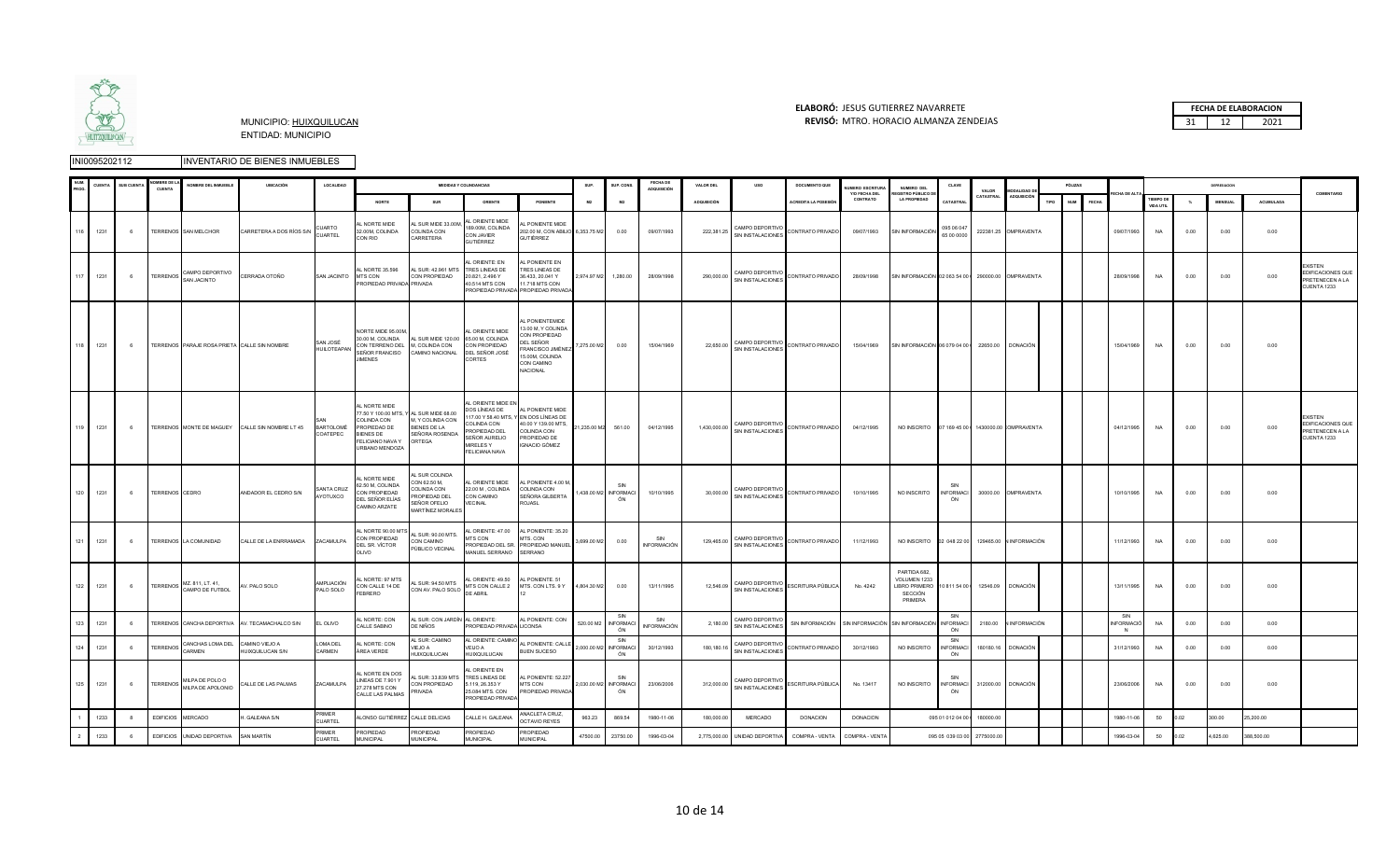

#### **ELABORÓ:** JESUS GUTIERREZ NAVARRETE **FECHA DE ELABORACION**  MUNICIPIO: HUIXQUILUCAN **REVISÓ:** 31 12 2021 MTRO. HORACIO ALMANZA ZENDEJAS

| PROC           | <b>SUENT</b> | SUB CUENTA     | <b>OMBRE DE</b><br>CUENTA | OMBRE DEL INMUEBLI                                               | <b>UBICACIÓN</b>                                | LOCALIDAD                      |                                                                                                                             |                                                                                                                | <b>MEDIDAS Y COLINDANCIAS</b>                                                                                                                                |                                                                                                                                                      | <b>SUP</b>           | SUP CON:                           | <b>FECHA DE</b><br><b>ADQUISICIÓN</b> | <b>VALOR DEL</b>   |                                                     | <b>DOCUMENTO QUE</b>                            | UMERO ESCRITUR            | NUMERO DEL<br>EGISTRO PÚBLICO DI                                   | CLAVE                         | VALOR                   | <b>MODALIDAD DI</b>     |      | PÓLIZAS             |                       |                                      |      |               |           | COMENTARIO                                                            |
|----------------|--------------|----------------|---------------------------|------------------------------------------------------------------|-------------------------------------------------|--------------------------------|-----------------------------------------------------------------------------------------------------------------------------|----------------------------------------------------------------------------------------------------------------|--------------------------------------------------------------------------------------------------------------------------------------------------------------|------------------------------------------------------------------------------------------------------------------------------------------------------|----------------------|------------------------------------|---------------------------------------|--------------------|-----------------------------------------------------|-------------------------------------------------|---------------------------|--------------------------------------------------------------------|-------------------------------|-------------------------|-------------------------|------|---------------------|-----------------------|--------------------------------------|------|---------------|-----------|-----------------------------------------------------------------------|
|                |              |                |                           |                                                                  |                                                 |                                | <b>NORTE</b>                                                                                                                | SUR                                                                                                            | ORIENTE                                                                                                                                                      | PONIENTE                                                                                                                                             | <b>M2</b>            | M <sub>2</sub>                     |                                       | <b>ADQUISICIÓN</b> |                                                     | ACREDITA LA POSESIÓN                            | Y/O FECHA DEL<br>CONTRATO | <b>LA PROPIEDAD</b>                                                | CATASTRAL                     |                         | CATASTRAL ADQUISICIÓN   | TIPO | NUM<br><b>FECHA</b> | <b>CHA DE ALT</b>     | <b>TIEMPO DE</b><br><b>VIDA UTIL</b> |      | <b>MENSUA</b> | ACUMULADA |                                                                       |
|                | 116 1231     | 6              |                           | TERRENOS SAN MELCHOR                                             | CARRETERA A DOS RÍOS S/N                        | CUARTO<br>CUARTEL              | AL NORTE MIDE<br>32.00M, COLINDA<br>CON RIO                                                                                 | AL SUR MIDE 33.00M.<br>COLINDA CON<br>CARRETERA                                                                | L ORIENTE MIDE<br>189.00M, COLINDA<br>CON JAVIER<br><b>GUTIÉRREZ</b>                                                                                         | <b>L PONIENTE MIDE</b><br>202.00 M, CON ABILIO 6,353.75 M2<br>GUTIÉRREZ                                                                              |                      | 0.00                               | 09/07/1993                            | 222,381.25         | CAMPO DEPORTIVO<br>SIN INSTALACIONES                | CONTRATO PRIVADO                                | 09/07/1993                | SIN INFORMACIÓN                                                    | 095 06 047<br>65 00 0000      |                         | 222381.25 OMPRAVENTA    |      |                     | 09/07/1993            | <b>NA</b>                            | 0.00 | 0.00          | 0.00      |                                                                       |
| 117            | 1231         | 6              | TERRENOS                  | CAMPO DEPORTIVO<br>SAN JACINTO                                   | CERRADA OTOÑO                                   | SAN JACINTO                    | AL NORTE 35.596<br><b>MTS CON</b><br>PROPIEDAD PRIVADA PRIVADA                                                              | AL SUR: 42.961 MTS<br>CON PROPIEDAD                                                                            | L ORIENTE: EN<br>TRES LINEAS DE<br>20.821, 2.496 Y<br>40.514 MTS CON                                                                                         | <b>PONIENTE EN</b><br>TRES LINEAS DE<br>36.433, 20.041 Y<br>11.718 MTS CON<br><b>PROPIEDAD PRIVADA PROPIEDAD PRIVAD</b>                              | 2,974.97 M2 1,280.00 |                                    | 28/09/1998                            | 290,000.00         | CAMPO DEPORTIVO<br>SIN INSTALACIONES                | CONTRATO PRIVADO                                | 28/09/1998                | SIN INFORMACIÓN 02 063 54 00   290000.00 OMPRAVENTA                |                               |                         |                         |      |                     | 28/09/1998            | NA                                   | 0.00 | 0.00          | 0.00      | <b>EXISTEN</b><br>EDIFICACIONES QUE<br>PRETENECEN A LA<br>CUENTA 1233 |
|                | 118 1231     | 6 <sup>6</sup> |                           | TERRENOS PARAJE ROSA PRIETA CALLE SIN NOMBRE                     |                                                 | SAN JOSÉ<br><b>HUILOTEAPAN</b> | NORTE MIDE 95.00M<br>30.00 M, COLINDA<br>CON TERRENO DEL M, COLINDA CON<br>SEÑOR FRANCISO CAMINO NACIONAL<br><b>JIMENES</b> | AL SUR MIDE 120.00 65.00 M, COLINDA                                                                            | AL ORIENTE MIDE<br>CON PROPIEDAD<br>DEL SEÑOR JOSÉ<br>CORTES                                                                                                 | <b>PONIENTEMIDE</b><br>3.00 M, Y COLINDA<br>CON PROPIEDAD<br>DEL SEÑOR<br>FRANCISCO JIMÉNEZ 7,275.00 M2<br>15.00M, COLINDA<br>CON CAMINO<br>NACIONAL |                      | 0.00                               | 15/04/1969                            | 22,650.00          | CAMPO DEPORTIVO<br>SIN INSTALACIONES                | CONTRATO PRIVADO                                | 15/04/1969                | SIN INFORMACIÓN 06 079 04 00 ( 22650.00 DONACIÓN                   |                               |                         |                         |      |                     | 15/04/1969            | <b>NA</b>                            | 0.00 | 0.00          | 0.00      |                                                                       |
|                | 119 1231     | 6              |                           |                                                                  | TERRENOS MONTE DE MAGUEY CALLE SIN NOMBRE LT 45 | <b>BARTOLOMÉ</b><br>COATEPEC   | AL NORTE MIDE<br>COLINDA CON<br>PROPIEDAD DE<br><b>BIENES DE</b><br>FELICIANO NAVA Y<br>URBANO MENDOZA                      | 77.50 Y 100.00 MTS, Y AL SUR MIDE 68.00<br>M. Y COLINDA CON<br><b>BIENES DE LA</b><br>SEÑORA ROSENDA<br>ORTEGA | AL ORIENTE MIDE EN<br>DOS LÍNEAS DE<br>117.00 Y 58.40 MTS, Y EN DOS LÍNEAS DE<br>COLINDA CON<br>ROPIEDAD DEL<br>SEÑOR AURELIO<br>MIRELES Y<br>FELICIANA NAVA | AL PONIENTE MIDE<br>40.00 Y 139.00 MTS.<br>COLINDA CON<br>PROPIEDAD DE<br><b>IGNACIO GÓMEZ</b>                                                       | 21,235.00 M2 561.00  |                                    | 04/12/1995                            |                    | CAMPO DEPORTIVO<br>$1,430,000.00$ SIN INSTALACIONES | CONTRATO PRIVADO                                | 04/12/1995                | NO INSCRITO 07 169 45 00 1 1430000.00 COMPRAVENTA                  |                               |                         |                         |      |                     | 04/12/1995            | <b>NA</b>                            | 0.00 | 0.00          | 0.00      | <b>EXISTEN</b><br>EDIFICACIONES QUE<br>PRETENECEN A LA<br>CUENTA 1233 |
|                | 120 1231     | 6              | TERRENOS CEDRO            |                                                                  | ANDADOR EL CEDRO S/N                            | SANTA CRUZ<br>AYOTUXCO         | AL NORTE MIDE<br>62.50 M, COLINDA<br>CON PROPIEDAD<br>DEL SEÑOR ELÍAS<br>CAMINO ARZATE                                      | AL SUR COLINDA<br>CON 62.50 M,<br>COLINDA CON<br>ROPIEDAD DEL<br>SEÑOR OFELIO<br><b>MARTÍNEZ MORALES</b>       | AL ORIENTE MIDE<br>22.00 M, COLINDA<br>CON CAMINO<br>VECINAL                                                                                                 | L PONIENTE 4.00 M,<br>COLINDA CON<br>SEÑORA GILBERTA<br>ROJASL                                                                                       |                      | SIN<br>1,438.00 M2 INFORMACI<br>ÓN | 10/10/1995                            | 30,000.00          | CAMPO DEPORTIVO<br>SIN INSTALACIONES                | CONTRATO PRIVADO                                | 10/10/1995                | NO INSCRITO                                                        | SIN<br><b>INFORMACI</b><br>ÓN |                         | 30000.00 OMPRAVENTA     |      |                     | 10/10/1995            | <b>NA</b>                            | 0.00 | 0.00          | 0.00      |                                                                       |
| 121            | 1231         | -6             |                           | TERRENOS LA COMUNIDAD                                            | CALLE DE LA ENRRAMADA                           | ZACAMULPA                      | L NORTE 90.00 MT<br>CON PROPIEDAD<br>DEL SR. VÍCTOR<br>OLIVO                                                                | AL SUR: 90.00 MTS.<br>CON CAMINO<br>PÚBLICO VECINAL                                                            | MTS CON<br>MANUEL SERRANO                                                                                                                                    | LORIENTE: 47.00 AL PONIENTE: 35.20<br>MTS, CON<br>ROPIEDAD DEL SR. PROPIEDAD MANUEL<br>SERRANO                                                       | 3,699.00 M2          | 0.00                               | SIN<br><b>INFORMACIÓN</b>             | 129,465.00         | CAMPO DEPORTIVO<br>SIN INSTALACIONES                | CONTRATO PRIVADO                                | 11/12/1993                | NO INSCRITO 02 048 22 00                                           |                               |                         | 129465.00 N INFORMACIÓN |      |                     | 11/12/1993            | NA                                   | 0.00 | 0.00          | 0.00      |                                                                       |
|                | 122 1231     | 6              |                           | TERRENOS $\overline{\text{MZ}}$ .811, LT. 41,<br>CAMPO DE FUTBOL | AV. PALO SOLO                                   | AMPLIACIÓN<br>PALO SOLO        | <b>L NORTE: 97 MTS</b><br>CON CALLE 14 DE<br>FEBRERO                                                                        | AL SUR: 94.50 MTS<br>CON AV. PALO SOLO MILULUM                                                                 | AL ORIENTE: 49.50 AL PONIENTE. 51                                                                                                                            | MTS CON CALLE 2 MTS. CON LTS. 9 Y 4,804.30 M2                                                                                                        |                      | 0.00                               | 13/11/1995                            | 12,546.09          | CAMPO DEPORTIVO<br>SIN INSTALACIONES                | ESCRITURA PÚBLICA                               | No. 4242                  | PARTIDA 682<br>VOLUMEN 1233<br>LIBRO PRIMERO<br>SECCIÓN<br>PRIMERA |                               | 10 811 54 00 1 12546.09 | <b>DONACIÓN</b>         |      |                     | 13/11/1995            | <b>NA</b>                            | 0.00 | 0.00          | 0.00      |                                                                       |
| 123            | 1231         |                |                           |                                                                  | TERRENOS CANCHA DEPORTIVA AV. TECAMACHALCO S/N  | EL OLIVO                       | AL NORTE: CON<br>CALLE SABINO                                                                                               | AL SUR: CON JARDÍN AL ORIENTE:<br>DE NIÑOS                                                                     | PROPIEDAD PRIVADA LICONSA                                                                                                                                    | AL PONIENTE: CON                                                                                                                                     |                      | SIN<br>520.00 M2 INFORMACI<br>ÓN   | SIN<br><b>INFORMACIÓN</b>             | 2,180.00           | CAMPO DEPORTIVO<br>SIN INSTALACIONES                | SIN INFORMACIÓN SIN INFORMACIÓN SIN INFORMACIÓN |                           |                                                                    | SIN<br><b>INFORMACI</b><br>ÓN | 2180.00                 | <b>VINFORMACIÓN</b>     |      |                     | SIN<br>VFORMACIÓ<br>N | NA                                   | 0.00 | 0.00          | 0.00      |                                                                       |
| 124            | 1231         |                | <b>TERRENOS</b>           | CANCHAS LOMA DEL<br><b>ARMEN</b>                                 | AMINO VIEJO A<br><b>UIXQUILUCAN S/N</b>         | LOMA DEL<br>CARMEN             | L NORTE: CON<br>ÁREA VERDE                                                                                                  | AL SUR: CAMINO<br>VIEJO A<br><b>HUIXQUILUCAN</b>                                                               | AL ORIENTE: CAMINO<br>EIJO A<br>HUIXQUILUCAN                                                                                                                 | AL PONIENTE: CALLE<br><b>BUEN SUCESO</b>                                                                                                             |                      | SIN<br>2,000.00 M2 INFORMACI<br>ÓN | 30/12/1993                            | 180,180.16         | CAMPO DEPORTIVO<br>SIN INSTALACIONES                | CONTRATO PRIVADO                                | 30/12/1993                | NO INSCRITO                                                        | SIN<br>NFORMACI<br>ÓN         | 180180.1                | <b>DONACIÓN</b>         |      |                     | 31/12/1993            | NA                                   | 0.00 | 0.00          | 0.00      |                                                                       |
|                | 125 1231     | 6              |                           | TERRENOS MILPA DE POLO O                                         | CALLE DE LAS PALMAS                             | ZACAMULPA                      | <b>L NORTE EN DOS</b><br>LINEAS DE 7.901 Y<br>27.278 MTS CON<br>CALLE LAS PALMAS                                            | AL SUR: 33.839 MTS<br>CON PROPIEDAD<br>PRIVADA                                                                 | L ORIENTE EN<br>TRES LINEAS DE<br>5.119, 26.353 Y<br>25.084 MTS. CON<br>PROPIEDAD PRIVADA                                                                    | AL PONIENTE: 52.227<br>MTS CON<br>PROPIEDAD PRIVADA                                                                                                  |                      | SIN<br>2,030.00 M2 INFORMACI<br>ÓN | 23/06/2006                            | 312,000.00         | CAMPO DEPORTIVO<br>SIN INSTALACIONES                | ESCRITURA PÚBLICA                               | No. 13417                 | NO INSCRITO                                                        | SIN<br><b>INFORMACI</b><br>ÓN |                         | 312000.00 DONACIÓN      |      |                     | 23/06/2006            | <b>NA</b>                            | 0.00 | 0.00          | 0.00      |                                                                       |
|                | 1233         |                | <b>EDIFICIOS</b>          | MERCADO                                                          | GALEANA S/N                                     | PRIMER<br><b>CUARTEL</b>       | LONSO GUTIÉRREZ CALLE DELICIAS                                                                                              |                                                                                                                | ALLE H. GALEANA                                                                                                                                              | ANACLETA CRUZ,<br><b>OCTAVIO REYES</b>                                                                                                               | 963.23               | 869.54                             | 1980-11-06                            | 180,000.00         | <b>MERCADO</b>                                      | <b>DONACION</b>                                 | <b>DONACION</b>           |                                                                    | 095 01 012 04 00              | 180000.00               |                         |      |                     | 1980-11-06            | 50                                   | 0.02 | 300.00        | 25,200.00 |                                                                       |
| $\overline{2}$ | 1233         | 6              | <b>EDIFICIOS</b>          | UNIDAD DEPORTIVA                                                 | SAN MARTÍN                                      | PRIMER<br>CUARTEL              | PROPIEDAD<br><b>MUNICIPAL</b>                                                                                               | PROPIEDAD<br><b>MUNICIPAL</b>                                                                                  | PROPIEDAD<br><b>MUNICIPAL</b>                                                                                                                                | PROPIEDAD<br><b>MUNICIPAL</b>                                                                                                                        | 47500.00             | 23750.00                           | 1996-03-04                            | 2,775,000.00       | UNIDAD DEPORTIVA                                    | COMPRA - VENTA                                  | COMPRA - VENTA            |                                                                    | 095 05 039 03 00              | 2775000.00              |                         |      |                     | 1996-03-04            | 50                                   | 0.02 | 1.625.00      | 88.500.00 |                                                                       |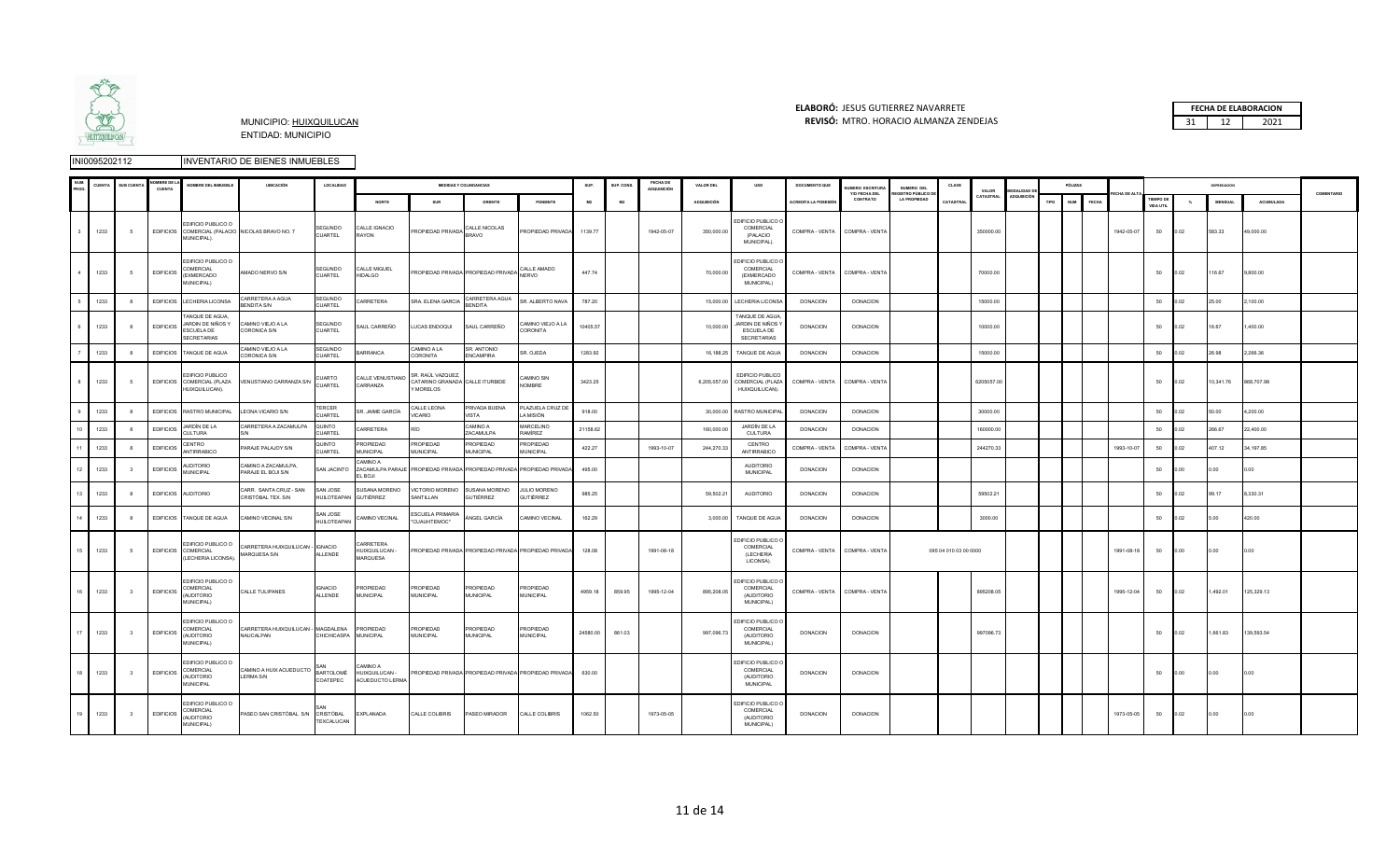

### **ELABORÓ:** JESUS GUTIERREZ NAVARRETE **FECHA DE ELABORACION**  MUNICIPIO: HUIXQUILUCAN **REVISÓ:** 31 12 2021 MTRO. HORACIO ALMANZA ZENDEJAS

|                        | <b>CUENTA</b> | <b>SUB CUENT</b>        | MBRE DE I<br><b>CUENT</b> | NOMBRE DEL INMUEBLE                                                      | <b>UBICACIÓN</b>                                 | LOCALIDAD                      |                                               |                                                                   | <b>MEDIDAS Y COLINDANCIAS</b>     |                                                       | SUP.           | SUP. CONS. | <b>FECHA DE</b><br>ADQUISICIÓN | VALOR DEL    | uso                                                                      | DOCUMENTO QUE        | UMERO ESCRITURA<br>Y/O FECHA DEL | NUMERO DEL<br><b>REGISTRO PÚBLICO D</b> | CLAVE                 | VALOR      | <b>MODALIDAD</b>   | PÓLIZAS            |       |            |                                      |               | DEPRESIACION   |            | COMENTARIO |
|------------------------|---------------|-------------------------|---------------------------|--------------------------------------------------------------------------|--------------------------------------------------|--------------------------------|-----------------------------------------------|-------------------------------------------------------------------|-----------------------------------|-------------------------------------------------------|----------------|------------|--------------------------------|--------------|--------------------------------------------------------------------------|----------------------|----------------------------------|-----------------------------------------|-----------------------|------------|--------------------|--------------------|-------|------------|--------------------------------------|---------------|----------------|------------|------------|
|                        |               |                         |                           |                                                                          |                                                  |                                | NORTE                                         | SUR                                                               | ORIENTE                           | PONIENTE                                              | M <sub>2</sub> |            |                                | ADQUISICIÓN  |                                                                          | ACREDITA LA POSESIÓI | CONTRATO                         | <b>LA PROPIEDAD</b>                     | CATASTRA              | CATASTRAL  | <b>ADQUISICIÓN</b> | <b>NUM</b><br>TIPO | FECHA |            | <b>TIEMPO DE</b><br><b>VIDA UTIL</b> | $\mathcal{H}$ | <b>MENSUAL</b> | ACUMULADA  |            |
|                        | 1233          | 5                       |                           | EDIFICIO PUBLICO O<br>MUNICIPAL).                                        | EDIFICIOS COMERCIAL (PALACIO NICOLAS BRAVO NO. 7 | SEGUNDO<br>CUARTEL             | CALLE IGNACIO<br>RAYON                        | PROPIEDAD PRIVADA CALLE NICOLAS                                   |                                   | PROPIEDAD PRIVADA                                     | 1139.77        |            | 1942-05-07                     | 350,000.00   | <b>EDIFICIO PUBLICO (</b><br>COMERCIAL<br>(PALACIO<br>MUNICIPAL).        | COMPRA - VENTA       | COMPRA - VENT/                   |                                         |                       | 350000.00  |                    |                    |       | 1942-05-07 | 50                                   | 0.02          | 583.33         | 49,000.00  |            |
| $\boldsymbol{\Lambda}$ | 1233          | -5                      | <b>EDIFICIOS</b>          | EDIFICIO PUBLICO O<br>COMERCIAL<br>(EXMERCADO<br>MUNICIPAL)              | AMADO NERVO S/N                                  | SEGUNDO<br><b>CUARTEL</b>      | CALLE MIGUEL<br><b>HIDALGO</b>                | PROPIEDAD PRIVADA PROPIEDAD PRIVADA SIERNADO                      |                                   |                                                       | 447.74         |            |                                | 70,000.00    | <b>EDIFICIO PUBLICO (</b><br>COMERCIAL<br>(EXMERCADO<br>MUNICIPAL)       | COMPRA - VENTA       | COMPRA - VENTA                   |                                         |                       | 70000.00   |                    |                    |       |            | 50                                   | 0.02          | 116.67         | 9,800.00   |            |
| 5                      | 1233          | 8                       |                           | EDIFICIOS LECHERIA LICONSA                                               | CARRETERA A AGUA<br>ENDITA S/N                   | SEGUNDO<br>CUARTEL             | CARRETERA                                     | SRA. ELENA GARCIA                                                 | CARRETERA AGUA<br><b>BENDITA</b>  | SR. ALBERTO NAVA                                      | 787.20         |            |                                | 15,000.00    | LECHERIA LICONSA                                                         | <b>DONACION</b>      | <b>DONACION</b>                  |                                         |                       | 15000.00   |                    |                    |       |            | 50                                   | 0.02          | 25.00          | 2,100.00   |            |
| 6                      | 1233          | -8                      | <b>EDIFICIOS</b>          | TANQUE DE AGUA,<br>JARDIN DE NIÑOS Y<br>ESCUELA DE<br><b>SECRETARIAS</b> | CAMINO VIEJO A LA<br><b>CORONICA S/N</b>         | SEGUNDO<br>CUARTEL             | SAUL CARREÑO                                  | LUCAS ENDOQUI                                                     | SAUL CARREÑO                      | CAMINO VIEJO A LA<br>CORONITA                         | 10405.57       |            |                                | 10,000.00    | TANQUE DE AGUA<br>JARDIN DE NIÑOS Y<br><b>ESCUELA DE</b><br>SECRETARIAS  | <b>DONACION</b>      | <b>DONACION</b>                  |                                         |                       | 10000.00   |                    |                    |       |            | 50                                   | 0.02          | 16.67          | 400.00     |            |
|                        | 1233          |                         | <b>EDIFICIOS</b>          | TANQUE DE AGUA                                                           | AJ A OUGIV OMIMAC<br>ORONICA S/N                 | SEGUNDO<br>CUARTEL             | <b>ARRANCA</b>                                | CAMINO A LA<br>CORONITA                                           | SR. ANTONIO<br><b>ENCAMPIRA</b>   | SR. OJEDA                                             | 1283.92        |            |                                | 16,188.25    | TANQUE DE AGUA                                                           | <b>DONACION</b>      | <b>DONACIÓN</b>                  |                                         |                       | 15000.00   |                    |                    |       |            | 50                                   | 0.02          | <b>RO AS</b>   | 2.266.36   |            |
| 8                      | 1233          | 5                       |                           | EDIFICIO PUBLICO<br>EDIFICIOS COMERCIAL (PLAZA<br>HUIXQUILUCAN).         | VENUSTIANO CARRANZA S/N                          | CUARTO<br>CUARTEL              | CALLE VENUSTIANO<br>CARRANZA                  | SR. RAÚL VAZQUEZ,<br>CATARINO GRANADA CALLE ITURBIDE<br>Y MORELOS |                                   | CAMINO SIN<br>NOMBRE                                  | 3423.25        |            |                                | 6,205,057.00 | EDIFICIO PUBLICO<br>COMERCIAL (PLAZA<br>HUIXQUILUCAN).                   | COMPRA - VENTA       | COMPRA - VENTA                   |                                         |                       | 6205057.00 |                    |                    |       |            | 50                                   | 0.02          | 10,341.76      | 868,707.98 |            |
|                        | 1233          | $\mathbf{a}$            | <b>EDIFICIOS</b>          | RASTRO MUNICIPAL                                                         | LEONA VICARIO S/N                                | <b>TERCER</b><br>UARTEL        | SR. JAIME GARCÍA                              | CALLE LEONA<br>/ICARIO                                            | PRIVADA BUENA<br><b>ISTA</b>      | PLAZUELA CRUZ DE<br>A MISIÓN                          | 918.00         |            |                                | 30,000.00    | RASTRO MUNICIPA                                                          | <b>DONACION</b>      | <b>DONACION</b>                  |                                         |                       | 30000.00   |                    |                    |       |            | 50                                   | 0.02          | 50.00          | 1,200.00   |            |
| 10                     | 1233          | 8                       | <b>EDIFICIOS</b>          | JARDÍN DE LA<br>CULTURA                                                  | CARRETERA A ZACAMULPA                            | QUINTO<br><b>CUARTEL</b>       | CARRETERA                                     |                                                                   | A OWING<br>ZACAMULPA              | MARCELINO<br>RAMÍREZ                                  | 21158.62       |            |                                | 160,000.00   | JARDÍN DE LA<br><b>CULTURA</b>                                           | <b>DONACION</b>      | <b>DONACION</b>                  |                                         |                       | 160000.00  |                    |                    |       |            | 50                                   | 0.02          | 266.67         | 22,400.00  |            |
| 11                     | 1233          | -8                      | <b>EDIFICIOS</b>          | CENTRO<br><b>ANTIRRABICO</b>                                             | ARAJE PALAJOY S/N                                | QUINTO<br>CUARTEL              | PROPIEDAD<br><b>MUNICIPAL</b>                 | PROPIEDAD<br><b>MUNICIPAL</b>                                     | PROPIEDAD<br><b>MUNICIPAL</b>     | PROPIEDAD<br><b>MUNICIPAL</b>                         | 422.27         |            | 1993-10-07                     | 244,270.33   | CENTRO<br><b>ANTIRRABICO</b>                                             | COMPRA - VENTA       | COMPRA - VENTA                   |                                         |                       | 244270.33  |                    |                    |       | 1993-10-07 | 50                                   | 0.02          | 107.12         | 34.197.85  |            |
| 12                     | 1233          |                         | <b>EDIFICIOS</b>          | <b>AUDITORIO</b><br><b>MUNICIPAL</b>                                     | AMINO A ZACAMULPA,<br>PARAJE EL BOJI S/N         | SAN JACINTO                    | CAMINO A<br>ZACAMULPA PARAJE<br>EL BOJI       | PROPIEDAD PRIVADA PROPIEDAD PRIVADA PROPIEDAD PRIVADA             |                                   |                                                       | 495.00         |            |                                |              | <b>AUDITORIO</b><br><b>MUNICIPAL</b>                                     | DONACION             | <b>DONACION</b>                  |                                         |                       |            |                    |                    |       |            | 50                                   | 0.00          | .00            | 0.00       |            |
| 13                     | 1233          |                         | <b>EDIFICIOS</b>          | <b>AUDITORIO</b>                                                         | ARR. SANTA CRUZ - SAN<br>RISTÓBAL TEX. S/N       | SAN JOSE<br><b>HUILOTEAPAN</b> | <b>SUSANA MORENO</b><br>GUTIÉRREZ             | VICTORIO MORENO<br>SANTILLAN                                      | <b>SUSANA MORENO</b><br>SUTIÉRREZ | <b>JULIO MORENO</b><br>GUTIÉRREZ                      | 985.25         |            |                                | 59,502.21    | AUDITORIO                                                                | <b>DONACION</b>      | <b>DONACIÓN</b>                  |                                         |                       | 59502.21   |                    |                    |       |            | 50                                   | 0.02          |                | 8,330.31   |            |
| 14                     | 1233          |                         |                           | EDIFICIOS TANQUE DE AGUA                                                 | CAMINO VECINAL S/N                               | SAN JOSE<br><b>HUILOTEAPAN</b> | CAMINO VECINAL                                | ESCUELA PRIMARIA<br>"CUAUHTEMOC"                                  | ÁNGEL GARCÍA                      | CAMINO VECINAL                                        | 162.29         |            |                                | 3,000.00     | TANQUE DE AGUA                                                           | <b>DONACION</b>      | <b>DONACION</b>                  |                                         |                       | 3000.00    |                    |                    |       |            | 50                                   | 0.02          | 500            | 420.00     |            |
| 15                     | 1233          | - 5                     |                           | EDIFICIO PUBLICO O<br>EDIFICIOS COMERCIAL<br>(LECHERIA LICONSA).         | ARRETERA HUIXQUILUCAN - IGNACIO<br>MARQUESA S/N  | ALLENDE                        | CARRETERA<br>HUIXQUILUCAN -<br>MARQUESA       |                                                                   |                                   | PROPIEDAD PRIVADA PROPIEDAD PRIVADA PROPIEDAD PRIVADA | 128.08         |            | 1991-08-18                     |              | <b>EDIFICIO PUBLICO (</b><br>COMERCIAL<br>(LECHERIA<br>LICONSA).         | COMPRA - VENTA       | COMPRA - VENTA                   |                                         | 095 04 010 03 00 0000 |            |                    |                    |       | 1991-08-18 | 50                                   | 0.00          | 0.00           | 0.00       |            |
| 16                     | 1233          | $\overline{\mathbf{3}}$ | <b>EDIFICIOS</b>          | EDIFICIO PUBLICO O<br>COMERCIAL<br><b>AUDITORIO</b><br>MUNICIPAL)        | CALLE TULIPANES                                  | <b>IGNACIO</b><br>ALLENDE      | PROPIEDAD<br><b>MUNICIPAL</b>                 | <b>PROPIEDAD</b><br>MUNICIPAL                                     | PROPIEDAD<br><b>MUNICIPAL</b>     | PROPIEDAD<br><b>MUNICIPAL</b>                         | 4959.18        | 859.95     | 1995-12-04                     | 895,208.05   | <b>EDIFICIO PUBLICO (</b><br>COMERCIAL<br>(AUDITORIO<br>MUNICIPAL)       | COMPRA - VENTA       | COMPRA - VENTA                   |                                         |                       | 895208.05  |                    |                    |       | 1995-12-04 | 50                                   | 0.02          | 1,492.01       | 125,329.13 |            |
| 17                     | 1233          | $\overline{\mathbf{3}}$ | <b>EDIFICIOS</b>          | EDIFICIO PUBLICO O<br>COMERCIAL<br>(AUDITORIO<br>MUNICIPAL)              | CARRETERA HUIXQUILUCAN - MAGDALENA<br>NAUCALPAN  | CHICHICASPA                    | PROPIEDAD<br><b>MUNICIPAL</b>                 | PROPIEDAD<br><b>MUNICIPAL</b>                                     | PROPIEDAD<br><b>MUNICIPAL</b>     | PROPIEDAD<br><b>MUNICIPAL</b>                         | 24580.00       | 861.03     |                                | 997,096.73   | DIFICIO PUBLICO (<br>COMERCIAL<br>(AUDITORIO<br>MUNICIPAL)               | <b>DONACION</b>      | <b>DONACION</b>                  |                                         |                       | 997096.73  |                    |                    |       |            | 50                                   | 0.02          | 1,661.83       | 139,593.54 |            |
| 18                     | 1233          | $\overline{\mathbf{3}}$ | <b>EDIFICIOS</b>          | EDIFICIO PUBLICO O<br>COMERCIAL<br>(AUDITORIO<br><b>MUNICIPAL</b>        | CAMINO A HUIX ACUEDUCTO BARTOLOMÉ<br>ERMA S/N    | COATEPEC                       | CAMINO A<br>HUIXQUILUCAN -<br>ACUEDUCTO LERMA |                                                                   |                                   | PROPIEDAD PRIVADA PROPIEDAD PRIVADA PROPIEDAD PRIVADA | 630.00         |            |                                |              | <b>EDIFICIO PUBLICO (</b><br>COMERCIAL<br>(AUDITORIO<br><b>MUNICIPAL</b> | <b>DONACION</b>      | <b>DONACIÓN</b>                  |                                         |                       |            |                    |                    |       |            | 50                                   | 0.00          | 0.00           | 0.00       |            |
| 19                     | 1233          | $\overline{\mathbf{3}}$ | <b>EDIFICIOS</b>          | EDIFICIO PUBLICO O<br>COMERCIAL<br>(AUDITORIO<br>MUNICIPAL)              | PASEO SAN CRISTÓBAL S/N                          | CRISTÓBAL<br>TEXCALUCAN        | EXPLANADA                                     | CALLE COLIBRIS                                                    | PASEO MIRADOR                     | CALLE COLIBRIS                                        | 1062.50        |            | 1973-05-05                     |              | <b>EDIFICIO PUBLICO C</b><br>COMERCIAL<br>(AUDITORIO<br>MUNICIPAL)       | <b>DONACION</b>      | <b>DONACION</b>                  |                                         |                       |            |                    |                    |       | 1973-05-05 | 50                                   | 0.02          | 0.00           | 0.00       |            |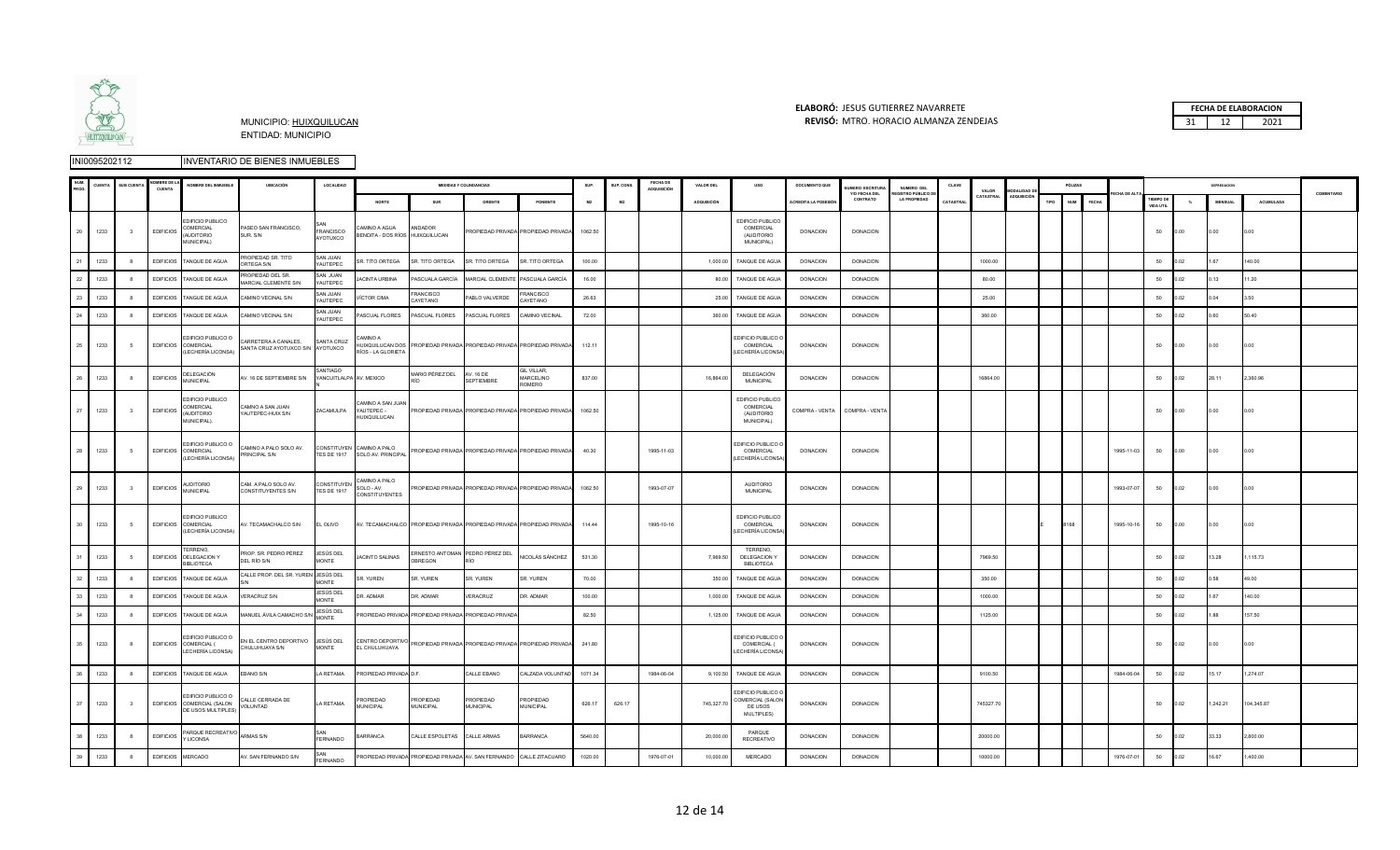

### **ELABORÓ:** JESUS GUTIERREZ NAVARRETE **FECHA DE ELABORACION**  MUNICIPIO: HUIXQUILUCAN **REVISÓ:** 31 12 2021 MTRO. HORACIO ALMANZA ZENDEJAS

|    |      |                         | <b>BREDE</b><br><b>CUENTA</b> | NOMBRE DEL INMUEBLE                                                     | <b>UBICACIÓN</b>                                   | LOCALIDAD                                 |                                                   |                                                      | <b>MEDIDAS Y COLINDANCIAS</b> |                                                                        | SUP.    | SUP. CONS      | FECHA DE<br>ADQUISICIÓN | VALOR DEL   | uso                                                             | DOCUMENTO QUE        | UMERO ESCRITURA           | NUMERO DEL                               | CLAVE    | VALOR     |            |      | PÓLIZAS                    |            |                        |      | DEPRESIACION   |                  |            |
|----|------|-------------------------|-------------------------------|-------------------------------------------------------------------------|----------------------------------------------------|-------------------------------------------|---------------------------------------------------|------------------------------------------------------|-------------------------------|------------------------------------------------------------------------|---------|----------------|-------------------------|-------------|-----------------------------------------------------------------|----------------------|---------------------------|------------------------------------------|----------|-----------|------------|------|----------------------------|------------|------------------------|------|----------------|------------------|------------|
|    |      |                         |                               |                                                                         |                                                    |                                           | NORTE                                             | SUR                                                  | ORIENTE                       | PONIENTE                                                               | M2      | M <sub>2</sub> |                         | ADQUISICIÓN |                                                                 | ACREDITA LA POSESIÓI | Y/O FECHA DEL<br>CONTRATO | EGISTRO PÚBLICO D<br><b>LA PROPIEDAD</b> | CATASTRA | CATASTRAL | ADQUISICIÓ | TIPO | <b>NUM</b><br><b>FECHA</b> |            | TIEMPO DE<br>VIDA UTIL | $\%$ | <b>MENSUAL</b> | <b>ACUMULADA</b> | COMENTARIO |
| 20 | 1233 | 3                       | <b>EDIFICIOS</b>              | EDIFICIO PUBLICO<br>COMERCIAL<br><b>AUDITORIO</b><br>MUNICIPAL)         | ASEO SAN FRANCISCO,<br>SUR. S/N                    | <b>FRANCISCO</b><br>AYOTUXCO              | AMINO A AGUA<br>BENDITA - DOS RÍOS HUIXQUILUCAN   | ANDADOR                                              |                               | PROPIEDAD PRIVADA PROPIEDAD PRIVADA                                    | 1062.50 |                |                         |             | EDIFICIO PUBLICO<br>COMERCIAL<br>(AUDITORIO)<br>MUNICIPAL)      | <b>DONACION</b>      | <b>DONACION</b>           |                                          |          |           |            |      |                            |            | 50                     | 0.00 | 00             |                  |            |
| 21 | 1233 | 8                       | <b>EDIFICIOS</b>              | TANQUE DE AGUA                                                          | ROPIEDAD SR. TITO<br>RTEGA S/N                     | SAN JUAN<br>YAUTEPEC                      | <b>SR. TITO ORTEGA</b>                            | SR. TITO ORTEGA                                      | R. TITO ORTEGA                | SR. TITO ORTEGA                                                        | 100.00  |                |                         | 1,000.00    | TANQUE DE AGUA                                                  | <b>DONACION</b>      | <b>DONACION</b>           |                                          |          | 1000.00   |            |      |                            |            | 50                     | 02   | 67             | 140.00           |            |
| 22 | 1233 |                         | <b>EDIFICIOS</b>              | TANQUE DE AGUA                                                          | ROPIEDAD DEL SR.<br>ARCIAL CLEMENTE S/N            | SAN JUAN<br>YAUTEPEC                      | <b>ACINTA URBINA</b>                              | PASCUALA GARCÍA                                      | <b>MARCIAL CLEMENTE</b>       | PASCUALA GARCÍA                                                        | 16.00   |                |                         | 80.00       | TANQUE DE AGUA                                                  | <b>DONACION</b>      | <b>DONACION</b>           |                                          |          | 80.00     |            |      |                            |            | 50                     | 02   |                | 1.20             |            |
| 23 | 1233 |                         | <b>EDIFICIOS</b>              | TANGUE DE AGUA                                                          | AMINO VECINAL S/N                                  | <b>SAN JUAN</b><br><b>YAUTEPEC</b>        | <b>VÍCTOR CIMA</b>                                | <b>RANCISCO</b><br>CAYETANO                          | ABLO VALVERDE                 | RANCISCO<br><b>CAYETANO</b>                                            | 26.63   |                |                         | 25.00       | TANGUE DE AGUA                                                  | <b>DONACION</b>      | <b>DONACION</b>           |                                          |          | 25.00     |            |      |                            |            | 50                     | ነ በ2 | 04             | 3.50             |            |
| 24 | 1233 |                         | <b>EDIFICIOS</b>              | TANQUE DE AGUA                                                          | AMINO VECINAL S/N                                  | <b>SAN JUAN</b><br>YAUTEPEC               | ASCUAL FLORES                                     | PASCUAL FLORES                                       | PASCUAL FLORES                | CAMINO VECINAL                                                         | 72.00   |                |                         | 360.00      | TANQUE DE AGUA                                                  | <b>DONACION</b>      | <b>DONACION</b>           |                                          |          | 360.00    |            |      |                            |            | 50                     | ነ በ2 |                | 50.40            |            |
| 25 | 1233 | -5                      | <b>EDIFICIOS</b>              | EDIFICIO PUBLICO O<br>COMERCIAL<br><b>LECHERÍA LICONSA</b>              | ARRETERA A CANALES,<br>SANTA CRUZ AYOTUXCO S/N     | SANTA CRUZ<br>AYOTUXCO                    | AMINO A<br>HUIXQUILUCAN DOS<br>RÍOS - LA GLORIETA |                                                      |                               | PROPIEDAD PRIVADA PROPIEDAD PRIVADA PROPIEDAD PRIVADA                  | 112.11  |                |                         |             | <b>EDIFICIO PUBLICO (</b><br>COMERCIAL<br>LECHERÍA LICONSA      | <b>DONACION</b>      | <b>DONACION</b>           |                                          |          |           |            |      |                            |            | 50                     | 0.00 | 0.00           |                  |            |
| 26 | 1233 |                         | <b>EDIFICIOS</b>              | DELEGACIÓN<br><b>MUNICIPAL</b>                                          | V. 16 DE SEPTIEMBRE S/N                            | <b>ANTIAGO</b><br>YANCUITLALPA AV. MEXICO |                                                   | ARIO PÉREZ DEL                                       | <b>AV 16 DE</b><br>EPTIEMBRE  | GIL VILLAR,<br>MARCELINO<br>ROMERO                                     | 837.00  |                |                         | 16,864.00   | DELEGACIÓN<br><b>MUNICIPAL</b>                                  | <b>DONACION</b>      | <b>DONACIÓN</b>           |                                          |          | 16864.00  |            |      |                            |            | 50                     | 0.02 | 28 11          | 2,360.96         |            |
| 27 | 1233 | $\overline{\mathbf{3}}$ | <b>EDIFICIOS</b>              | EDIFICIO PUBLICO<br>COMERCIAL<br><b>AUDITORIO</b><br><b>JUNICIPAL).</b> | AMNO A SAN JUAN<br>YAUTEPEC-HUIX S/N               | ZACAMULPA                                 | CAMINO A SAN JUAN<br>YAUTEPEC -<br>HUIXQUILUCAN   |                                                      |                               | PROPIEDAD PRIVADA PROPIEDAD PRIVADA PROPIEDAD PRIVADA                  | 1062.50 |                |                         |             | EDIFICIO PUBLICO<br>COMERCIAL<br>(AUDITORIO<br>MUNICIPAL).      | COMPRA - VENTA       | COMPRA - VENTA            |                                          |          |           |            |      |                            |            | 50                     | 0.00 | 0.00           | 0.00             |            |
| 28 | 1233 | -5                      |                               | EDIFICIO PUBLICO O<br>EDIFICIOS COMERCIAL<br>(LECHERÍA LICONSA)         | CAMINO A PALO SOLO AV.<br><b>PRINCIPAL S/N</b>     | CONSTITUYEN<br><b>TES DE 1917</b>         | CAMINO A PALO<br>SOLO AV. PRINCIPAL               |                                                      |                               | PROPIEDAD PRIVADA PROPIEDAD PRIVADA PROPIEDAD PRIVADA                  | 40.30   |                | 1995-11-03              |             | EDIFICIO PUBLICO (<br>COMERCIAL<br>(LECHERÍA LICONSA            | DONACION             | <b>DONACION</b>           |                                          |          |           |            |      |                            | 1995-11-03 | 50                     | 0.00 | 0.00           | 0.00             |            |
| 29 | 1233 |                         | <b>EDIFICIOS</b>              | <b>AUDITORIO</b><br><b>MUNICIPAL</b>                                    | AM. A PALO SOLO AV.<br>CONSTITUYENTES S/N          | <b>CONSTITUYEN</b><br><b>TES DE 1917</b>  | CAMINO A PALO<br>SOLO - AV.<br>CONSTITUYENTES     |                                                      |                               | PROPIEDAD PRIVADA PROPIEDAD PRIVADA PROPIEDAD PRIVADA                  | 1062.50 |                | 1993-07-07              |             | <b>AUDITORIO</b><br><b>MUNICIPAL</b>                            | DONACION             | <b>DONACION</b>           |                                          |          |           |            |      |                            | 1993-07-07 | 50                     | 0.02 | .00            | 0.00             |            |
| 30 | 1233 | $\sqrt{2}$              | <b>EDIFICIOS</b>              | EDIFICIO PUBLICO<br>COMERCIAL<br>LECHERÍA LICONSA)                      | V. TECAMACHALCO S/N                                | EL OLIVO                                  |                                                   |                                                      |                               | AV. TECAMACHALCO PROPIEDAD PRIVADA PROPIEDAD PRIVADA PROPIEDAD PRIVADA | 114.44  |                | 1995-10-16              |             | EDIFICIO PUBLICO<br>COMERCIAL<br>LECHERÍA LICONSA               | <b>DONACION</b>      | <b>DONACION</b>           |                                          |          |           |            |      |                            | 1995-10-16 | 50                     | 0.00 | 0.00           | 0.00             |            |
| 31 | 1233 |                         | <b>EDIFICIOS</b>              | TERRENO.<br>DELEGACION Y<br><b>BIBI IOTECA</b>                          | ROP. SR. PEDRO PÉREZ<br>DEL RÍO S/N                | JESÚS DEL<br>MONTE                        | <b>ACINTO SALINAS</b>                             | ERNESTO ANTOMAN PEDRO PÉREZ DEL<br><b>DBREGON</b>    |                               | <b>VICOLÁS SÁNCHEZ</b>                                                 | 531.30  |                |                         | 7,969.50    | TERRENO<br>DELEGACION Y<br><b>BIBLIOTECA</b>                    | DONACION             | <b>DONACION</b>           |                                          |          | 7969.50   |            |      |                            |            | 50                     | 0.02 | 13.28          | ,115.73          |            |
| 32 | 1233 | $^{\circ}$              | <b>EDIFICIOS</b>              | TANQUE DE AGUA                                                          | ALLE PROP. DEL SR. YUREI                           | JESÚS DEL<br>MONTE                        | SR. YUREN                                         | SR. YUREN                                            | SR. YUREN                     | SR. YUREN                                                              | 70.00   |                |                         | 350.00      | TANQUE DE AGUA                                                  | <b>DONACION</b>      | <b>DONACION</b>           |                                          |          | 350.00    |            |      |                            |            | 50                     | 0.02 | 1.58           | 49.00            |            |
| 33 | 1233 |                         | <b>EDIFICIOS</b>              | TANQUE DE AGUA                                                          | /ERACRUZ S/N                                       | JESÚS DEL<br><b>MONTE</b>                 | R. ADMAR                                          | DR. ADMAR                                            | <b>/ERACRUZ</b>               | <b>R. ADMAR</b>                                                        | 100.00  |                |                         | 1,000.00    | TANQUE DE AGUA                                                  | DONACION             | <b>DONACION</b>           |                                          |          | 1000.00   |            |      |                            |            | 50                     | .02  | 1.67           | 140.00           |            |
| 34 | 1233 | 8                       | <b>EDIFICIOS</b>              | TANQUE DE AGUA                                                          | ANUEL ÁVILA CAMACHO S                              | JESÚS DEL<br>MONTE                        |                                                   | ROPIEDAD PRIVADA PROPIEDAD PRIVADA PROPIEDAD PRIVAD/ |                               |                                                                        | 82.50   |                |                         | 1,125.00    | TANQUE DE AGUA                                                  | <b>DONACION</b>      | <b>DONACION</b>           |                                          |          | 1125.00   |            |      |                            |            | 50                     | 02   |                | 157.50           |            |
| 35 | 1233 | 8                       |                               | EDIFICIO PUBLICO C<br>EDIFICIOS COMERCIAL (<br>LECHERÍA LICONSA)        | EN EL CENTRO DEPORTIVO JESÚS DEL<br>CHULUHUAYA S/N | <b>MONTE</b>                              | EL CHULUHUAYA                                     |                                                      |                               | CENTRO DEPORTIVO PROPIEDAD PRIVADA PROPIEDAD PRIVADA PROPIEDAD PRIVADA | 241.80  |                |                         |             | <b>EDIFICIO PUBLICO</b><br>COMERCIAL (<br>LECHERÍA LICONSA      | DONACION             | <b>DONACION</b>           |                                          |          |           |            |      |                            |            | 50                     | 0.02 | .00            |                  |            |
| 36 | 1233 | 8                       | <b>EDIFICIOS</b>              | TANQUE DE AGUA                                                          | <b>BANO S/N</b>                                    | LA RETAMA                                 | PROPIEDAD PRIVADA D.F.                            |                                                      | CALLE EBANO                   | CALZADA VOLUNTAD                                                       | 1071.34 |                | 1984-06-04              | 9,100.50    | TANQUE DE AGUA                                                  | DONACION             | <b>DONACION</b>           |                                          |          | 9100.50   |            |      |                            | 1984-06-04 | 50                     | .02  | 15.17          | ,274.07          |            |
| 37 | 1233 |                         |                               | EDIFICIO PUBLICO O<br>EDIFICIOS COMERCIAL (SALON<br>DE USOS MULTIPLES)  | CALLE CERRADA DE<br><b>/OLUNTAD</b>                | LA RETAMA                                 | PROPIEDAD<br>MUNICIPAL                            | PROPIEDAD<br>MUNICIPAL                               | PROPIEDAD<br>MUNICIPAL        | <b>ROPIEDAD</b><br>MUNICIPAL                                           | 626.17  | 626.17         |                         | 745,327.70  | EDIFICIO PUBLICO (<br>COMERCIAL (SALON<br>DE USOS<br>MULTIPLES) | DONACION             | <b>DONACION</b>           |                                          |          | 745327.70 |            |      |                            |            | 50                     | 0.02 | 1,242.21       | 104,345.87       |            |
| 38 | 1233 |                         | <b>EDIFICIOS</b>              | PARQUE RECREATIVO<br><b>LICONSA</b>                                     | ARMAS S/N                                          | FERNANDO                                  | <b>BARRANCA</b>                                   | CALLE ESPOLETAS CALLE ARMAS                          |                               | BARRANCA                                                               | 5640.00 |                |                         | 20,000.00   | PARQUE<br>RECREATIVO                                            | <b>DONACION</b>      | <b>DONACION</b>           |                                          |          | 20000.00  |            |      |                            |            | 50                     | 0.02 | 33.33          | 2,800.00         |            |
| 39 | 1233 | 8                       | <b>EDIFICIOS</b>              | MERCADO                                                                 | /. SAN FERNANDO S/N                                | SAN<br>FERNANDO                           |                                                   | PROPIEDAD PRIVADA PROPIEDAD PRIVADA AV. SAN FERNANDO |                               | CALLE ZITACUARO                                                        | 1020.00 |                | 1976-07-01              | 10,000.00   | <b>MERCADO</b>                                                  | <b>DONACION</b>      | <b>DONACION</b>           |                                          |          | 10000.00  |            |      |                            | 1976-07-01 | 50                     | 0.02 | 16.67          | 400.00           |            |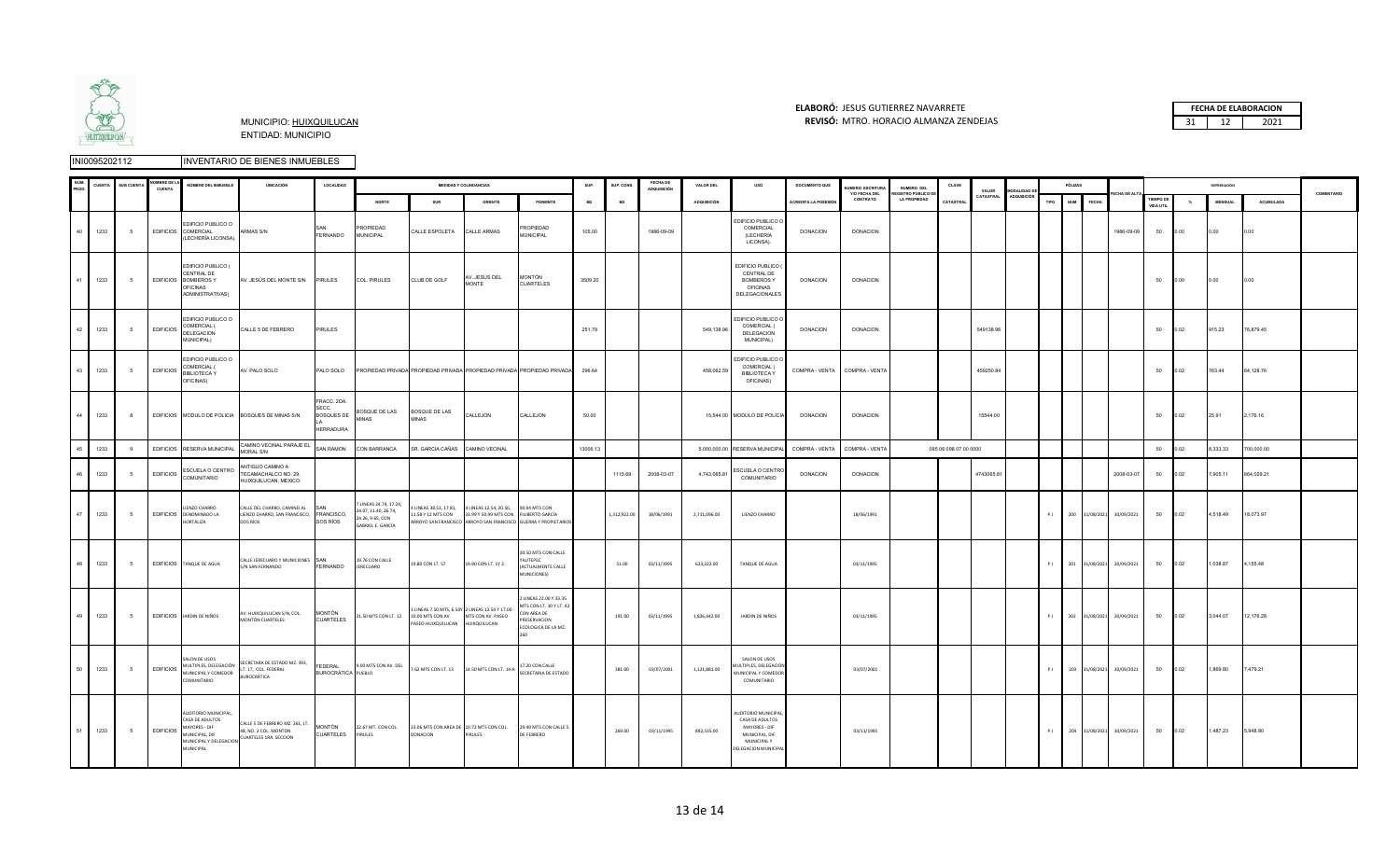

### **ELABORÓ:** JESUS GUTIERREZ NAVARRETE **FECHA DE ELABORACION**  MUNICIPIO: HUIXQUILUCAN **REVISÓ:** 31 12 2021 MTRO. HORACIO ALMANZA ZENDEJAS

|    | <b>CUENT</b> | <b>SUB CUENTA</b> | <b>MBREDE</b><br>CUENTA | NOMBRE DEL INMUEBLE                                                                                               | <b>UBICACIÓN</b>                                                                    | LOCALIDAD                                                     |                                                                                        |                                                      | <b>MEDIDAS Y COLINDANCIAS</b>                                                                         |                                                                                                     | SUP.     | SUP CONS     | <b>FECHA DE</b><br>ADQUISICIÓN | VALOR DEL          | uso                                                                                                             | DOCUMENTO QUE        | <b>IUMERO ESCRITURA</b><br>Y/O FECHA DEL | NUMERO DEL<br><b>GISTRO PÚBLICO D</b> | CLAVE                 | VALOR      | <b>MODALIDAD D</b> |      | PÓLIZAS                    |                           |                               |          | DEPRESIACIÓN   |            | COMENTARIO |
|----|--------------|-------------------|-------------------------|-------------------------------------------------------------------------------------------------------------------|-------------------------------------------------------------------------------------|---------------------------------------------------------------|----------------------------------------------------------------------------------------|------------------------------------------------------|-------------------------------------------------------------------------------------------------------|-----------------------------------------------------------------------------------------------------|----------|--------------|--------------------------------|--------------------|-----------------------------------------------------------------------------------------------------------------|----------------------|------------------------------------------|---------------------------------------|-----------------------|------------|--------------------|------|----------------------------|---------------------------|-------------------------------|----------|----------------|------------|------------|
|    |              |                   |                         |                                                                                                                   |                                                                                     |                                                               | NORTE                                                                                  | SUR                                                  | ORIENTE                                                                                               | PONIENTE                                                                                            | M2       | M2           |                                | <b>ADQUISICIÓN</b> |                                                                                                                 | ACREDITA LA POSESIÓN | CONTRATO                                 | <b>LA PROPIEDAD</b>                   | CATASTRA              | CATASTRAL  | <b>ADQUISICIÓN</b> | TIPO | <b>NUM</b><br><b>FECHA</b> |                           | <b>TIEMPO DE</b><br>VIDA UTIL | $\gamma$ | <b>MENSUAL</b> | ACUMULADA  |            |
|    | 1233         | - 5               | <b>EDIFICIOS</b>        | EDIFICIO PUBLICO O<br>COMERCIAL<br>(LECHERÍA LICONSA).                                                            | ARMAS S/N                                                                           | FERNANDO                                                      | <b>ROPIEDAD</b><br>MUNICIPAL                                                           | CALLE ESPOLETA                                       | CALLE ARMAS                                                                                           | <b>ROPIEDAD</b><br><b>MUNICIPAL</b>                                                                 | 105.00   |              | 1986-09-09                     |                    | DIFICIO PUBLICO (<br>COMERCIAL<br>(LECHERÍA<br>LICONSA).                                                        | DONACION             | <b>DONACION</b>                          |                                       |                       |            |                    |      |                            | 1986-09-09                | 50                            | 0.00     | 0.00           | 0.00       |            |
|    | 1233         | 5                 | <b>EDIFICIOS</b>        | EDIFICIO PUBLICO (<br>CENTRAL DE<br><b>BOMBEROSY</b><br>OFICINAS<br>ADMINISTRATIVAS)                              | AV. JESÚS DEL MONTE S/N PIRULES                                                     |                                                               | COL. PIRULES                                                                           | CLUB DE GOLF                                         | NV. JESÚS DEL<br>MONTE                                                                                | MONTÓN<br><b>CUARTELES</b>                                                                          | 3509.20  |              |                                |                    | EDIFICIO PUBLICO<br>CENTRAL DE<br><b>BOMBEROSY</b><br><b>OFICINAS</b><br>DELEGACIONALES                         | <b>DONACION</b>      | <b>DONACION</b>                          |                                       |                       |            |                    |      |                            |                           | 50                            | 0.00     | 0.00           | 0.00       |            |
| 42 | 1233         | - 5               | <b>EDIFICIOS</b>        | EDIFICIO PUBLICO O<br>COMERCIAL (<br>DELEGACION<br>MUNICIPAL)                                                     | CALLE 5 DE FEBRERO                                                                  | <b>PIRULES</b>                                                |                                                                                        |                                                      |                                                                                                       |                                                                                                     | 251.79   |              |                                | 549,138.96         | EDIFICIO PUBLICO C<br>COMERCIAL (<br>DELEGACION<br>MUNICIPAL)                                                   | <b>DONACION</b>      | <b>DONACION</b>                          |                                       |                       | 549138.96  |                    |      |                            |                           | 50                            | 0.02     | 915.23         | 76,879.45  |            |
| 43 | 1233         | - 5               | <b>EDIFICIOS</b>        | EDIFICIO PUBLICO O<br>COMERCIAL (<br><b>BIBLIOTECA Y</b><br>OFICINAS)                                             | AV. PALO SOLO                                                                       | PALO SOLO                                                     |                                                                                        |                                                      |                                                                                                       | PROPIEDAD PRIVADA PROPIEDAD PRIVADA PROPIEDAD PRIVADA PROPIEDAD PRIVADA                             | 296.64   |              |                                | 458,062.59         | EDIFICIO PUBLICO (<br>COMERCIAL (<br><b>BIBLIOTECAY</b><br>OFICINAS)                                            | COMPRA - VENTA       | COMPRA - VENTA                           |                                       |                       | 459250.84  |                    |      |                            |                           | 50                            | 0.02     | 763.44         | 64,128.76  |            |
| 44 | 1233         | 8                 |                         |                                                                                                                   | EDIFICIOS MODULO DE POLICIA BOSQUES DE MINAS S/N                                    | FRACC. 2DA.<br>SECC.<br><b>BOSQUES DE</b><br><b>HERRADURA</b> | BOSQUE DE LAS<br><b>MINAS</b>                                                          | BOSQUE DE LAS<br><b>MINAS</b>                        | CALLEJON                                                                                              | CALLEJON                                                                                            | 50.00    |              |                                |                    | 15,544.00 MODULO DE POLICIA                                                                                     | <b>DONACION</b>      | <b>DONACION</b>                          |                                       |                       | 15544.00   |                    |      |                            |                           | 50                            | 0.02     | 25.91          | 2,176.16   |            |
| 45 | 1233         | 9                 |                         | EDIFICIOS RESERVA MUNICIPAL                                                                                       | CAMINO VECINAL PARAJE EL<br><b>JORAL S/N</b>                                        | SAN RAMON                                                     | CON BARRANCA                                                                           | SR. GARCIA CAÑAS                                     | CAMINO VECINAL                                                                                        |                                                                                                     | 13006.13 |              |                                | 5.000.000.00       | RESERVA MUNICIPA                                                                                                | COMPRA - VENTA       | COMPRA - VENTA                           |                                       | 095 06 098 07 00 0000 |            |                    |      |                            |                           | 50                            | 0.02     | 8,333.33       | 700,000.00 |            |
| 46 | 1233         | - 5               | <b>EDIFICIOS</b>        | ESCUELA O CENTRO<br>COMUNITARIO                                                                                   | ANTIGUO CAMINO A<br>TECAMACHALCO NO. 29,<br>HUIXQUILUCAN, MEXICO.                   |                                                               |                                                                                        |                                                      |                                                                                                       |                                                                                                     |          | 1115.69      | 2008-03-07                     | 4,743,065.81       | ESCUELA O CENTR<br>COMUNITARIO                                                                                  | <b>DONACION</b>      | <b>DONACION</b>                          |                                       |                       | 4743065.81 |                    |      |                            | 2008-03-07                | 50                            | 0.02     | 7,905.11       | 664,029.21 |            |
| 47 | 1233         | 5                 |                         | LIENZO CHARRO<br>EDIFICIOS DENOMINADO LA<br>HORTALIZA                                                             | CALLE DEL CHARRO, CAMINO AL<br>LIENZO CHARRO, SAN FRANCISCO, FRANCISCO,<br>DOS RÍOS | SAN<br>DOS RÍOS                                               | 7 LINEAS 24.74, 17.24,<br>24.07, 11.40, 26.74,<br>24.26, 9.65, CON<br>ABRIEL E. GARCÍA | 11.58 Y 12 MTS CON                                   | 4 LINEAS 38.53, 17.81, 4 LINEAS 12.54, 20.50, 90.94 MTS CON<br>33.99 Y 50.99 MTS CON FILIBERTO GARCÍA | ARROYO SAN FRANCISCO ARROYO SAN FRANCISCO GUERRA Y PROPIETARIOS                                     |          | 1,312,922.00 | 18/06/1991                     | 2,711,096.00       | LIENZO CHARRO                                                                                                   |                      | 18/06/1991                               |                                       |                       |            |                    | P.1  | 200 31/08/2021             | 30/09/2021                | 50                            | 0.02     | 4,518.49       | 18,073.97  |            |
| 48 | 1233         | 5                 |                         | EDIFICIOS TANQUE DE AGUA                                                                                          | CALLE JERECUARO Y MUNICIONES SAN<br>S/N SAN FERNANDO                                | FERNANDO                                                      | 19.76 CON CALLE<br><b>JERECUARO</b>                                                    | 19.80 CON LT. 57                                     | 19.90 CON LT. 1Y 2                                                                                    | 20.50 MTS CON CALLE<br><b>MITFPFC</b><br>(ACTUALMENTE CALLE<br>MUNICIONES)                          |          | 51.00        | 03/11/1995                     | 623,322.00         | TANQUE DE AGUA                                                                                                  |                      | 03/11/1995                               |                                       |                       |            |                    | P.H  | 201 31/08/2021             | 30/09/2021                | 50                            | 0.02     | 1,038.87       | 4,155.48   |            |
|    | 49 1233      | 5                 |                         | EDIFICIOS JARDIN DE NIÑOS                                                                                         | AV. HUIXQUILUCAN S/N, COL.<br><b>MONTÓN CUARTELES</b>                               | <b>MONTÓN</b><br><b>CUARTELES</b>                             | 21.50 MTS CON LT. 12 10.00 MTS CON AV.                                                 | PASEO HUIXQUILUCAN                                   | LINEAS 7.50 MTS. 6.50Y 2 LINEAS 12.50 Y 17.00<br>MTS CON AV. PASEO<br>HUIXQUILUCAN                    | LINEAS 22.00 Y 33.35<br>1TS CON LT. 10 Y LT. 42<br>ON AREA DE<br>RESERVACION<br>ECOLOGICA DE LA MZ. |          | 191.00       | 03/11/1995                     | 1.826.442.00       | JARDIN DE NIÑOS                                                                                                 |                      | 03/11/1995                               |                                       |                       |            |                    | P.1  |                            | 202 31/08/2021 30/09/2021 | 50                            | 0.02     | 3,044.07       | 12,176.28  |            |
| 50 | 1233         | - 5               | <b>EDIFICIOS</b>        | SALON DE USOS<br>MULTIPLES, DELEGACIÓN<br>MUNICIPAL Y COMEDOR<br>COMUNITARIO                                      | SECRETARA DE ESTADO MZ. 393,<br>LT. 17, COL. FEDERAL<br><b>BUROCRÁTICA</b>          | <b>FEDERAL</b><br><b>BUROCRÁTICA PUEBLO</b>                   | 9.00 MTS CON AV. DEL 7.62 MTS CON LT. 13 14.50 MTS CON LT. 14-A                        |                                                      |                                                                                                       | 17.20 CON CALLE<br>SECRETARIA DE ESTADO                                                             |          | 381.00       | 03/07/2001                     | 1,121,881.00       | SALON DE LISOS<br><b>MULTIPLES, DELEGACIÓ</b><br><b>IUNICIPAL Y COMEDOR</b><br>COMUNITARIO                      |                      | 03/07/2001                               |                                       |                       |            |                    | P.1  |                            | 203 31/08/2021 30/09/2021 | 50                            | 0.02     | 1,869.80       | 7,479.21   |            |
|    | 1233         | 5                 | <b>EDIFICIOS</b>        | AUDITORIO MUNICIPAL,<br>CASA DE ADULTOS<br>MAYORES - DIF<br>MUNICIPAL, DIF<br>MUNICIPAL Y DELEGACION<br>MUNICIPAL | CALLE 5 DE FEBRERO MZ. 261, LT.<br>48, NO. 2 COL. MONTON<br>CUARTELES 1RA. SECCION  | <b>MONTÓN</b><br>CUARTELES                                    | 22.67 MT. CON COL.<br>PIRULES                                                          | 23.06 MTS CON AREA DE 10.72 MTS CON COL.<br>DONACION | <b>IRULES</b>                                                                                         | 29.49 MTS CON CALLE 5<br>DE FEBRERO                                                                 |          | 269.00       | 03/11/1995                     | 892,335.00         | NUDITORIO MUNICIPA<br>CASA DE ADULTOS<br>MAYORES - DIF<br>MUNICIPAL, DIF<br>MUNICIPAL Y<br>DELEGACION MUNICIPAL |                      | 03/11/1995                               |                                       |                       |            |                    | P.I  |                            | 204 31/08/2021 30/09/2021 | 50                            | 0.02     | 1,487.23       | 5,948.90   |            |